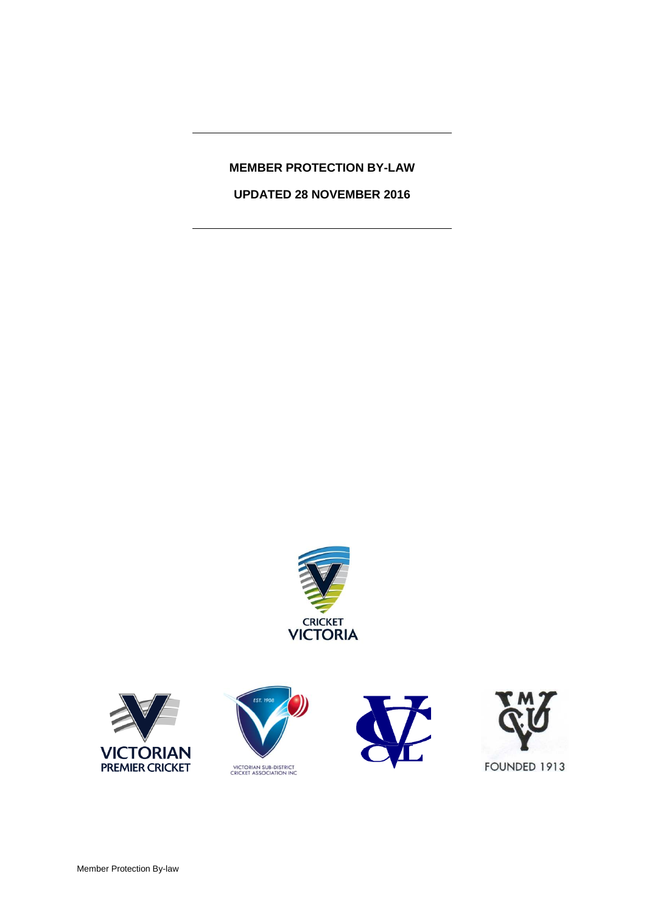# **MEMBER PROTECTION BY-LAW**

**UPDATED 28 NOVEMBER 2016**









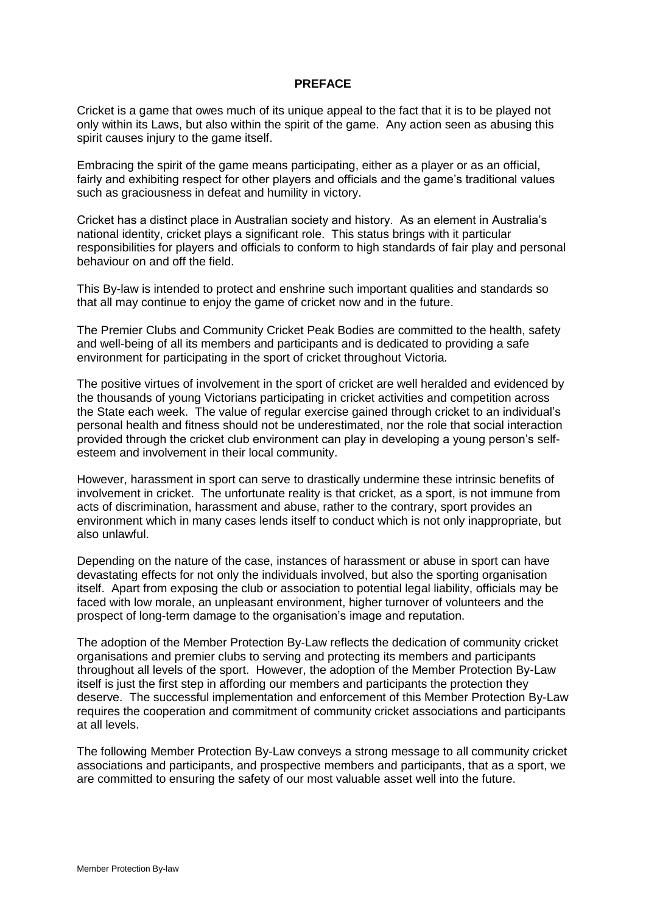#### **PREFACE**

Cricket is a game that owes much of its unique appeal to the fact that it is to be played not only within its Laws, but also within the spirit of the game. Any action seen as abusing this spirit causes injury to the game itself.

Embracing the spirit of the game means participating, either as a player or as an official, fairly and exhibiting respect for other players and officials and the game's traditional values such as graciousness in defeat and humility in victory.

Cricket has a distinct place in Australian society and history. As an element in Australia's national identity, cricket plays a significant role. This status brings with it particular responsibilities for players and officials to conform to high standards of fair play and personal behaviour on and off the field.

This By-law is intended to protect and enshrine such important qualities and standards so that all may continue to enjoy the game of cricket now and in the future.

The Premier Clubs and Community Cricket Peak Bodies are committed to the health, safety and well-being of all its members and participants and is dedicated to providing a safe environment for participating in the sport of cricket throughout Victoria.

The positive virtues of involvement in the sport of cricket are well heralded and evidenced by the thousands of young Victorians participating in cricket activities and competition across the State each week. The value of regular exercise gained through cricket to an individual's personal health and fitness should not be underestimated, nor the role that social interaction provided through the cricket club environment can play in developing a young person's selfesteem and involvement in their local community.

However, harassment in sport can serve to drastically undermine these intrinsic benefits of involvement in cricket. The unfortunate reality is that cricket, as a sport, is not immune from acts of discrimination, harassment and abuse, rather to the contrary, sport provides an environment which in many cases lends itself to conduct which is not only inappropriate, but also unlawful.

Depending on the nature of the case, instances of harassment or abuse in sport can have devastating effects for not only the individuals involved, but also the sporting organisation itself. Apart from exposing the club or association to potential legal liability, officials may be faced with low morale, an unpleasant environment, higher turnover of volunteers and the prospect of long-term damage to the organisation's image and reputation.

The adoption of the Member Protection By-Law reflects the dedication of community cricket organisations and premier clubs to serving and protecting its members and participants throughout all levels of the sport. However, the adoption of the Member Protection By-Law itself is just the first step in affording our members and participants the protection they deserve. The successful implementation and enforcement of this Member Protection By-Law requires the cooperation and commitment of community cricket associations and participants at all levels.

The following Member Protection By-Law conveys a strong message to all community cricket associations and participants, and prospective members and participants, that as a sport, we are committed to ensuring the safety of our most valuable asset well into the future.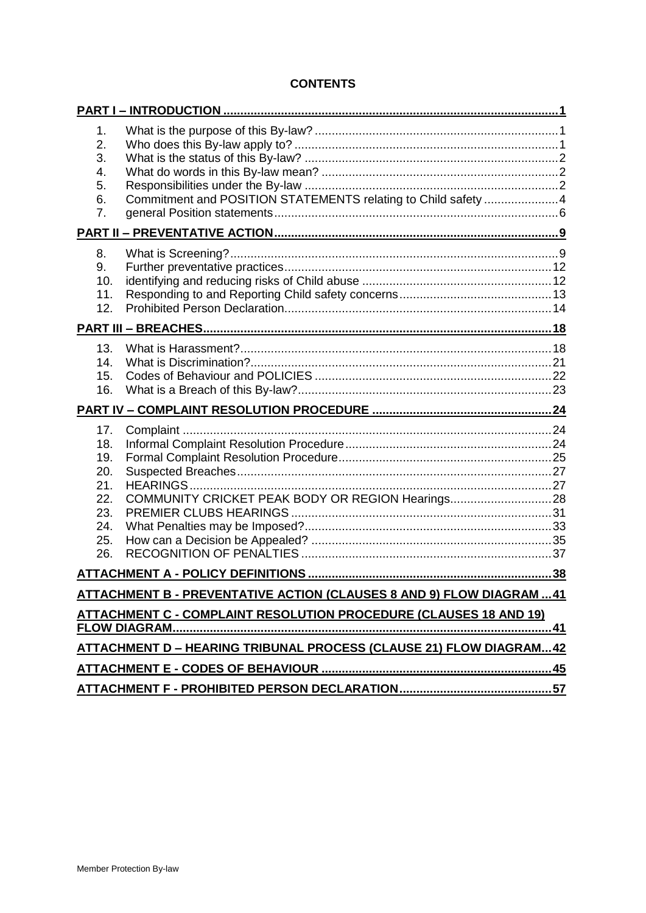# **CONTENTS**

| 1.<br>2.<br>3.<br>4.<br>5.<br>6.<br>7.                             | Commitment and POSITION STATEMENTS relating to Child safety 4                                                                                |  |
|--------------------------------------------------------------------|----------------------------------------------------------------------------------------------------------------------------------------------|--|
|                                                                    |                                                                                                                                              |  |
| 8.<br>9.<br>10.<br>11.<br>12.                                      |                                                                                                                                              |  |
|                                                                    |                                                                                                                                              |  |
| 13.<br>14.<br>15.<br>16.                                           |                                                                                                                                              |  |
|                                                                    |                                                                                                                                              |  |
|                                                                    |                                                                                                                                              |  |
| 17.<br>18.<br>19.<br>20.<br>21.<br>22.<br>23.<br>24.<br>25.<br>26. |                                                                                                                                              |  |
|                                                                    |                                                                                                                                              |  |
|                                                                    | ATTACHMENT B - PREVENTATIVE ACTION (CLAUSES 8 AND 9) FLOW DIAGRAM  41                                                                        |  |
|                                                                    | ATTACHMENT C - COMPLAINT RESOLUTION PROCEDURE (CLAUSES 18 AND 19)<br><b>ATTACHMENT D-HEARING TRIBUNAL PROCESS (CLAUSE 21) FLOW DIAGRAM42</b> |  |
|                                                                    |                                                                                                                                              |  |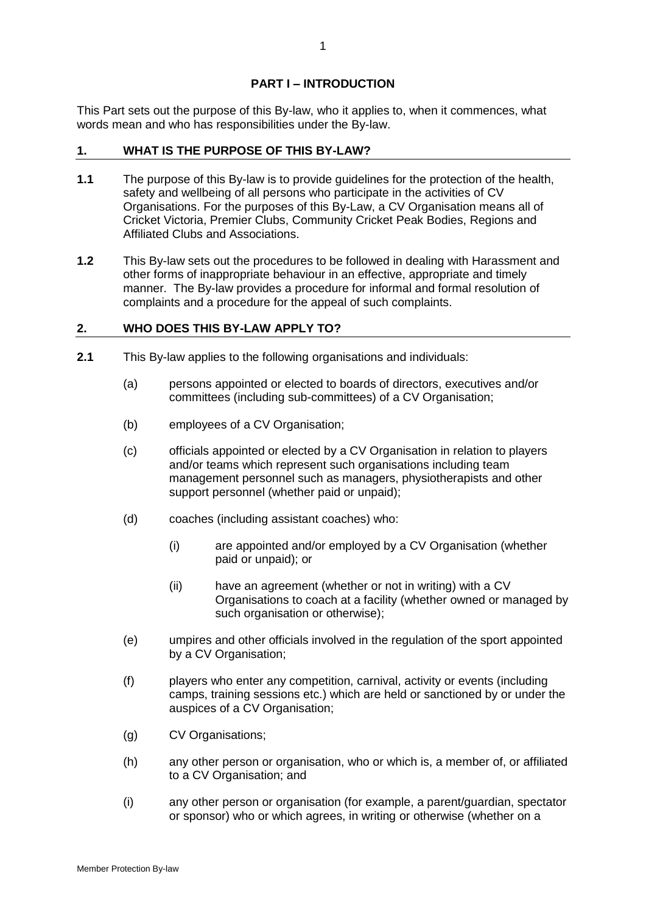## **PART I – INTRODUCTION**

This Part sets out the purpose of this By-law, who it applies to, when it commences, what words mean and who has responsibilities under the By-law.

## **1. WHAT IS THE PURPOSE OF THIS BY-LAW?**

- **1.1** The purpose of this By-law is to provide guidelines for the protection of the health, safety and wellbeing of all persons who participate in the activities of CV Organisations. For the purposes of this By-Law, a CV Organisation means all of Cricket Victoria, Premier Clubs, Community Cricket Peak Bodies, Regions and Affiliated Clubs and Associations.
- **1.2** This By-law sets out the procedures to be followed in dealing with Harassment and other forms of inappropriate behaviour in an effective, appropriate and timely manner. The By-law provides a procedure for informal and formal resolution of complaints and a procedure for the appeal of such complaints.

# **2. WHO DOES THIS BY-LAW APPLY TO?**

- **2.1** This By-law applies to the following organisations and individuals:
	- (a) persons appointed or elected to boards of directors, executives and/or committees (including sub-committees) of a CV Organisation;
	- (b) employees of a CV Organisation;
	- (c) officials appointed or elected by a CV Organisation in relation to players and/or teams which represent such organisations including team management personnel such as managers, physiotherapists and other support personnel (whether paid or unpaid);
	- (d) coaches (including assistant coaches) who:
		- (i) are appointed and/or employed by a CV Organisation (whether paid or unpaid); or
		- (ii) have an agreement (whether or not in writing) with a CV Organisations to coach at a facility (whether owned or managed by such organisation or otherwise);
	- (e) umpires and other officials involved in the regulation of the sport appointed by a CV Organisation;
	- (f) players who enter any competition, carnival, activity or events (including camps, training sessions etc.) which are held or sanctioned by or under the auspices of a CV Organisation;
	- (g) CV Organisations;
	- (h) any other person or organisation, who or which is, a member of, or affiliated to a CV Organisation; and
	- (i) any other person or organisation (for example, a parent/guardian, spectator or sponsor) who or which agrees, in writing or otherwise (whether on a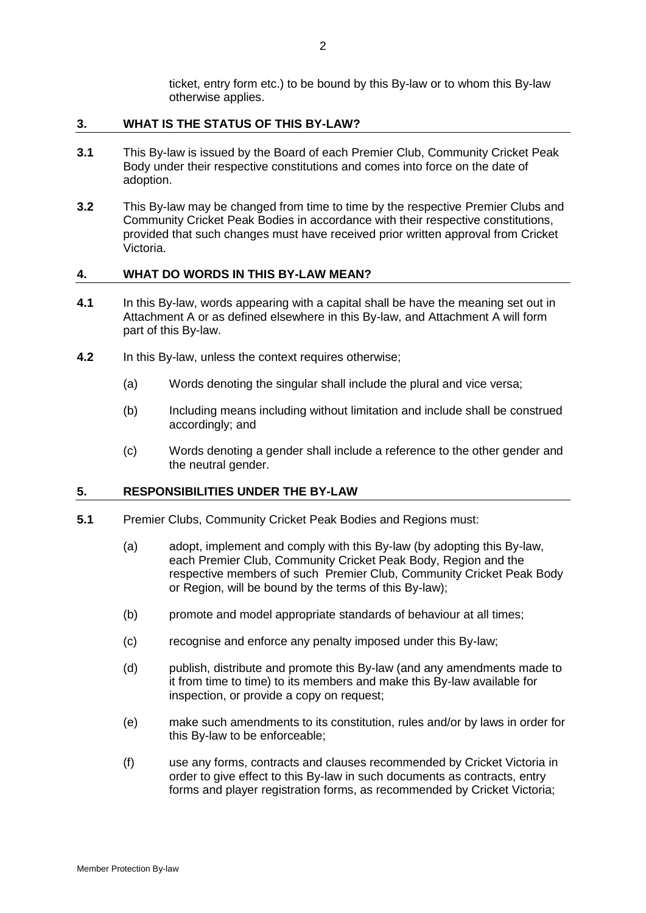ticket, entry form etc.) to be bound by this By-law or to whom this By-law otherwise applies.

#### **3. WHAT IS THE STATUS OF THIS BY-LAW?**

- **3.1** This By-law is issued by the Board of each Premier Club, Community Cricket Peak Body under their respective constitutions and comes into force on the date of adoption.
- **3.2** This By-law may be changed from time to time by the respective Premier Clubs and Community Cricket Peak Bodies in accordance with their respective constitutions, provided that such changes must have received prior written approval from Cricket Victoria.

#### **4. WHAT DO WORDS IN THIS BY-LAW MEAN?**

- **4.1** In this By-law, words appearing with a capital shall be have the meaning set out in Attachment A or as defined elsewhere in this By-law, and Attachment A will form part of this By-law.
- **4.2** In this By-law, unless the context requires otherwise;
	- (a) Words denoting the singular shall include the plural and vice versa;
	- (b) Including means including without limitation and include shall be construed accordingly; and
	- (c) Words denoting a gender shall include a reference to the other gender and the neutral gender.

## **5. RESPONSIBILITIES UNDER THE BY-LAW**

- <span id="page-4-0"></span>**5.1** Premier Clubs, Community Cricket Peak Bodies and Regions must:
	- (a) adopt, implement and comply with this By-law (by adopting this By-law, each Premier Club, Community Cricket Peak Body, Region and the respective members of such Premier Club, Community Cricket Peak Body or Region, will be bound by the terms of this By-law);
	- (b) promote and model appropriate standards of behaviour at all times;
	- (c) recognise and enforce any penalty imposed under this By-law;
	- (d) publish, distribute and promote this By-law (and any amendments made to it from time to time) to its members and make this By-law available for inspection, or provide a copy on request;
	- (e) make such amendments to its constitution, rules and/or by laws in order for this By-law to be enforceable;
	- (f) use any forms, contracts and clauses recommended by Cricket Victoria in order to give effect to this By-law in such documents as contracts, entry forms and player registration forms, as recommended by Cricket Victoria;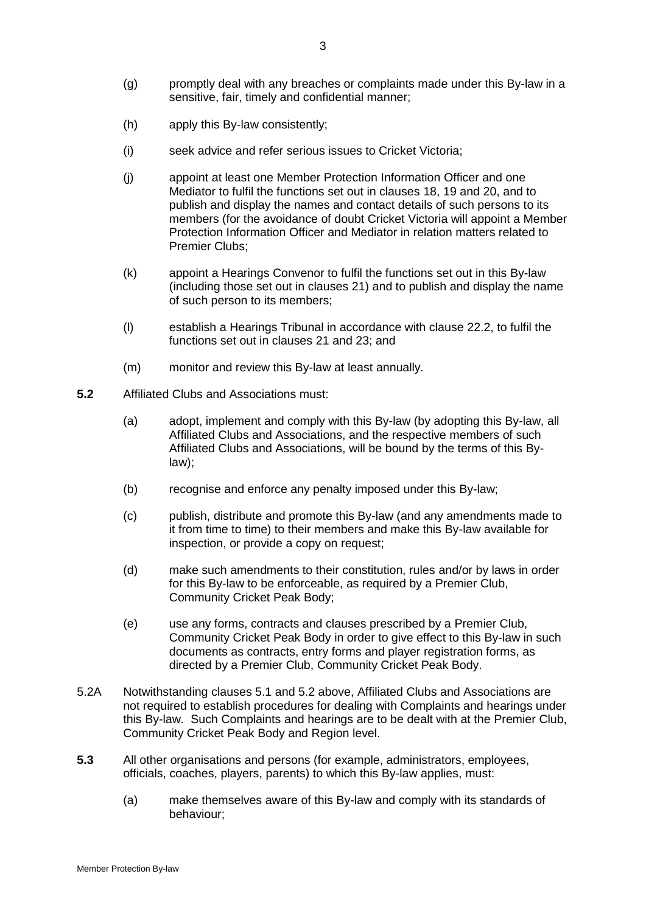- (h) apply this By-law consistently;
- (i) seek advice and refer serious issues to Cricket Victoria;
- (j) appoint at least one Member Protection Information Officer and one Mediator to fulfil the functions set out in clauses [18,](#page-26-0) [19](#page-27-0) and [20,](#page-29-0) and to publish and display the names and contact details of such persons to its members (for the avoidance of doubt Cricket Victoria will appoint a Member Protection Information Officer and Mediator in relation matters related to Premier Clubs;
- (k) appoint a Hearings Convenor to fulfil the functions set out in this By-law (including those set out in clauses [21\)](#page-29-1) and to publish and display the name of such person to its members;
- (l) establish a Hearings Tribunal in accordance with clause [22.2,](#page-30-0) to fulfil the functions set out in clauses [21](#page-29-1) and [23;](#page-33-0) and
- (m) monitor and review this By-law at least annually.
- <span id="page-5-0"></span>**5.2** Affiliated Clubs and Associations must:
	- (a) adopt, implement and comply with this By-law (by adopting this By-law, all Affiliated Clubs and Associations, and the respective members of such Affiliated Clubs and Associations, will be bound by the terms of this Bylaw);
	- (b) recognise and enforce any penalty imposed under this By-law;
	- (c) publish, distribute and promote this By-law (and any amendments made to it from time to time) to their members and make this By-law available for inspection, or provide a copy on request;
	- (d) make such amendments to their constitution, rules and/or by laws in order for this By-law to be enforceable, as required by a Premier Club, Community Cricket Peak Body;
	- (e) use any forms, contracts and clauses prescribed by a Premier Club, Community Cricket Peak Body in order to give effect to this By-law in such documents as contracts, entry forms and player registration forms, as directed by a Premier Club, Community Cricket Peak Body.
- 5.2A Notwithstanding clauses [5.1](#page-4-0) and [5.2](#page-5-0) above, Affiliated Clubs and Associations are not required to establish procedures for dealing with Complaints and hearings under this By-law. Such Complaints and hearings are to be dealt with at the Premier Club, Community Cricket Peak Body and Region level.
- **5.3** All other organisations and persons (for example, administrators, employees, officials, coaches, players, parents) to which this By-law applies, must:
	- (a) make themselves aware of this By-law and comply with its standards of behaviour;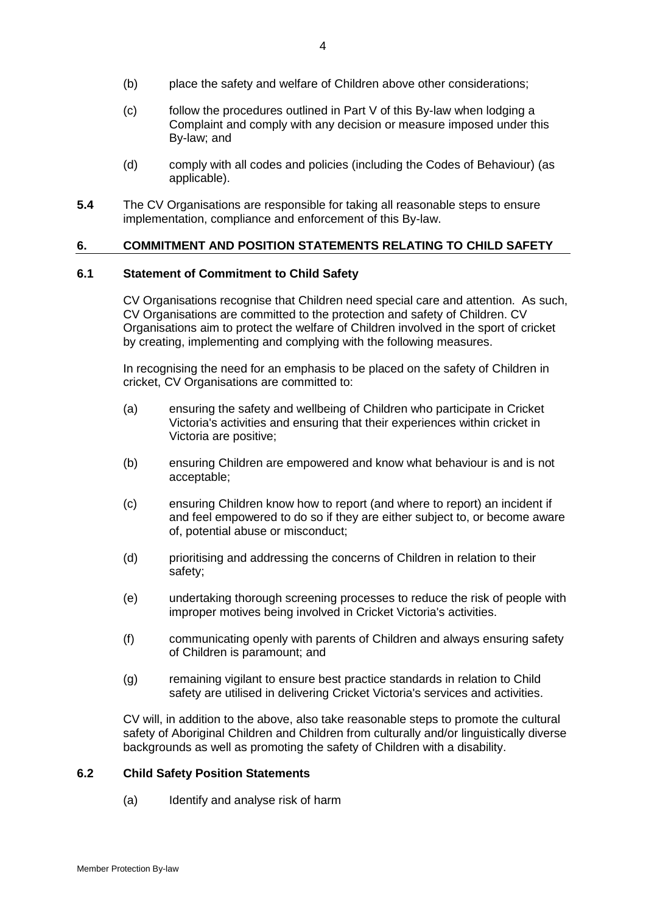- (b) place the safety and welfare of Children above other considerations;
- (c) follow the procedures outlined in Part V of this By-law when lodging a Complaint and comply with any decision or measure imposed under this By-law; and
- (d) comply with all codes and policies (including the Codes of Behaviour) (as applicable).
- **5.4** The CV Organisations are responsible for taking all reasonable steps to ensure implementation, compliance and enforcement of this By-law.

### **6. COMMITMENT AND POSITION STATEMENTS RELATING TO CHILD SAFETY**

#### **6.1 Statement of Commitment to Child Safety**

CV Organisations recognise that Children need special care and attention. As such, CV Organisations are committed to the protection and safety of Children. CV Organisations aim to protect the welfare of Children involved in the sport of cricket by creating, implementing and complying with the following measures.

In recognising the need for an emphasis to be placed on the safety of Children in cricket, CV Organisations are committed to:

- (a) ensuring the safety and wellbeing of Children who participate in Cricket Victoria's activities and ensuring that their experiences within cricket in Victoria are positive;
- (b) ensuring Children are empowered and know what behaviour is and is not acceptable;
- (c) ensuring Children know how to report (and where to report) an incident if and feel empowered to do so if they are either subject to, or become aware of, potential abuse or misconduct;
- (d) prioritising and addressing the concerns of Children in relation to their safety;
- (e) undertaking thorough screening processes to reduce the risk of people with improper motives being involved in Cricket Victoria's activities.
- (f) communicating openly with parents of Children and always ensuring safety of Children is paramount; and
- (g) remaining vigilant to ensure best practice standards in relation to Child safety are utilised in delivering Cricket Victoria's services and activities.

CV will, in addition to the above, also take reasonable steps to promote the cultural safety of Aboriginal Children and Children from culturally and/or linguistically diverse backgrounds as well as promoting the safety of Children with a disability.

# **6.2 Child Safety Position Statements**

(a) Identify and analyse risk of harm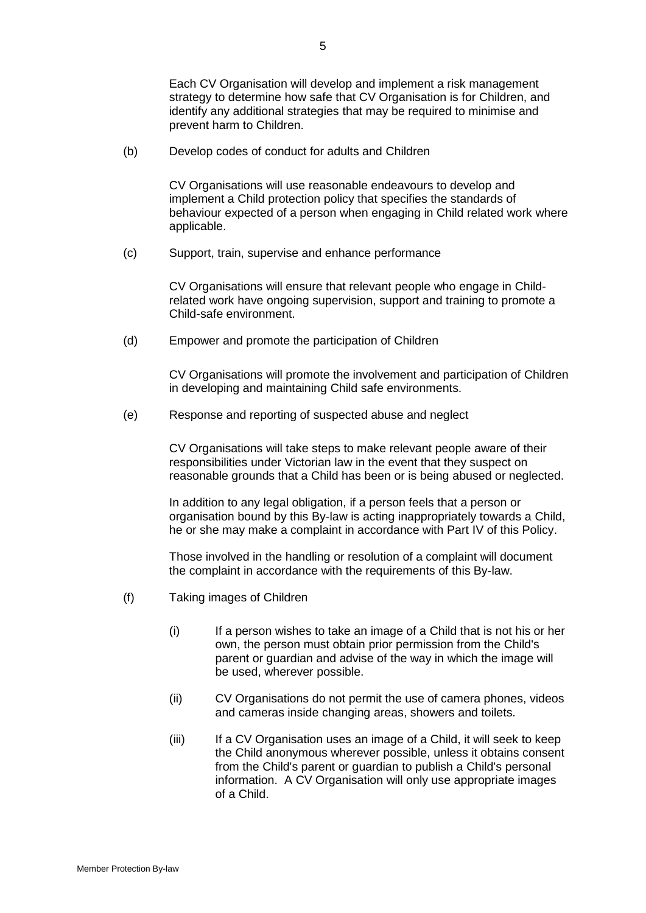Each CV Organisation will develop and implement a risk management strategy to determine how safe that CV Organisation is for Children, and identify any additional strategies that may be required to minimise and prevent harm to Children.

(b) Develop codes of conduct for adults and Children

CV Organisations will use reasonable endeavours to develop and implement a Child protection policy that specifies the standards of behaviour expected of a person when engaging in Child related work where applicable.

(c) Support, train, supervise and enhance performance

CV Organisations will ensure that relevant people who engage in Childrelated work have ongoing supervision, support and training to promote a Child-safe environment.

(d) Empower and promote the participation of Children

CV Organisations will promote the involvement and participation of Children in developing and maintaining Child safe environments.

(e) Response and reporting of suspected abuse and neglect

CV Organisations will take steps to make relevant people aware of their responsibilities under Victorian law in the event that they suspect on reasonable grounds that a Child has been or is being abused or neglected.

In addition to any legal obligation, if a person feels that a person or organisation bound by this By-law is acting inappropriately towards a Child, he or she may make a complaint in accordance with Part IV of this Policy.

Those involved in the handling or resolution of a complaint will document the complaint in accordance with the requirements of this By-law.

- (f) Taking images of Children
	- (i) If a person wishes to take an image of a Child that is not his or her own, the person must obtain prior permission from the Child's parent or guardian and advise of the way in which the image will be used, wherever possible.
	- (ii) CV Organisations do not permit the use of camera phones, videos and cameras inside changing areas, showers and toilets.
	- (iii) If a CV Organisation uses an image of a Child, it will seek to keep the Child anonymous wherever possible, unless it obtains consent from the Child's parent or guardian to publish a Child's personal information. A CV Organisation will only use appropriate images of a Child.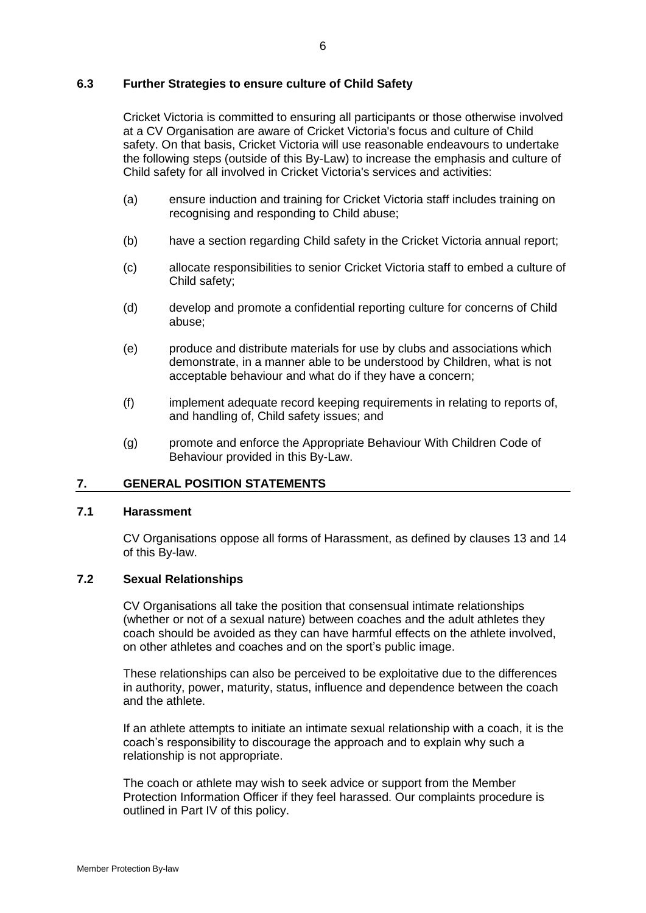## **6.3 Further Strategies to ensure culture of Child Safety**

Cricket Victoria is committed to ensuring all participants or those otherwise involved at a CV Organisation are aware of Cricket Victoria's focus and culture of Child safety. On that basis, Cricket Victoria will use reasonable endeavours to undertake the following steps (outside of this By-Law) to increase the emphasis and culture of Child safety for all involved in Cricket Victoria's services and activities:

- (a) ensure induction and training for Cricket Victoria staff includes training on recognising and responding to Child abuse;
- (b) have a section regarding Child safety in the Cricket Victoria annual report;
- (c) allocate responsibilities to senior Cricket Victoria staff to embed a culture of Child safety;
- (d) develop and promote a confidential reporting culture for concerns of Child abuse;
- (e) produce and distribute materials for use by clubs and associations which demonstrate, in a manner able to be understood by Children, what is not acceptable behaviour and what do if they have a concern;
- (f) implement adequate record keeping requirements in relating to reports of, and handling of, Child safety issues; and
- (g) promote and enforce the Appropriate Behaviour With Children Code of Behaviour provided in this By-Law.

#### **7. GENERAL POSITION STATEMENTS**

### **7.1 Harassment**

CV Organisations oppose all forms of Harassment, as defined by clauses [13](#page-20-0) and [14](#page-23-0) of this By-law.

## **7.2 Sexual Relationships**

CV Organisations all take the position that consensual intimate relationships (whether or not of a sexual nature) between coaches and the adult athletes they coach should be avoided as they can have harmful effects on the athlete involved, on other athletes and coaches and on the sport's public image.

These relationships can also be perceived to be exploitative due to the differences in authority, power, maturity, status, influence and dependence between the coach and the athlete.

If an athlete attempts to initiate an intimate sexual relationship with a coach, it is the coach's responsibility to discourage the approach and to explain why such a relationship is not appropriate.

The coach or athlete may wish to seek advice or support from the Member Protection Information Officer if they feel harassed. Our complaints procedure is outlined in Part IV of this policy.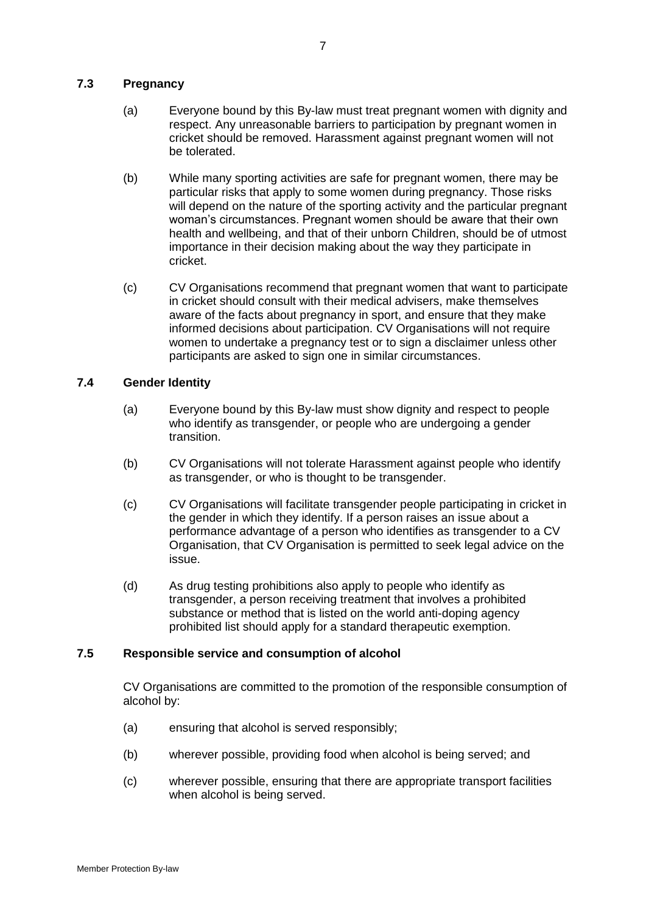# **7.3 Pregnancy**

- (a) Everyone bound by this By-law must treat pregnant women with dignity and respect. Any unreasonable barriers to participation by pregnant women in cricket should be removed. Harassment against pregnant women will not be tolerated.
- (b) While many sporting activities are safe for pregnant women, there may be particular risks that apply to some women during pregnancy. Those risks will depend on the nature of the sporting activity and the particular pregnant woman's circumstances. Pregnant women should be aware that their own health and wellbeing, and that of their unborn Children, should be of utmost importance in their decision making about the way they participate in cricket.
- (c) CV Organisations recommend that pregnant women that want to participate in cricket should consult with their medical advisers, make themselves aware of the facts about pregnancy in sport, and ensure that they make informed decisions about participation. CV Organisations will not require women to undertake a pregnancy test or to sign a disclaimer unless other participants are asked to sign one in similar circumstances.

# **7.4 Gender Identity**

- (a) Everyone bound by this By-law must show dignity and respect to people who identify as transgender, or people who are undergoing a gender transition.
- (b) CV Organisations will not tolerate Harassment against people who identify as transgender, or who is thought to be transgender.
- (c) CV Organisations will facilitate transgender people participating in cricket in the gender in which they identify. If a person raises an issue about a performance advantage of a person who identifies as transgender to a CV Organisation, that CV Organisation is permitted to seek legal advice on the issue.
- (d) As drug testing prohibitions also apply to people who identify as transgender, a person receiving treatment that involves a prohibited substance or method that is listed on the world anti-doping agency prohibited list should apply for a standard therapeutic exemption.

# **7.5 Responsible service and consumption of alcohol**

CV Organisations are committed to the promotion of the responsible consumption of alcohol by:

- (a) ensuring that alcohol is served responsibly;
- (b) wherever possible, providing food when alcohol is being served; and
- (c) wherever possible, ensuring that there are appropriate transport facilities when alcohol is being served.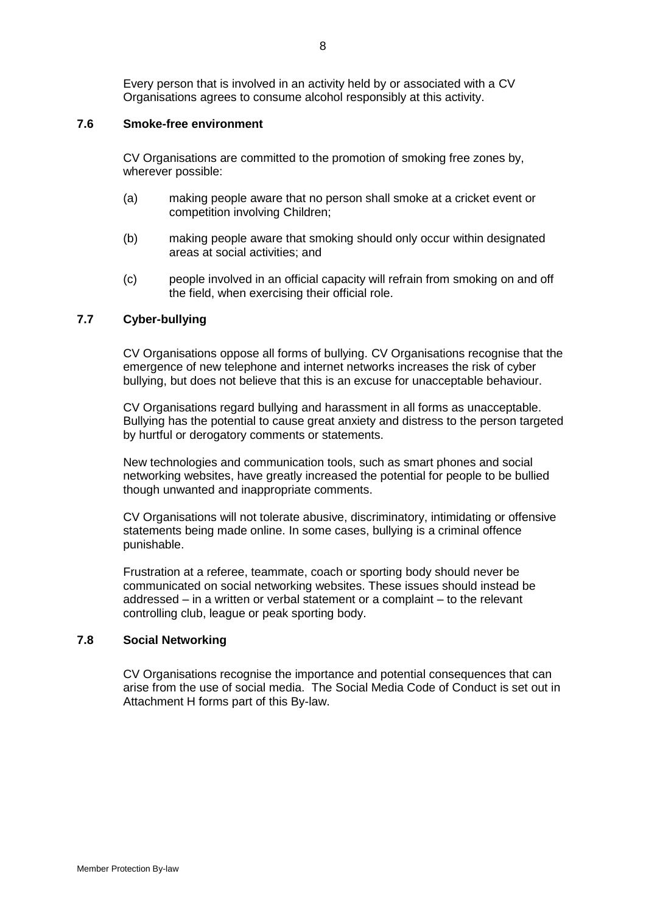Every person that is involved in an activity held by or associated with a CV Organisations agrees to consume alcohol responsibly at this activity.

# **7.6 Smoke-free environment**

CV Organisations are committed to the promotion of smoking free zones by, wherever possible:

- (a) making people aware that no person shall smoke at a cricket event or competition involving Children;
- (b) making people aware that smoking should only occur within designated areas at social activities; and
- (c) people involved in an official capacity will refrain from smoking on and off the field, when exercising their official role.

## **7.7 Cyber-bullying**

CV Organisations oppose all forms of bullying. CV Organisations recognise that the emergence of new telephone and internet networks increases the risk of cyber bullying, but does not believe that this is an excuse for unacceptable behaviour.

CV Organisations regard bullying and harassment in all forms as unacceptable. Bullying has the potential to cause great anxiety and distress to the person targeted by hurtful or derogatory comments or statements.

New technologies and communication tools, such as smart phones and social networking websites, have greatly increased the potential for people to be bullied though unwanted and inappropriate comments.

CV Organisations will not tolerate abusive, discriminatory, intimidating or offensive statements being made online. In some cases, bullying is a criminal offence punishable.

Frustration at a referee, teammate, coach or sporting body should never be communicated on social networking websites. These issues should instead be addressed – in a written or verbal statement or a complaint – to the relevant controlling club, league or peak sporting body.

### **7.8 Social Networking**

CV Organisations recognise the importance and potential consequences that can arise from the use of social media. The Social Media Code of Conduct is set out in Attachment H forms part of this By-law.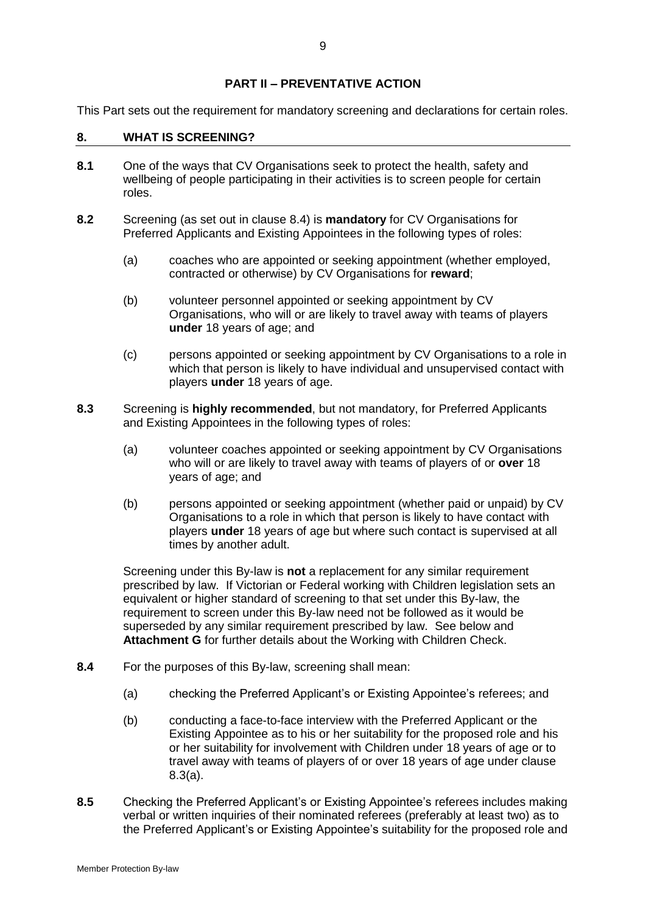# **PART II – PREVENTATIVE ACTION**

This Part sets out the requirement for mandatory screening and declarations for certain roles.

### <span id="page-11-3"></span>**8. WHAT IS SCREENING?**

- **8.1** One of the ways that CV Organisations seek to protect the health, safety and wellbeing of people participating in their activities is to screen people for certain roles.
- <span id="page-11-2"></span>**8.2** Screening (as set out in clause [8.4\)](#page-11-0) is **mandatory** for CV Organisations for Preferred Applicants and Existing Appointees in the following types of roles:
	- (a) coaches who are appointed or seeking appointment (whether employed, contracted or otherwise) by CV Organisations for **reward**;
	- (b) volunteer personnel appointed or seeking appointment by CV Organisations, who will or are likely to travel away with teams of players **under** 18 years of age; and
	- (c) persons appointed or seeking appointment by CV Organisations to a role in which that person is likely to have individual and unsupervised contact with players **under** 18 years of age.
- <span id="page-11-4"></span><span id="page-11-1"></span>**8.3** Screening is **highly recommended**, but not mandatory, for Preferred Applicants and Existing Appointees in the following types of roles:
	- (a) volunteer coaches appointed or seeking appointment by CV Organisations who will or are likely to travel away with teams of players of or **over** 18 years of age; and
	- (b) persons appointed or seeking appointment (whether paid or unpaid) by CV Organisations to a role in which that person is likely to have contact with players **under** 18 years of age but where such contact is supervised at all times by another adult.

Screening under this By-law is **not** a replacement for any similar requirement prescribed by law. If Victorian or Federal working with Children legislation sets an equivalent or higher standard of screening to that set under this By-law, the requirement to screen under this By-law need not be followed as it would be superseded by any similar requirement prescribed by law. See below and **Attachment G** for further details about the Working with Children Check.

- <span id="page-11-0"></span>**8.4** For the purposes of this By-law, screening shall mean:
	- (a) checking the Preferred Applicant's or Existing Appointee's referees; and
	- (b) conducting a face-to-face interview with the Preferred Applicant or the Existing Appointee as to his or her suitability for the proposed role and his or her suitability for involvement with Children under 18 years of age or to travel away with teams of players of or over 18 years of age under clause [8.3\(a\).](#page-11-1)
- **8.5** Checking the Preferred Applicant's or Existing Appointee's referees includes making verbal or written inquiries of their nominated referees (preferably at least two) as to the Preferred Applicant's or Existing Appointee's suitability for the proposed role and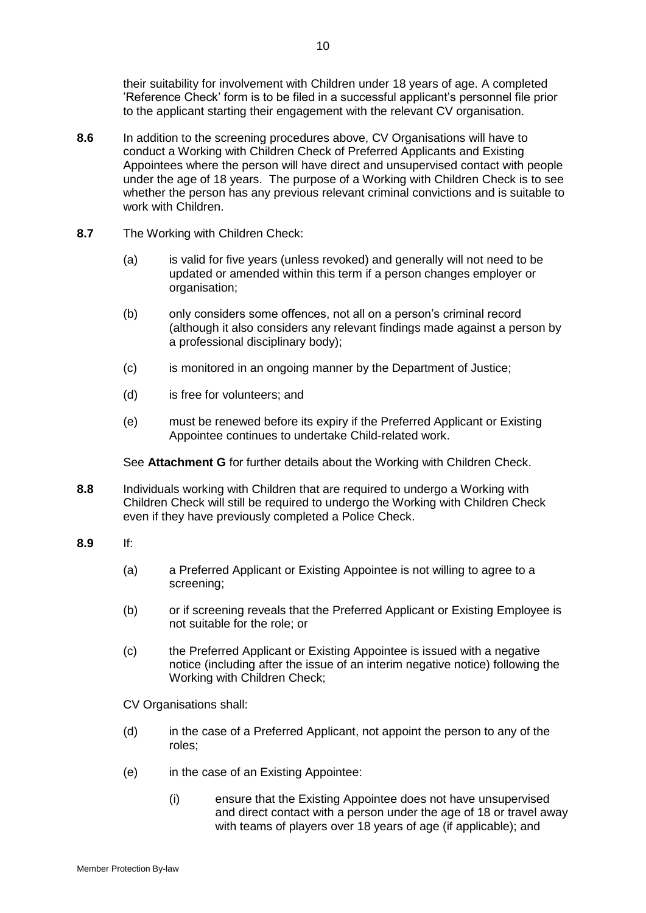their suitability for involvement with Children under 18 years of age. A completed 'Reference Check' form is to be filed in a successful applicant's personnel file prior to the applicant starting their engagement with the relevant CV organisation.

- **8.6** In addition to the screening procedures above, CV Organisations will have to conduct a Working with Children Check of Preferred Applicants and Existing Appointees where the person will have direct and unsupervised contact with people under the age of 18 years. The purpose of a Working with Children Check is to see whether the person has any previous relevant criminal convictions and is suitable to work with Children.
- **8.7** The Working with Children Check:
	- (a) is valid for five years (unless revoked) and generally will not need to be updated or amended within this term if a person changes employer or organisation;
	- (b) only considers some offences, not all on a person's criminal record (although it also considers any relevant findings made against a person by a professional disciplinary body);
	- (c) is monitored in an ongoing manner by the Department of Justice;
	- (d) is free for volunteers; and
	- (e) must be renewed before its expiry if the Preferred Applicant or Existing Appointee continues to undertake Child-related work.

See **Attachment G** for further details about the Working with Children Check.

- **8.8** Individuals working with Children that are required to undergo a Working with Children Check will still be required to undergo the Working with Children Check even if they have previously completed a Police Check.
- **8.9** If:
	- (a) a Preferred Applicant or Existing Appointee is not willing to agree to a screening;
	- (b) or if screening reveals that the Preferred Applicant or Existing Employee is not suitable for the role; or
	- (c) the Preferred Applicant or Existing Appointee is issued with a negative notice (including after the issue of an interim negative notice) following the Working with Children Check;

CV Organisations shall:

- (d) in the case of a Preferred Applicant, not appoint the person to any of the roles;
- (e) in the case of an Existing Appointee:
	- (i) ensure that the Existing Appointee does not have unsupervised and direct contact with a person under the age of 18 or travel away with teams of players over 18 years of age (if applicable); and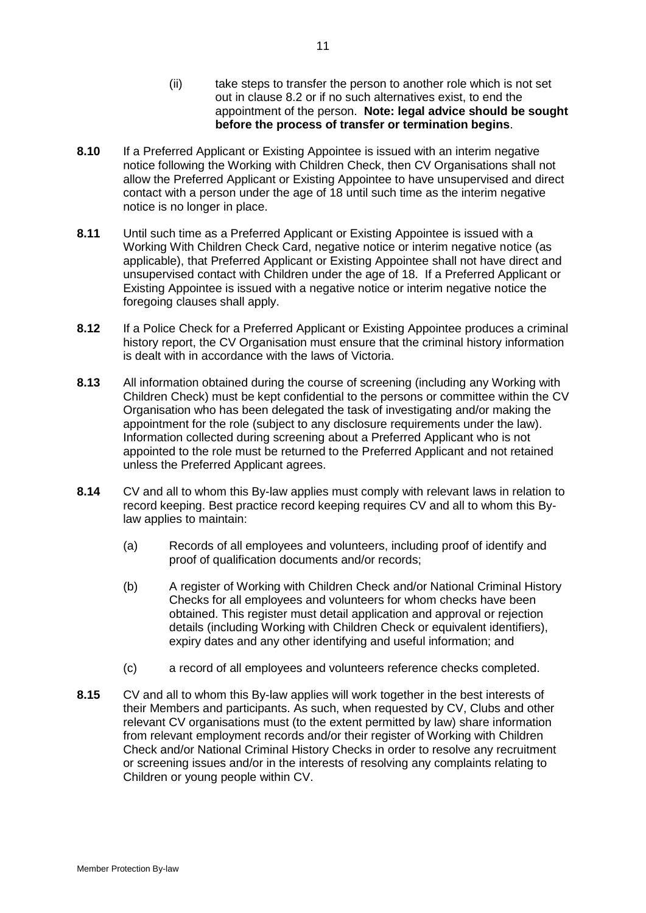- (ii) take steps to transfer the person to another role which is not set out in clause [8.2](#page-11-2) or if no such alternatives exist, to end the appointment of the person. **Note: legal advice should be sought before the process of transfer or termination begins**.
- **8.10** If a Preferred Applicant or Existing Appointee is issued with an interim negative notice following the Working with Children Check, then CV Organisations shall not allow the Preferred Applicant or Existing Appointee to have unsupervised and direct contact with a person under the age of 18 until such time as the interim negative notice is no longer in place.
- **8.11** Until such time as a Preferred Applicant or Existing Appointee is issued with a Working With Children Check Card, negative notice or interim negative notice (as applicable), that Preferred Applicant or Existing Appointee shall not have direct and unsupervised contact with Children under the age of 18. If a Preferred Applicant or Existing Appointee is issued with a negative notice or interim negative notice the foregoing clauses shall apply.
- **8.12** If a Police Check for a Preferred Applicant or Existing Appointee produces a criminal history report, the CV Organisation must ensure that the criminal history information is dealt with in accordance with the laws of Victoria.
- **8.13** All information obtained during the course of screening (including any Working with Children Check) must be kept confidential to the persons or committee within the CV Organisation who has been delegated the task of investigating and/or making the appointment for the role (subject to any disclosure requirements under the law). Information collected during screening about a Preferred Applicant who is not appointed to the role must be returned to the Preferred Applicant and not retained unless the Preferred Applicant agrees.
- **8.14** CV and all to whom this By-law applies must comply with relevant laws in relation to record keeping. Best practice record keeping requires CV and all to whom this Bylaw applies to maintain:
	- (a) Records of all employees and volunteers, including proof of identify and proof of qualification documents and/or records;
	- (b) A register of Working with Children Check and/or National Criminal History Checks for all employees and volunteers for whom checks have been obtained. This register must detail application and approval or rejection details (including Working with Children Check or equivalent identifiers), expiry dates and any other identifying and useful information; and
	- (c) a record of all employees and volunteers reference checks completed.
- **8.15** CV and all to whom this By-law applies will work together in the best interests of their Members and participants. As such, when requested by CV, Clubs and other relevant CV organisations must (to the extent permitted by law) share information from relevant employment records and/or their register of Working with Children Check and/or National Criminal History Checks in order to resolve any recruitment or screening issues and/or in the interests of resolving any complaints relating to Children or young people within CV.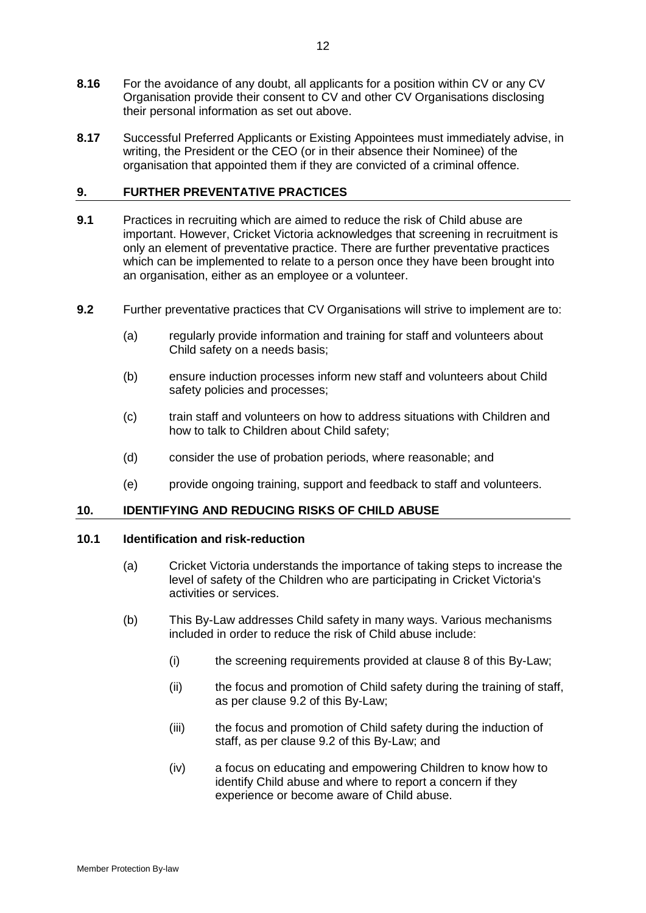- **8.16** For the avoidance of any doubt, all applicants for a position within CV or any CV Organisation provide their consent to CV and other CV Organisations disclosing their personal information as set out above.
- **8.17** Successful Preferred Applicants or Existing Appointees must immediately advise, in writing, the President or the CEO (or in their absence their Nominee) of the organisation that appointed them if they are convicted of a criminal offence.

# <span id="page-14-0"></span>**9. FURTHER PREVENTATIVE PRACTICES**

- **9.1** Practices in recruiting which are aimed to reduce the risk of Child abuse are important. However, Cricket Victoria acknowledges that screening in recruitment is only an element of preventative practice. There are further preventative practices which can be implemented to relate to a person once they have been brought into an organisation, either as an employee or a volunteer.
- **9.2** Further preventative practices that CV Organisations will strive to implement are to:
	- (a) regularly provide information and training for staff and volunteers about Child safety on a needs basis;
	- (b) ensure induction processes inform new staff and volunteers about Child safety policies and processes;
	- (c) train staff and volunteers on how to address situations with Children and how to talk to Children about Child safety;
	- (d) consider the use of probation periods, where reasonable; and
	- (e) provide ongoing training, support and feedback to staff and volunteers.

#### **10. IDENTIFYING AND REDUCING RISKS OF CHILD ABUSE**

#### **10.1 Identification and risk-reduction**

- (a) Cricket Victoria understands the importance of taking steps to increase the level of safety of the Children who are participating in Cricket Victoria's activities or services.
- (b) This By-Law addresses Child safety in many ways. Various mechanisms included in order to reduce the risk of Child abuse include:
	- (i) the screening requirements provided at clause 8 of this By-Law;
	- (ii) the focus and promotion of Child safety during the training of staff, as per clause 9.2 of this By-Law;
	- (iii) the focus and promotion of Child safety during the induction of staff, as per clause 9.2 of this By-Law; and
	- (iv) a focus on educating and empowering Children to know how to identify Child abuse and where to report a concern if they experience or become aware of Child abuse.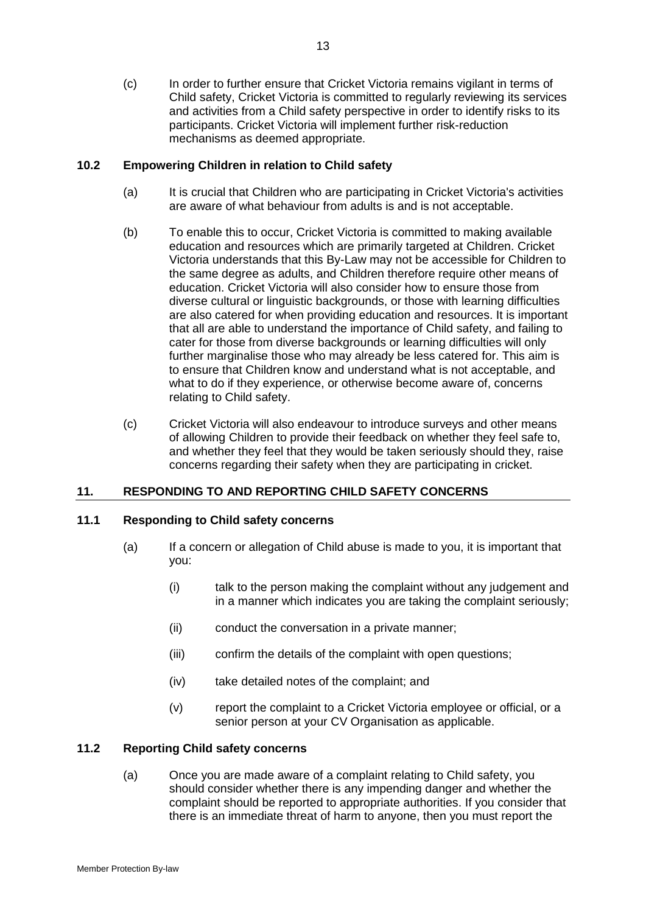(c) In order to further ensure that Cricket Victoria remains vigilant in terms of Child safety, Cricket Victoria is committed to regularly reviewing its services and activities from a Child safety perspective in order to identify risks to its participants. Cricket Victoria will implement further risk-reduction mechanisms as deemed appropriate.

# **10.2 Empowering Children in relation to Child safety**

- (a) It is crucial that Children who are participating in Cricket Victoria's activities are aware of what behaviour from adults is and is not acceptable.
- (b) To enable this to occur, Cricket Victoria is committed to making available education and resources which are primarily targeted at Children. Cricket Victoria understands that this By-Law may not be accessible for Children to the same degree as adults, and Children therefore require other means of education. Cricket Victoria will also consider how to ensure those from diverse cultural or linguistic backgrounds, or those with learning difficulties are also catered for when providing education and resources. It is important that all are able to understand the importance of Child safety, and failing to cater for those from diverse backgrounds or learning difficulties will only further marginalise those who may already be less catered for. This aim is to ensure that Children know and understand what is not acceptable, and what to do if they experience, or otherwise become aware of, concerns relating to Child safety.
- (c) Cricket Victoria will also endeavour to introduce surveys and other means of allowing Children to provide their feedback on whether they feel safe to, and whether they feel that they would be taken seriously should they, raise concerns regarding their safety when they are participating in cricket.

# **11. RESPONDING TO AND REPORTING CHILD SAFETY CONCERNS**

# **11.1 Responding to Child safety concerns**

- (a) If a concern or allegation of Child abuse is made to you, it is important that you:
	- (i) talk to the person making the complaint without any judgement and in a manner which indicates you are taking the complaint seriously;
	- (ii) conduct the conversation in a private manner;
	- (iii) confirm the details of the complaint with open questions;
	- (iv) take detailed notes of the complaint; and
	- (v) report the complaint to a Cricket Victoria employee or official, or a senior person at your CV Organisation as applicable.

# **11.2 Reporting Child safety concerns**

(a) Once you are made aware of a complaint relating to Child safety, you should consider whether there is any impending danger and whether the complaint should be reported to appropriate authorities. If you consider that there is an immediate threat of harm to anyone, then you must report the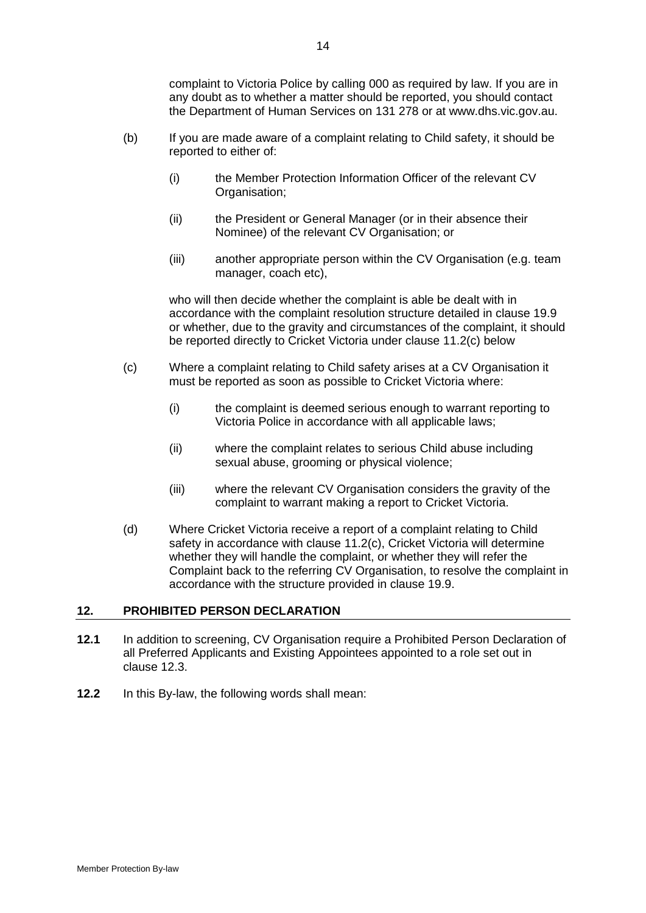complaint to Victoria Police by calling 000 as required by law. If you are in any doubt as to whether a matter should be reported, you should contact the Department of Human Services on 131 278 or at www.dhs.vic.gov.au.

- (b) If you are made aware of a complaint relating to Child safety, it should be reported to either of:
	- (i) the Member Protection Information Officer of the relevant CV Organisation;
	- (ii) the President or General Manager (or in their absence their Nominee) of the relevant CV Organisation; or
	- (iii) another appropriate person within the CV Organisation (e.g. team manager, coach etc),

who will then decide whether the complaint is able be dealt with in accordance with the complaint resolution structure detailed in clause [19.9](#page-28-0) or whether, due to the gravity and circumstances of the complaint, it should be reported directly to Cricket Victoria under clause [11.2\(c\)](#page-16-0) below

- <span id="page-16-0"></span>(c) Where a complaint relating to Child safety arises at a CV Organisation it must be reported as soon as possible to Cricket Victoria where:
	- (i) the complaint is deemed serious enough to warrant reporting to Victoria Police in accordance with all applicable laws;
	- (ii) where the complaint relates to serious Child abuse including sexual abuse, grooming or physical violence;
	- (iii) where the relevant CV Organisation considers the gravity of the complaint to warrant making a report to Cricket Victoria.
- (d) Where Cricket Victoria receive a report of a complaint relating to Child safety in accordance with clause [11.2\(c\),](#page-16-0) Cricket Victoria will determine whether they will handle the complaint, or whether they will refer the Complaint back to the referring CV Organisation, to resolve the complaint in accordance with the structure provided in clause [19.9.](#page-28-0)

# **12. PROHIBITED PERSON DECLARATION**

- **12.1** In addition to screening, CV Organisation require a Prohibited Person Declaration of all Preferred Applicants and Existing Appointees appointed to a role set out in clause [12.3.](#page-17-0)
- **12.2** In this By-law, the following words shall mean: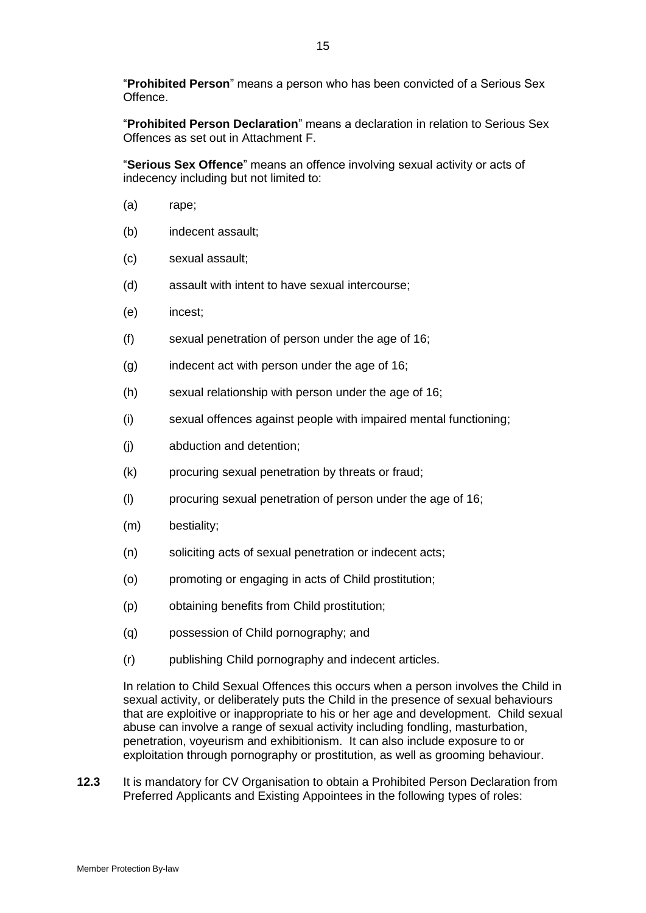"**Prohibited Person**" means a person who has been convicted of a Serious Sex Offence.

"**Prohibited Person Declaration**" means a declaration in relation to Serious Sex Offences as set out in Attachment F.

"**Serious Sex Offence**" means an offence involving sexual activity or acts of indecency including but not limited to:

- (a) rape;
- (b) indecent assault;
- (c) sexual assault;
- (d) assault with intent to have sexual intercourse;
- (e) incest;
- (f) sexual penetration of person under the age of 16;
- (g) indecent act with person under the age of 16;
- (h) sexual relationship with person under the age of 16;
- (i) sexual offences against people with impaired mental functioning;
- (j) abduction and detention;
- (k) procuring sexual penetration by threats or fraud;
- (l) procuring sexual penetration of person under the age of 16;
- (m) bestiality;
- (n) soliciting acts of sexual penetration or indecent acts;
- (o) promoting or engaging in acts of Child prostitution;
- (p) obtaining benefits from Child prostitution;
- (q) possession of Child pornography; and
- (r) publishing Child pornography and indecent articles.

In relation to Child Sexual Offences this occurs when a person involves the Child in sexual activity, or deliberately puts the Child in the presence of sexual behaviours that are exploitive or inappropriate to his or her age and development. Child sexual abuse can involve a range of sexual activity including fondling, masturbation, penetration, voyeurism and exhibitionism. It can also include exposure to or exploitation through pornography or prostitution, as well as grooming behaviour.

<span id="page-17-0"></span>**12.3** It is mandatory for CV Organisation to obtain a Prohibited Person Declaration from Preferred Applicants and Existing Appointees in the following types of roles: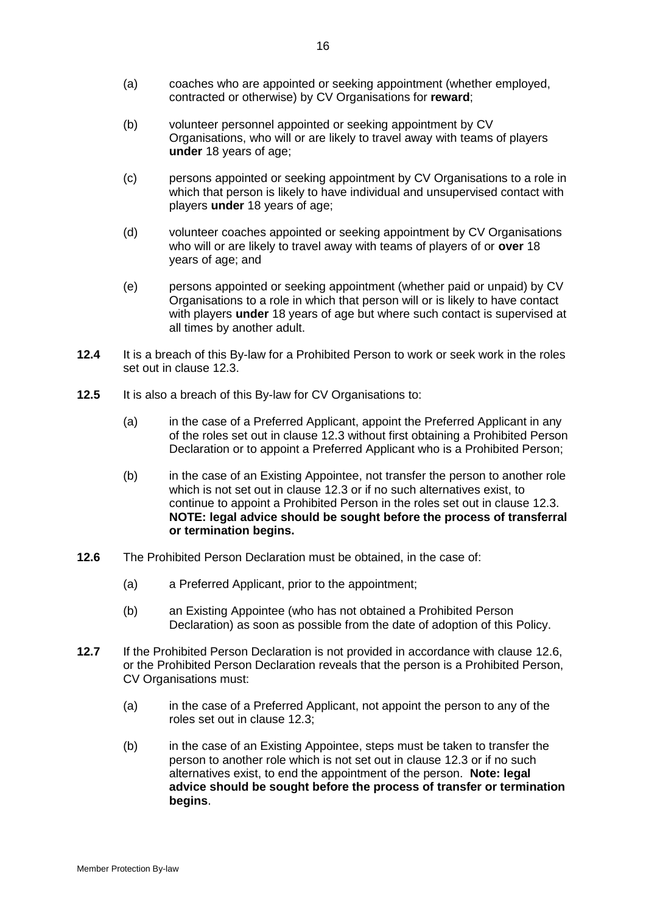- (a) coaches who are appointed or seeking appointment (whether employed, contracted or otherwise) by CV Organisations for **reward**;
- (b) volunteer personnel appointed or seeking appointment by CV Organisations, who will or are likely to travel away with teams of players **under** 18 years of age;
- (c) persons appointed or seeking appointment by CV Organisations to a role in which that person is likely to have individual and unsupervised contact with players **under** 18 years of age;
- (d) volunteer coaches appointed or seeking appointment by CV Organisations who will or are likely to travel away with teams of players of or **over** 18 years of age; and
- (e) persons appointed or seeking appointment (whether paid or unpaid) by CV Organisations to a role in which that person will or is likely to have contact with players **under** 18 years of age but where such contact is supervised at all times by another adult.
- **12.4** It is a breach of this By-law for a Prohibited Person to work or seek work in the roles set out in clause [12.3.](#page-17-0)
- **12.5** It is also a breach of this By-law for CV Organisations to:
	- (a) in the case of a Preferred Applicant, appoint the Preferred Applicant in any of the roles set out in clause [12.3](#page-17-0) without first obtaining a Prohibited Person Declaration or to appoint a Preferred Applicant who is a Prohibited Person;
	- (b) in the case of an Existing Appointee, not transfer the person to another role which is not set out in clause [12.3](#page-17-0) or if no such alternatives exist, to continue to appoint a Prohibited Person in the roles set out in clause [12.3.](#page-17-0) **NOTE: legal advice should be sought before the process of transferral or termination begins.**
- <span id="page-18-0"></span>**12.6** The Prohibited Person Declaration must be obtained, in the case of:
	- (a) a Preferred Applicant, prior to the appointment;
	- (b) an Existing Appointee (who has not obtained a Prohibited Person Declaration) as soon as possible from the date of adoption of this Policy.
- **12.7** If the Prohibited Person Declaration is not provided in accordance with clause [12.6,](#page-18-0) or the Prohibited Person Declaration reveals that the person is a Prohibited Person, CV Organisations must:
	- (a) in the case of a Preferred Applicant, not appoint the person to any of the roles set out in clause [12.3;](#page-17-0)
	- (b) in the case of an Existing Appointee, steps must be taken to transfer the person to another role which is not set out in clause [12.3](#page-17-0) or if no such alternatives exist, to end the appointment of the person. **Note: legal advice should be sought before the process of transfer or termination begins**.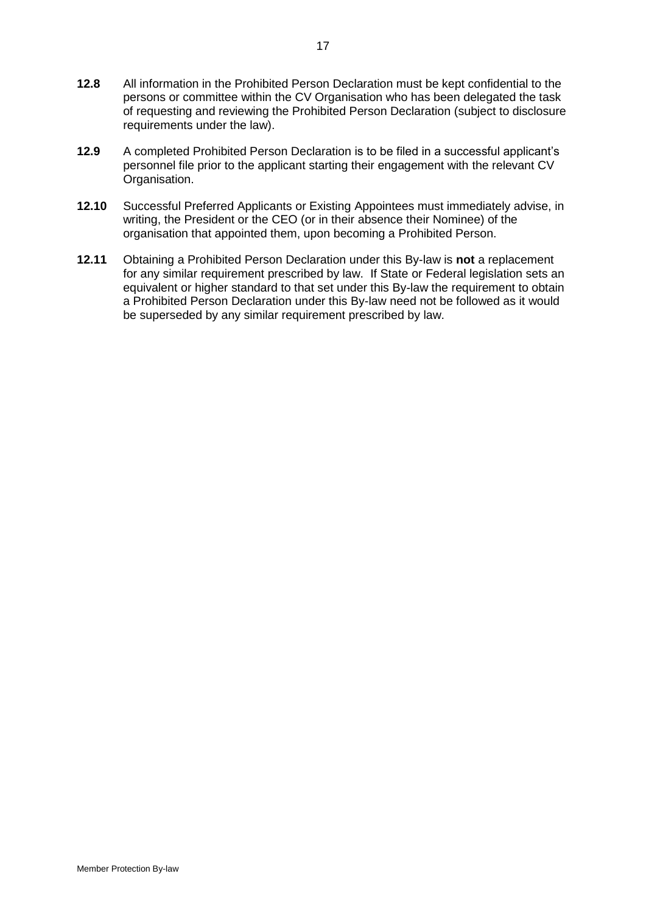- **12.8** All information in the Prohibited Person Declaration must be kept confidential to the persons or committee within the CV Organisation who has been delegated the task of requesting and reviewing the Prohibited Person Declaration (subject to disclosure requirements under the law).
- **12.9** A completed Prohibited Person Declaration is to be filed in a successful applicant's personnel file prior to the applicant starting their engagement with the relevant CV Organisation.
- **12.10** Successful Preferred Applicants or Existing Appointees must immediately advise, in writing, the President or the CEO (or in their absence their Nominee) of the organisation that appointed them, upon becoming a Prohibited Person.
- **12.11** Obtaining a Prohibited Person Declaration under this By-law is **not** a replacement for any similar requirement prescribed by law. If State or Federal legislation sets an equivalent or higher standard to that set under this By-law the requirement to obtain a Prohibited Person Declaration under this By-law need not be followed as it would be superseded by any similar requirement prescribed by law.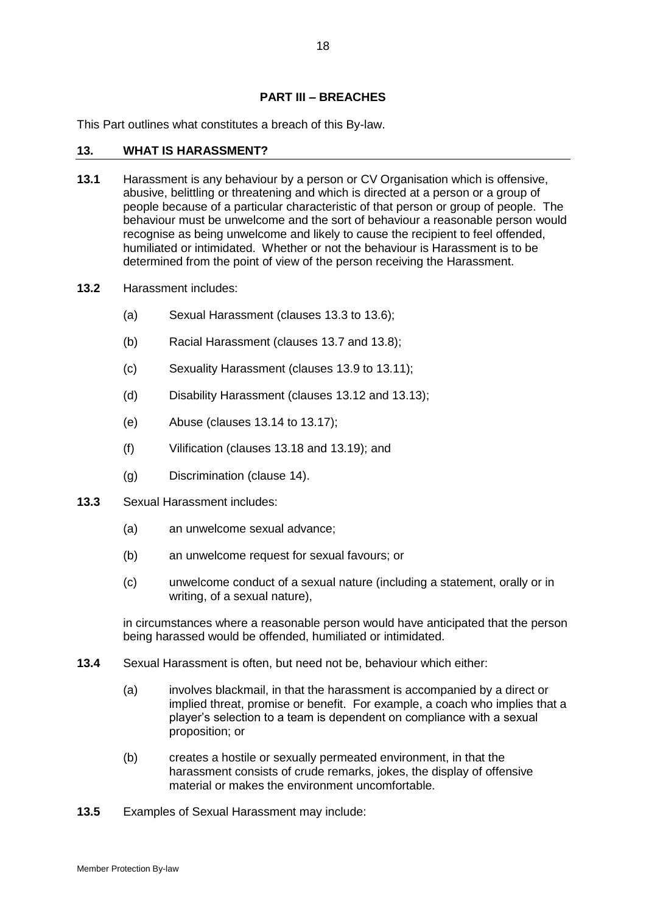# **PART III – BREACHES**

This Part outlines what constitutes a breach of this By-law.

#### <span id="page-20-0"></span>**13. WHAT IS HARASSMENT?**

- **13.1** Harassment is any behaviour by a person or CV Organisation which is offensive, abusive, belittling or threatening and which is directed at a person or a group of people because of a particular characteristic of that person or group of people. The behaviour must be unwelcome and the sort of behaviour a reasonable person would recognise as being unwelcome and likely to cause the recipient to feel offended, humiliated or intimidated. Whether or not the behaviour is Harassment is to be determined from the point of view of the person receiving the Harassment.
- **13.2** Harassment includes:
	- (a) Sexual Harassment (clauses [13.3](#page-20-1) to [13.6\)](#page-21-0);
	- (b) Racial Harassment (clauses [13.7](#page-21-1) and [13.8\)](#page-21-2);
	- (c) Sexuality Harassment (clauses [13.9](#page-21-3) to [13.11\)](#page-22-0);
	- (d) Disability Harassment (clauses [13.12](#page-22-1) and [13.13\)](#page-22-2);
	- (e) Abuse (clauses [13.14](#page-22-3) to [13.17\)](#page-23-1);
	- (f) Vilification (clauses [13.18](#page-23-2) and [13.19\)](#page-23-3); and
	- (g) Discrimination (clause [14\)](#page-23-0).
- <span id="page-20-2"></span><span id="page-20-1"></span>**13.3** Sexual Harassment includes:
	- (a) an unwelcome sexual advance;
	- (b) an unwelcome request for sexual favours; or
	- (c) unwelcome conduct of a sexual nature (including a statement, orally or in writing, of a sexual nature),

in circumstances where a reasonable person would have anticipated that the person being harassed would be offended, humiliated or intimidated.

- **13.4** Sexual Harassment is often, but need not be, behaviour which either:
	- (a) involves blackmail, in that the harassment is accompanied by a direct or implied threat, promise or benefit. For example, a coach who implies that a player's selection to a team is dependent on compliance with a sexual proposition; or
	- (b) creates a hostile or sexually permeated environment, in that the harassment consists of crude remarks, jokes, the display of offensive material or makes the environment uncomfortable.
- **13.5** Examples of Sexual Harassment may include: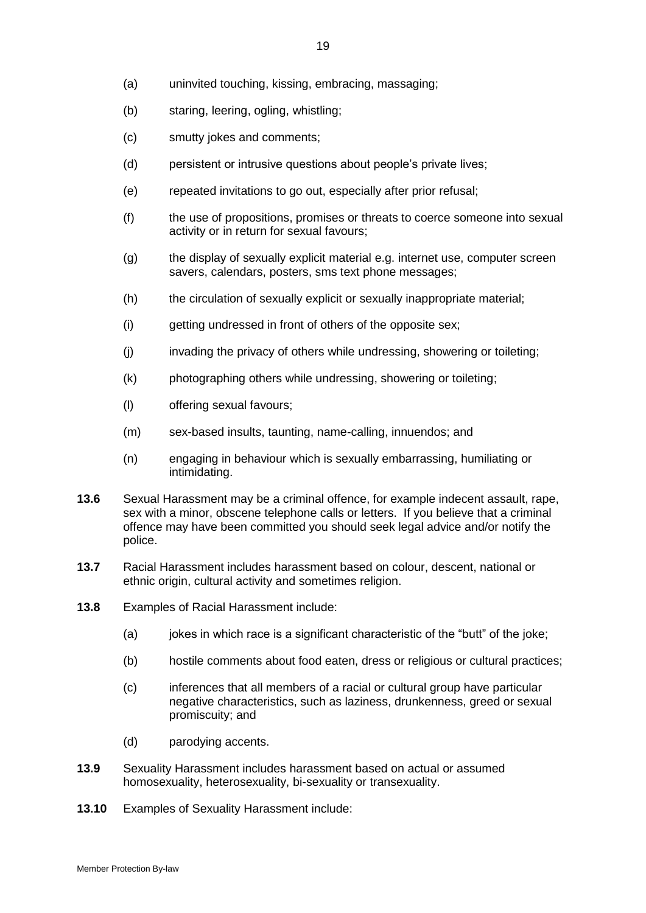- (b) staring, leering, ogling, whistling;
- (c) smutty jokes and comments;
- (d) persistent or intrusive questions about people's private lives;
- (e) repeated invitations to go out, especially after prior refusal;
- (f) the use of propositions, promises or threats to coerce someone into sexual activity or in return for sexual favours;
- (g) the display of sexually explicit material e.g. internet use, computer screen savers, calendars, posters, sms text phone messages;
- (h) the circulation of sexually explicit or sexually inappropriate material;
- (i) getting undressed in front of others of the opposite sex;
- (j) invading the privacy of others while undressing, showering or toileting;
- (k) photographing others while undressing, showering or toileting;
- (l) offering sexual favours;
- (m) sex-based insults, taunting, name-calling, innuendos; and
- (n) engaging in behaviour which is sexually embarrassing, humiliating or intimidating.
- <span id="page-21-0"></span>**13.6** Sexual Harassment may be a criminal offence, for example indecent assault, rape, sex with a minor, obscene telephone calls or letters. If you believe that a criminal offence may have been committed you should seek legal advice and/or notify the police.
- <span id="page-21-1"></span>**13.7** Racial Harassment includes harassment based on colour, descent, national or ethnic origin, cultural activity and sometimes religion.
- <span id="page-21-2"></span>**13.8** Examples of Racial Harassment include:
	- (a) jokes in which race is a significant characteristic of the "butt" of the joke;
	- (b) hostile comments about food eaten, dress or religious or cultural practices;
	- (c) inferences that all members of a racial or cultural group have particular negative characteristics, such as laziness, drunkenness, greed or sexual promiscuity; and
	- (d) parodying accents.
- <span id="page-21-3"></span>**13.9** Sexuality Harassment includes harassment based on actual or assumed homosexuality, heterosexuality, bi-sexuality or transexuality.
- **13.10** Examples of Sexuality Harassment include: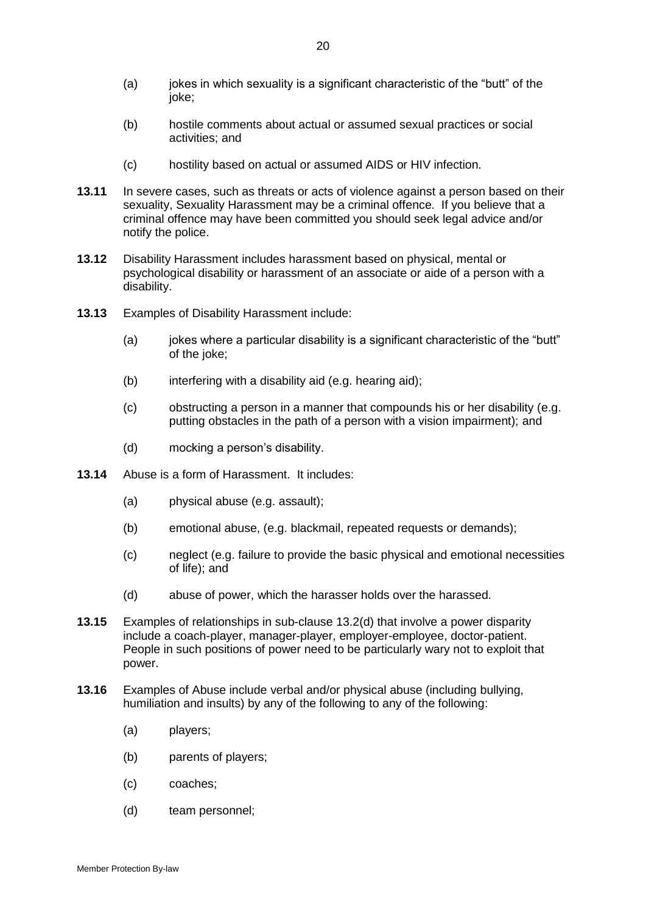- (a) jokes in which sexuality is a significant characteristic of the "butt" of the joke;
- (b) hostile comments about actual or assumed sexual practices or social activities; and
- (c) hostility based on actual or assumed AIDS or HIV infection.
- <span id="page-22-0"></span>**13.11** In severe cases, such as threats or acts of violence against a person based on their sexuality, Sexuality Harassment may be a criminal offence. If you believe that a criminal offence may have been committed you should seek legal advice and/or notify the police.
- <span id="page-22-1"></span>**13.12** Disability Harassment includes harassment based on physical, mental or psychological disability or harassment of an associate or aide of a person with a disability.
- <span id="page-22-2"></span>**13.13** Examples of Disability Harassment include:
	- (a) jokes where a particular disability is a significant characteristic of the "butt" of the joke;
	- (b) interfering with a disability aid (e.g. hearing aid);
	- (c) obstructing a person in a manner that compounds his or her disability (e.g. putting obstacles in the path of a person with a vision impairment); and
	- (d) mocking a person's disability.
- <span id="page-22-3"></span>**13.14** Abuse is a form of Harassment. It includes:
	- (a) physical abuse (e.g. assault);
	- (b) emotional abuse, (e.g. blackmail, repeated requests or demands);
	- (c) neglect (e.g. failure to provide the basic physical and emotional necessities of life); and
	- (d) abuse of power, which the harasser holds over the harassed.
- **13.15** Examples of relationships in sub-clause [13.2\(d\)](#page-20-2) that involve a power disparity include a coach-player, manager-player, employer-employee, doctor-patient. People in such positions of power need to be particularly wary not to exploit that power.
- <span id="page-22-4"></span>**13.16** Examples of Abuse include verbal and/or physical abuse (including bullying, humiliation and insults) by any of the following to any of the following:
	- (a) players;
	- (b) parents of players;
	- (c) coaches;
	- (d) team personnel;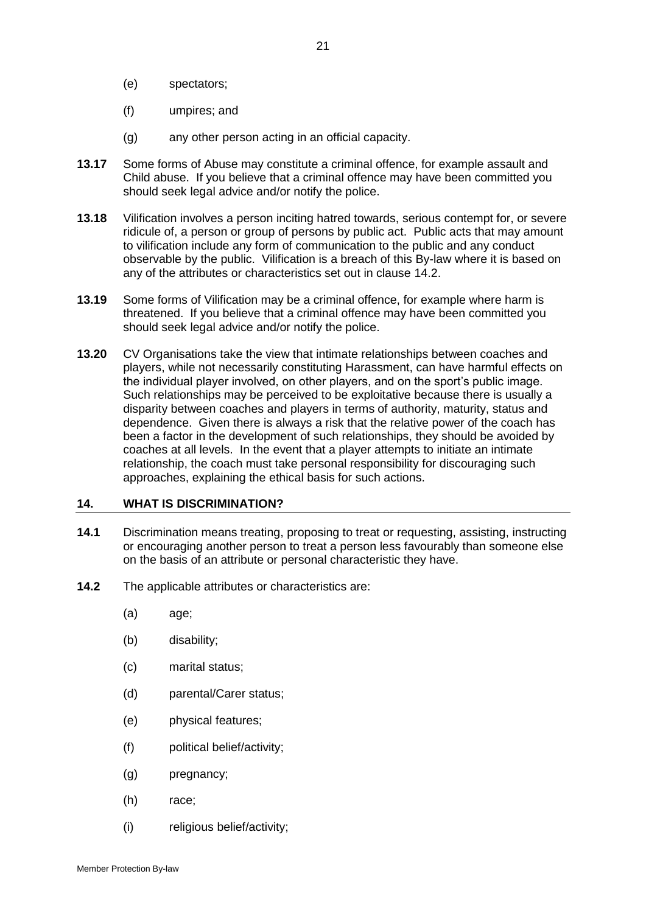- (e) spectators;
- (f) umpires; and
- (g) any other person acting in an official capacity.
- <span id="page-23-1"></span>**13.17** Some forms of Abuse may constitute a criminal offence, for example assault and Child abuse. If you believe that a criminal offence may have been committed you should seek legal advice and/or notify the police.
- <span id="page-23-2"></span>**13.18** Vilification involves a person inciting hatred towards, serious contempt for, or severe ridicule of, a person or group of persons by public act. Public acts that may amount to vilification include any form of communication to the public and any conduct observable by the public. Vilification is a breach of this By-law where it is based on any of the attributes or characteristics set out in clause [14.2.](#page-23-4)
- <span id="page-23-3"></span>**13.19** Some forms of Vilification may be a criminal offence, for example where harm is threatened. If you believe that a criminal offence may have been committed you should seek legal advice and/or notify the police.
- **13.20** CV Organisations take the view that intimate relationships between coaches and players, while not necessarily constituting Harassment, can have harmful effects on the individual player involved, on other players, and on the sport's public image. Such relationships may be perceived to be exploitative because there is usually a disparity between coaches and players in terms of authority, maturity, status and dependence. Given there is always a risk that the relative power of the coach has been a factor in the development of such relationships, they should be avoided by coaches at all levels. In the event that a player attempts to initiate an intimate relationship, the coach must take personal responsibility for discouraging such approaches, explaining the ethical basis for such actions.

#### <span id="page-23-0"></span>**14. WHAT IS DISCRIMINATION?**

- **14.1** Discrimination means treating, proposing to treat or requesting, assisting, instructing or encouraging another person to treat a person less favourably than someone else on the basis of an attribute or personal characteristic they have.
- <span id="page-23-4"></span>**14.2** The applicable attributes or characteristics are:
	- (a) age;
	- (b) disability;
	- (c) marital status;
	- (d) parental/Carer status;
	- (e) physical features;
	- (f) political belief/activity;
	- (g) pregnancy;
	- (h) race;
	- (i) religious belief/activity;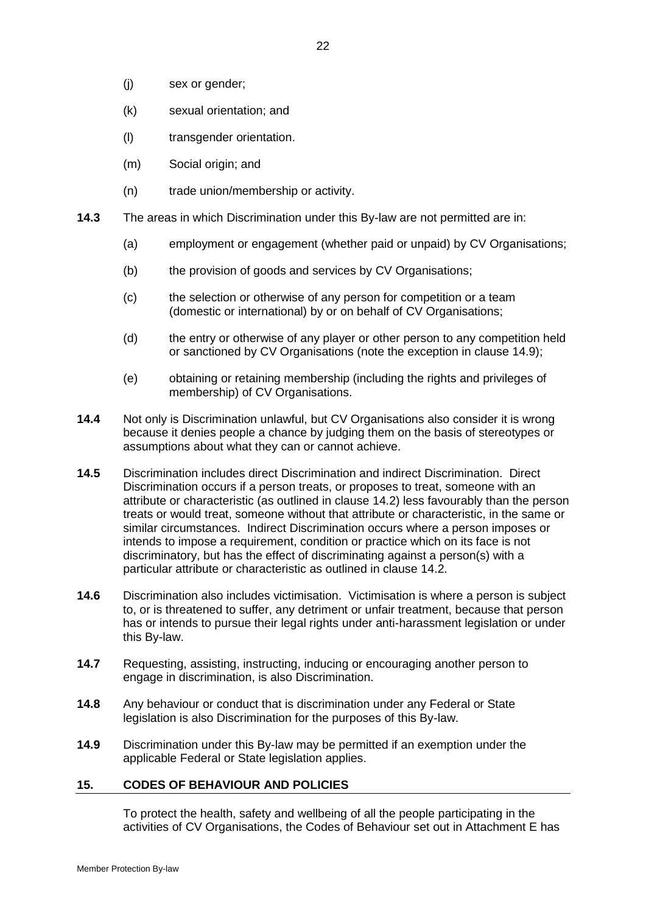- (j) sex or gender;
- (k) sexual orientation; and
- (l) transgender orientation.
- (m) Social origin; and
- (n) trade union/membership or activity.
- **14.3** The areas in which Discrimination under this By-law are not permitted are in:
	- (a) employment or engagement (whether paid or unpaid) by CV Organisations;
	- (b) the provision of goods and services by CV Organisations;
	- (c) the selection or otherwise of any person for competition or a team (domestic or international) by or on behalf of CV Organisations;
	- (d) the entry or otherwise of any player or other person to any competition held or sanctioned by CV Organisations (note the exception in clause [14.9\)](#page-24-0);
	- (e) obtaining or retaining membership (including the rights and privileges of membership) of CV Organisations.
- **14.4** Not only is Discrimination unlawful, but CV Organisations also consider it is wrong because it denies people a chance by judging them on the basis of stereotypes or assumptions about what they can or cannot achieve.
- **14.5** Discrimination includes direct Discrimination and indirect Discrimination. Direct Discrimination occurs if a person treats, or proposes to treat, someone with an attribute or characteristic (as outlined in clause [14.2\)](#page-23-4) less favourably than the person treats or would treat, someone without that attribute or characteristic, in the same or similar circumstances. Indirect Discrimination occurs where a person imposes or intends to impose a requirement, condition or practice which on its face is not discriminatory, but has the effect of discriminating against a person(s) with a particular attribute or characteristic as outlined in clause [14.2.](#page-23-4)
- **14.6** Discrimination also includes victimisation. Victimisation is where a person is subject to, or is threatened to suffer, any detriment or unfair treatment, because that person has or intends to pursue their legal rights under anti-harassment legislation or under this By-law.
- **14.7** Requesting, assisting, instructing, inducing or encouraging another person to engage in discrimination, is also Discrimination.
- **14.8** Any behaviour or conduct that is discrimination under any Federal or State legislation is also Discrimination for the purposes of this By-law.
- <span id="page-24-0"></span>**14.9** Discrimination under this By-law may be permitted if an exemption under the applicable Federal or State legislation applies.

#### **15. CODES OF BEHAVIOUR AND POLICIES**

To protect the health, safety and wellbeing of all the people participating in the activities of CV Organisations, the Codes of Behaviour set out in Attachment E has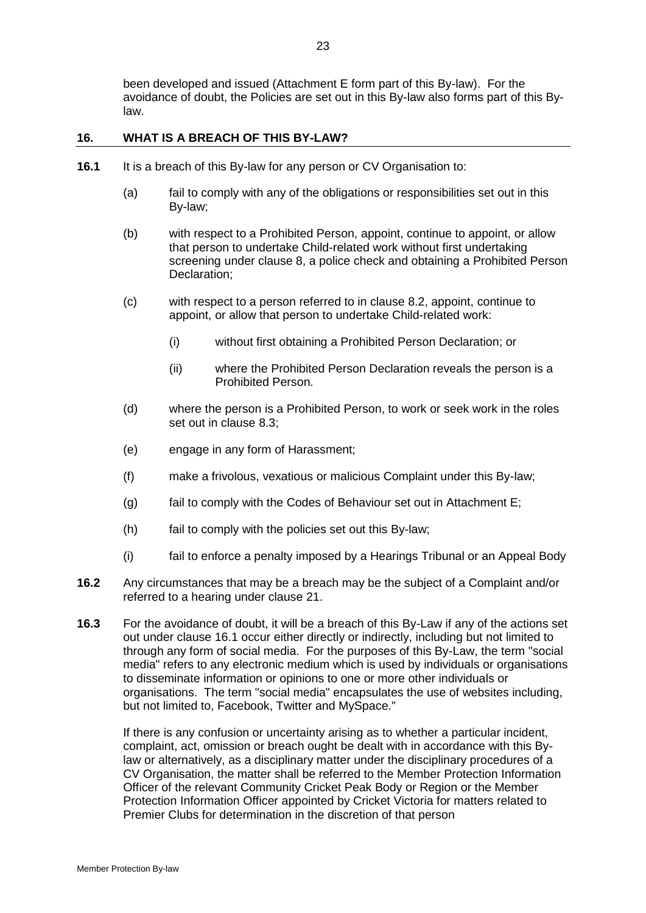been developed and issued (Attachment E form part of this By-law). For the avoidance of doubt, the Policies are set out in this By-law also forms part of this Bylaw.

# **16. WHAT IS A BREACH OF THIS BY-LAW?**

- <span id="page-25-0"></span>**16.1** It is a breach of this By-law for any person or CV Organisation to:
	- (a) fail to comply with any of the obligations or responsibilities set out in this By-law;
	- (b) with respect to a Prohibited Person, appoint, continue to appoint, or allow that person to undertake Child-related work without first undertaking screening under clause [8,](#page-11-3) a police check and obtaining a Prohibited Person Declaration;
	- (c) with respect to a person referred to in clause [8.2,](#page-11-2) appoint, continue to appoint, or allow that person to undertake Child-related work:
		- (i) without first obtaining a Prohibited Person Declaration; or
		- (ii) where the Prohibited Person Declaration reveals the person is a Prohibited Person.
	- (d) where the person is a Prohibited Person, to work or seek work in the roles set out in clause [8.3;](#page-11-4)
	- (e) engage in any form of Harassment;
	- (f) make a frivolous, vexatious or malicious Complaint under this By-law;
	- (g) fail to comply with the Codes of Behaviour set out in Attachment E;
	- (h) fail to comply with the policies set out this By-law;
	- (i) fail to enforce a penalty imposed by a Hearings Tribunal or an Appeal Body
- **16.2** Any circumstances that may be a breach may be the subject of a Complaint and/or referred to a hearing under clause [21.](#page-29-1)
- **16.3** For the avoidance of doubt, it will be a breach of this By-Law if any of the actions set out under clause [16.1](#page-25-0) occur either directly or indirectly, including but not limited to through any form of social media. For the purposes of this By-Law, the term "social media" refers to any electronic medium which is used by individuals or organisations to disseminate information or opinions to one or more other individuals or organisations. The term "social media" encapsulates the use of websites including, but not limited to, Facebook, Twitter and MySpace."

If there is any confusion or uncertainty arising as to whether a particular incident, complaint, act, omission or breach ought be dealt with in accordance with this Bylaw or alternatively, as a disciplinary matter under the disciplinary procedures of a CV Organisation, the matter shall be referred to the Member Protection Information Officer of the relevant Community Cricket Peak Body or Region or the Member Protection Information Officer appointed by Cricket Victoria for matters related to Premier Clubs for determination in the discretion of that person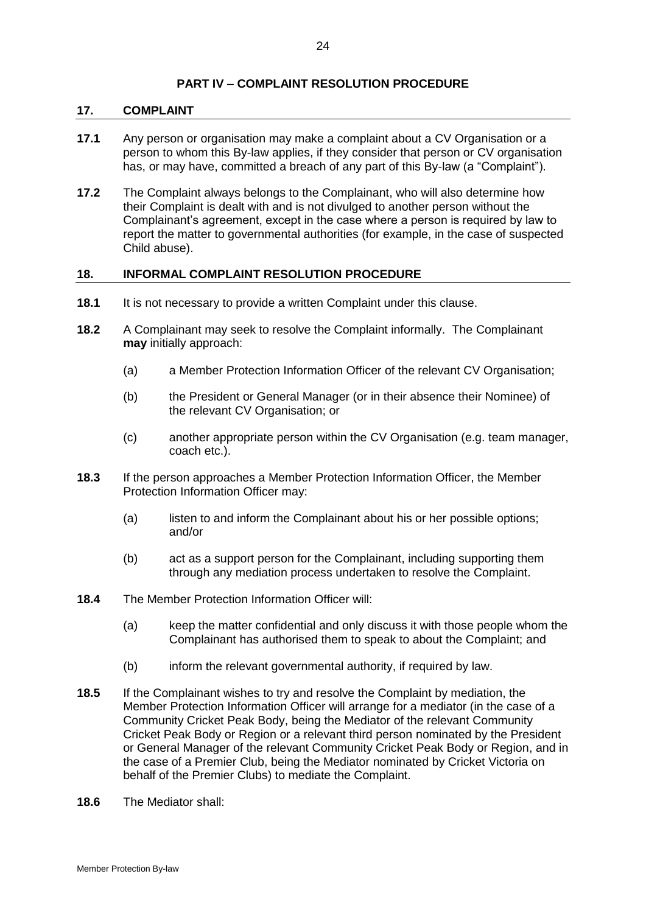# **PART IV – COMPLAINT RESOLUTION PROCEDURE**

#### **17. COMPLAINT**

- **17.1** Any person or organisation may make a complaint about a CV Organisation or a person to whom this By-law applies, if they consider that person or CV organisation has, or may have, committed a breach of any part of this By-law (a "Complaint").
- **17.2** The Complaint always belongs to the Complainant, who will also determine how their Complaint is dealt with and is not divulged to another person without the Complainant's agreement, except in the case where a person is required by law to report the matter to governmental authorities (for example, in the case of suspected Child abuse).

#### <span id="page-26-0"></span>**18. INFORMAL COMPLAINT RESOLUTION PROCEDURE**

- **18.1** It is not necessary to provide a written Complaint under this clause.
- **18.2** A Complainant may seek to resolve the Complaint informally. The Complainant **may** initially approach:
	- (a) a Member Protection Information Officer of the relevant CV Organisation;
	- (b) the President or General Manager (or in their absence their Nominee) of the relevant CV Organisation; or
	- (c) another appropriate person within the CV Organisation (e.g. team manager, coach etc.).
- **18.3** If the person approaches a Member Protection Information Officer, the Member Protection Information Officer may:
	- (a) listen to and inform the Complainant about his or her possible options; and/or
	- (b) act as a support person for the Complainant, including supporting them through any mediation process undertaken to resolve the Complaint.
- **18.4** The Member Protection Information Officer will:
	- (a) keep the matter confidential and only discuss it with those people whom the Complainant has authorised them to speak to about the Complaint; and
	- (b) inform the relevant governmental authority, if required by law.
- **18.5** If the Complainant wishes to try and resolve the Complaint by mediation, the Member Protection Information Officer will arrange for a mediator (in the case of a Community Cricket Peak Body, being the Mediator of the relevant Community Cricket Peak Body or Region or a relevant third person nominated by the President or General Manager of the relevant Community Cricket Peak Body or Region, and in the case of a Premier Club, being the Mediator nominated by Cricket Victoria on behalf of the Premier Clubs) to mediate the Complaint.
- <span id="page-26-1"></span>**18.6** The Mediator shall: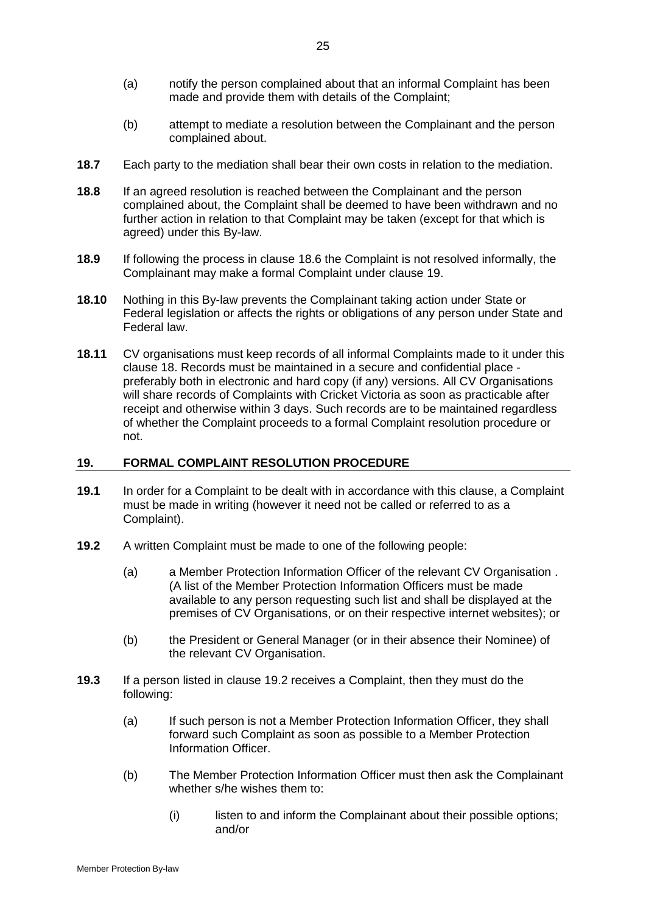- (a) notify the person complained about that an informal Complaint has been made and provide them with details of the Complaint;
- (b) attempt to mediate a resolution between the Complainant and the person complained about.
- **18.7** Each party to the mediation shall bear their own costs in relation to the mediation.
- **18.8** If an agreed resolution is reached between the Complainant and the person complained about, the Complaint shall be deemed to have been withdrawn and no further action in relation to that Complaint may be taken (except for that which is agreed) under this By-law.
- **18.9** If following the process in clause [18.6](#page-26-1) the Complaint is not resolved informally, the Complainant may make a formal Complaint under clause [19.](#page-27-0)
- **18.10** Nothing in this By-law prevents the Complainant taking action under State or Federal legislation or affects the rights or obligations of any person under State and Federal law.
- **18.11** CV organisations must keep records of all informal Complaints made to it under this clause [18.](#page-26-0) Records must be maintained in a secure and confidential place preferably both in electronic and hard copy (if any) versions. All CV Organisations will share records of Complaints with Cricket Victoria as soon as practicable after receipt and otherwise within 3 days. Such records are to be maintained regardless of whether the Complaint proceeds to a formal Complaint resolution procedure or not.

# <span id="page-27-0"></span>**19. FORMAL COMPLAINT RESOLUTION PROCEDURE**

- **19.1** In order for a Complaint to be dealt with in accordance with this clause, a Complaint must be made in writing (however it need not be called or referred to as a Complaint).
- <span id="page-27-1"></span>**19.2** A written Complaint must be made to one of the following people:
	- (a) a Member Protection Information Officer of the relevant CV Organisation . (A list of the Member Protection Information Officers must be made available to any person requesting such list and shall be displayed at the premises of CV Organisations, or on their respective internet websites); or
	- (b) the President or General Manager (or in their absence their Nominee) of the relevant CV Organisation.
- <span id="page-27-2"></span>**19.3** If a person listed in clause [19.2](#page-27-1) receives a Complaint, then they must do the following:
	- (a) If such person is not a Member Protection Information Officer, they shall forward such Complaint as soon as possible to a Member Protection Information Officer.
	- (b) The Member Protection Information Officer must then ask the Complainant whether s/he wishes them to:
		- (i) listen to and inform the Complainant about their possible options; and/or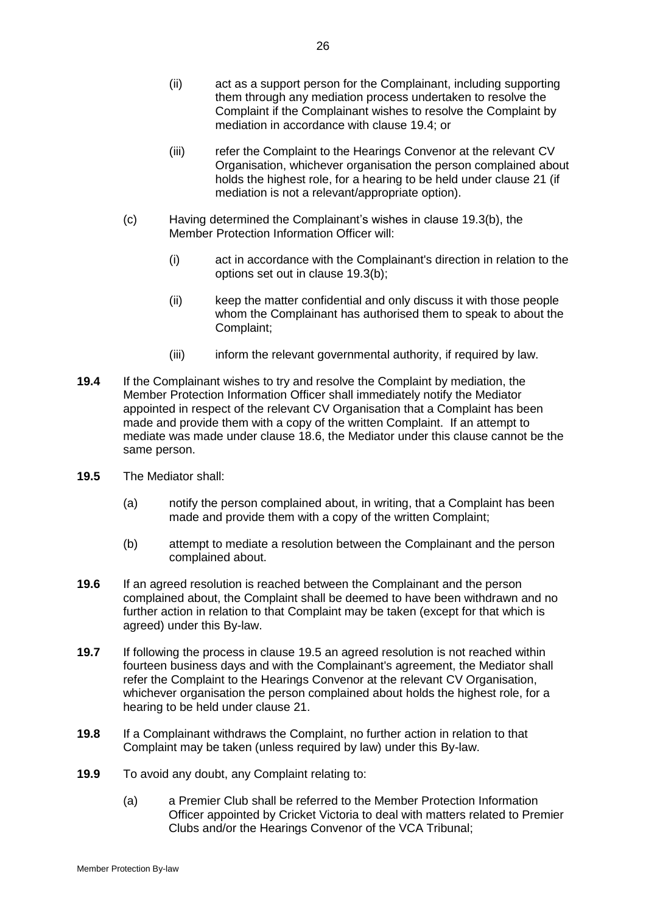- (ii) act as a support person for the Complainant, including supporting them through any mediation process undertaken to resolve the Complaint if the Complainant wishes to resolve the Complaint by mediation in accordance with clause [19.4;](#page-28-1) or
- (iii) refer the Complaint to the Hearings Convenor at the relevant CV Organisation, whichever organisation the person complained about holds the highest role, for a hearing to be held under clause [21](#page-29-1) (if mediation is not a relevant/appropriate option).
- (c) Having determined the Complainant's wishes in clause [19.3\(b\),](#page-27-2) the Member Protection Information Officer will:
	- (i) act in accordance with the Complainant's direction in relation to the options set out in clause [19.3\(b\);](#page-27-2)
	- (ii) keep the matter confidential and only discuss it with those people whom the Complainant has authorised them to speak to about the Complaint;
	- (iii) inform the relevant governmental authority, if required by law.
- <span id="page-28-1"></span>**19.4** If the Complainant wishes to try and resolve the Complaint by mediation, the Member Protection Information Officer shall immediately notify the Mediator appointed in respect of the relevant CV Organisation that a Complaint has been made and provide them with a copy of the written Complaint. If an attempt to mediate was made under clause [18.6,](#page-26-1) the Mediator under this clause cannot be the same person.
- <span id="page-28-2"></span>**19.5** The Mediator shall:
	- (a) notify the person complained about, in writing, that a Complaint has been made and provide them with a copy of the written Complaint;
	- (b) attempt to mediate a resolution between the Complainant and the person complained about.
- **19.6** If an agreed resolution is reached between the Complainant and the person complained about, the Complaint shall be deemed to have been withdrawn and no further action in relation to that Complaint may be taken (except for that which is agreed) under this By-law.
- **19.7** If following the process in clause [19.5](#page-28-2) an agreed resolution is not reached within fourteen business days and with the Complainant's agreement, the Mediator shall refer the Complaint to the Hearings Convenor at the relevant CV Organisation, whichever organisation the person complained about holds the highest role, for a hearing to be held under clause [21.](#page-29-1)
- **19.8** If a Complainant withdraws the Complaint, no further action in relation to that Complaint may be taken (unless required by law) under this By-law.
- <span id="page-28-0"></span>**19.9** To avoid any doubt, any Complaint relating to:
	- (a) a Premier Club shall be referred to the Member Protection Information Officer appointed by Cricket Victoria to deal with matters related to Premier Clubs and/or the Hearings Convenor of the VCA Tribunal;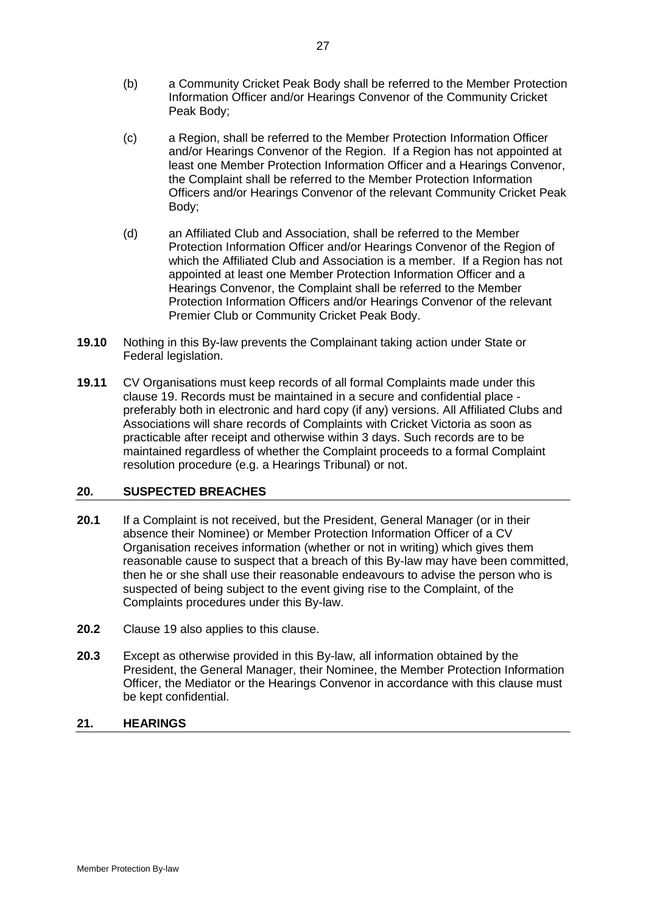- (b) a Community Cricket Peak Body shall be referred to the Member Protection Information Officer and/or Hearings Convenor of the Community Cricket Peak Body;
- (c) a Region, shall be referred to the Member Protection Information Officer and/or Hearings Convenor of the Region. If a Region has not appointed at least one Member Protection Information Officer and a Hearings Convenor, the Complaint shall be referred to the Member Protection Information Officers and/or Hearings Convenor of the relevant Community Cricket Peak Body;
- (d) an Affiliated Club and Association, shall be referred to the Member Protection Information Officer and/or Hearings Convenor of the Region of which the Affiliated Club and Association is a member. If a Region has not appointed at least one Member Protection Information Officer and a Hearings Convenor, the Complaint shall be referred to the Member Protection Information Officers and/or Hearings Convenor of the relevant Premier Club or Community Cricket Peak Body.
- **19.10** Nothing in this By-law prevents the Complainant taking action under State or Federal legislation.
- **19.11** CV Organisations must keep records of all formal Complaints made under this clause [19.](#page-27-0) Records must be maintained in a secure and confidential place preferably both in electronic and hard copy (if any) versions. All Affiliated Clubs and Associations will share records of Complaints with Cricket Victoria as soon as practicable after receipt and otherwise within 3 days. Such records are to be maintained regardless of whether the Complaint proceeds to a formal Complaint resolution procedure (e.g. a Hearings Tribunal) or not.

# <span id="page-29-0"></span>**20. SUSPECTED BREACHES**

- **20.1** If a Complaint is not received, but the President, General Manager (or in their absence their Nominee) or Member Protection Information Officer of a CV Organisation receives information (whether or not in writing) which gives them reasonable cause to suspect that a breach of this By-law may have been committed, then he or she shall use their reasonable endeavours to advise the person who is suspected of being subject to the event giving rise to the Complaint, of the Complaints procedures under this By-law.
- **20.2** Clause [19](#page-27-0) also applies to this clause.
- **20.3** Except as otherwise provided in this By-law, all information obtained by the President, the General Manager, their Nominee, the Member Protection Information Officer, the Mediator or the Hearings Convenor in accordance with this clause must be kept confidential.

#### <span id="page-29-1"></span>**21. HEARINGS**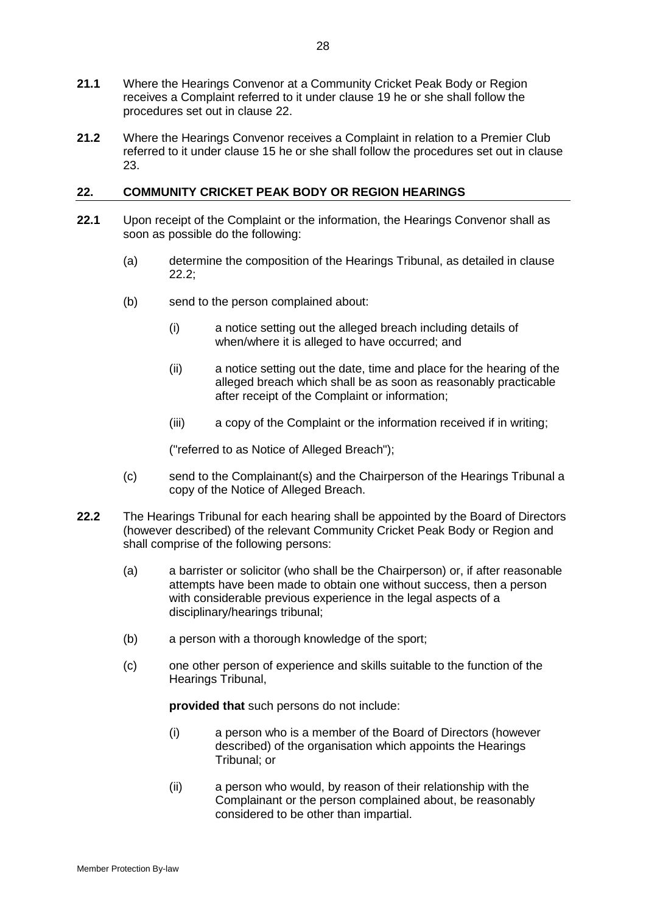- **21.1** Where the Hearings Convenor at a Community Cricket Peak Body or Region receives a Complaint referred to it under clause [19](#page-27-0) he or she shall follow the procedures set out in clause [22.](#page-30-1)
- **21.2** Where the Hearings Convenor receives a Complaint in relation to a Premier Club referred to it under clause 15 he or she shall follow the procedures set out in clause [23.](#page-33-0)

# <span id="page-30-1"></span>**22. COMMUNITY CRICKET PEAK BODY OR REGION HEARINGS**

- **22.1** Upon receipt of the Complaint or the information, the Hearings Convenor shall as soon as possible do the following:
	- (a) determine the composition of the Hearings Tribunal, as detailed in clause [22.2;](#page-30-0)
	- (b) send to the person complained about:
		- (i) a notice setting out the alleged breach including details of when/where it is alleged to have occurred; and
		- (ii) a notice setting out the date, time and place for the hearing of the alleged breach which shall be as soon as reasonably practicable after receipt of the Complaint or information;
		- (iii) a copy of the Complaint or the information received if in writing;

("referred to as Notice of Alleged Breach");

- (c) send to the Complainant(s) and the Chairperson of the Hearings Tribunal a copy of the Notice of Alleged Breach.
- <span id="page-30-0"></span>**22.2** The Hearings Tribunal for each hearing shall be appointed by the Board of Directors (however described) of the relevant Community Cricket Peak Body or Region and shall comprise of the following persons:
	- (a) a barrister or solicitor (who shall be the Chairperson) or, if after reasonable attempts have been made to obtain one without success, then a person with considerable previous experience in the legal aspects of a disciplinary/hearings tribunal;
	- (b) a person with a thorough knowledge of the sport;
	- (c) one other person of experience and skills suitable to the function of the Hearings Tribunal,

**provided that** such persons do not include:

- (i) a person who is a member of the Board of Directors (however described) of the organisation which appoints the Hearings Tribunal; or
- (ii) a person who would, by reason of their relationship with the Complainant or the person complained about, be reasonably considered to be other than impartial.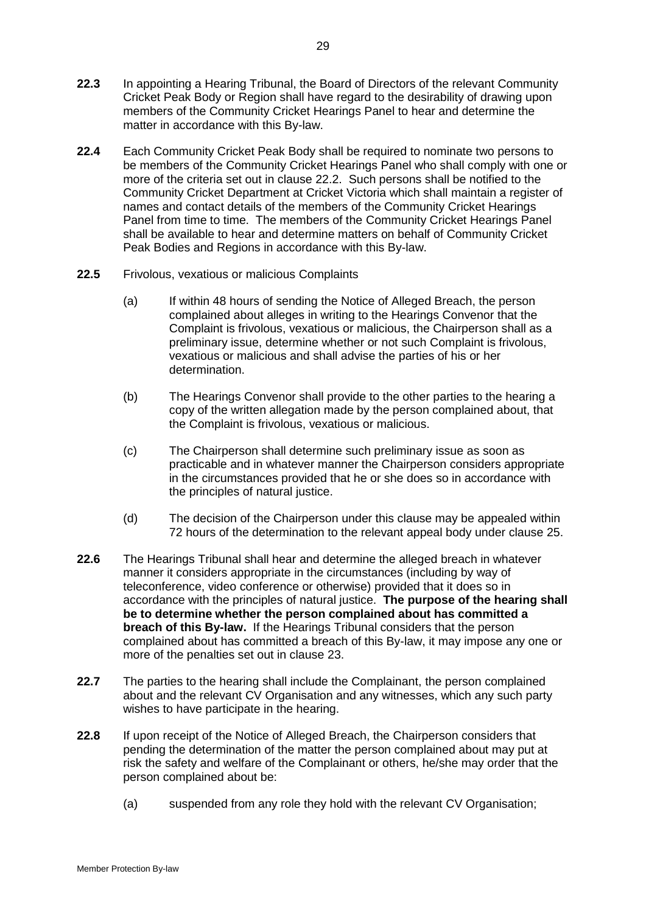- **22.3** In appointing a Hearing Tribunal, the Board of Directors of the relevant Community Cricket Peak Body or Region shall have regard to the desirability of drawing upon members of the Community Cricket Hearings Panel to hear and determine the matter in accordance with this By-law.
- **22.4** Each Community Cricket Peak Body shall be required to nominate two persons to be members of the Community Cricket Hearings Panel who shall comply with one or more of the criteria set out in clause [22.2.](#page-30-0) Such persons shall be notified to the Community Cricket Department at Cricket Victoria which shall maintain a register of names and contact details of the members of the Community Cricket Hearings Panel from time to time. The members of the Community Cricket Hearings Panel shall be available to hear and determine matters on behalf of Community Cricket Peak Bodies and Regions in accordance with this By-law.
- **22.5** Frivolous, vexatious or malicious Complaints
	- (a) If within 48 hours of sending the Notice of Alleged Breach, the person complained about alleges in writing to the Hearings Convenor that the Complaint is frivolous, vexatious or malicious, the Chairperson shall as a preliminary issue, determine whether or not such Complaint is frivolous, vexatious or malicious and shall advise the parties of his or her determination.
	- (b) The Hearings Convenor shall provide to the other parties to the hearing a copy of the written allegation made by the person complained about, that the Complaint is frivolous, vexatious or malicious.
	- (c) The Chairperson shall determine such preliminary issue as soon as practicable and in whatever manner the Chairperson considers appropriate in the circumstances provided that he or she does so in accordance with the principles of natural justice.
	- (d) The decision of the Chairperson under this clause may be appealed within 72 hours of the determination to the relevant appeal body under clause [25.](#page-37-0)
- **22.6** The Hearings Tribunal shall hear and determine the alleged breach in whatever manner it considers appropriate in the circumstances (including by way of teleconference, video conference or otherwise) provided that it does so in accordance with the principles of natural justice. **The purpose of the hearing shall be to determine whether the person complained about has committed a breach of this By-law.** If the Hearings Tribunal considers that the person complained about has committed a breach of this By-law, it may impose any one or more of the penalties set out in clause [23.](#page-33-0)
- **22.7** The parties to the hearing shall include the Complainant, the person complained about and the relevant CV Organisation and any witnesses, which any such party wishes to have participate in the hearing.
- <span id="page-31-0"></span>**22.8** If upon receipt of the Notice of Alleged Breach, the Chairperson considers that pending the determination of the matter the person complained about may put at risk the safety and welfare of the Complainant or others, he/she may order that the person complained about be:
	- (a) suspended from any role they hold with the relevant CV Organisation;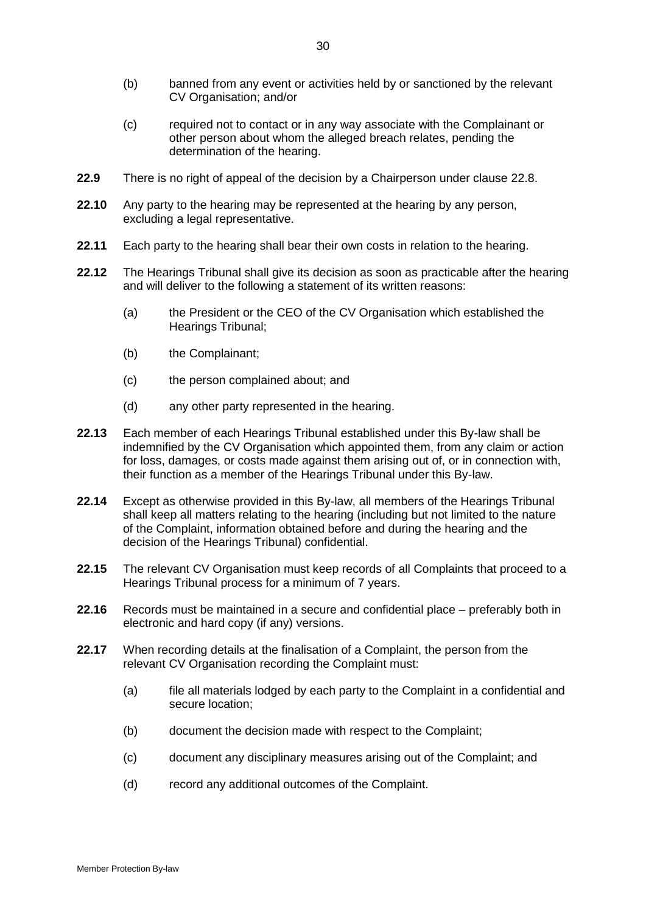- (b) banned from any event or activities held by or sanctioned by the relevant CV Organisation; and/or
- (c) required not to contact or in any way associate with the Complainant or other person about whom the alleged breach relates, pending the determination of the hearing.
- **22.9** There is no right of appeal of the decision by a Chairperson under clause [22.8.](#page-31-0)
- **22.10** Any party to the hearing may be represented at the hearing by any person, excluding a legal representative.
- **22.11** Each party to the hearing shall bear their own costs in relation to the hearing.
- **22.12** The Hearings Tribunal shall give its decision as soon as practicable after the hearing and will deliver to the following a statement of its written reasons:
	- (a) the President or the CEO of the CV Organisation which established the Hearings Tribunal;
	- (b) the Complainant;
	- (c) the person complained about; and
	- (d) any other party represented in the hearing.
- **22.13** Each member of each Hearings Tribunal established under this By-law shall be indemnified by the CV Organisation which appointed them, from any claim or action for loss, damages, or costs made against them arising out of, or in connection with, their function as a member of the Hearings Tribunal under this By-law.
- **22.14** Except as otherwise provided in this By-law, all members of the Hearings Tribunal shall keep all matters relating to the hearing (including but not limited to the nature of the Complaint, information obtained before and during the hearing and the decision of the Hearings Tribunal) confidential.
- <span id="page-32-0"></span>**22.15** The relevant CV Organisation must keep records of all Complaints that proceed to a Hearings Tribunal process for a minimum of 7 years.
- **22.16** Records must be maintained in a secure and confidential place preferably both in electronic and hard copy (if any) versions.
- <span id="page-32-1"></span>**22.17** When recording details at the finalisation of a Complaint, the person from the relevant CV Organisation recording the Complaint must:
	- (a) file all materials lodged by each party to the Complaint in a confidential and secure location;
	- (b) document the decision made with respect to the Complaint;
	- (c) document any disciplinary measures arising out of the Complaint; and
	- (d) record any additional outcomes of the Complaint.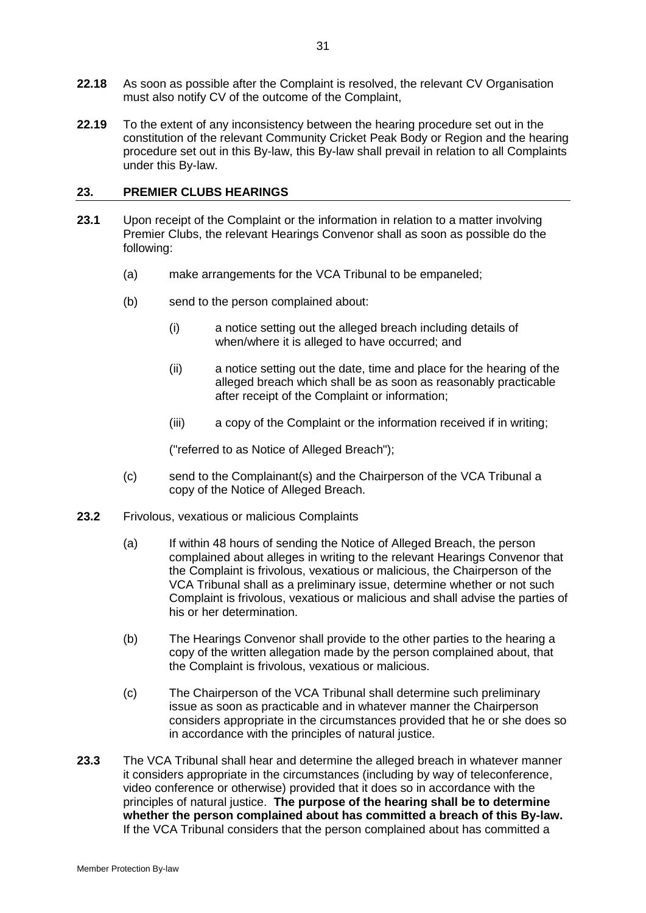- **22.18** As soon as possible after the Complaint is resolved, the relevant CV Organisation must also notify CV of the outcome of the Complaint,
- **22.19** To the extent of any inconsistency between the hearing procedure set out in the constitution of the relevant Community Cricket Peak Body or Region and the hearing procedure set out in this By-law, this By-law shall prevail in relation to all Complaints under this By-law.

## <span id="page-33-0"></span>**23. PREMIER CLUBS HEARINGS**

- **23.1** Upon receipt of the Complaint or the information in relation to a matter involving Premier Clubs, the relevant Hearings Convenor shall as soon as possible do the following:
	- (a) make arrangements for the VCA Tribunal to be empaneled;
	- (b) send to the person complained about:
		- (i) a notice setting out the alleged breach including details of when/where it is alleged to have occurred; and
		- (ii) a notice setting out the date, time and place for the hearing of the alleged breach which shall be as soon as reasonably practicable after receipt of the Complaint or information;
		- (iii) a copy of the Complaint or the information received if in writing;

("referred to as Notice of Alleged Breach");

- (c) send to the Complainant(s) and the Chairperson of the VCA Tribunal a copy of the Notice of Alleged Breach.
- **23.2** Frivolous, vexatious or malicious Complaints
	- (a) If within 48 hours of sending the Notice of Alleged Breach, the person complained about alleges in writing to the relevant Hearings Convenor that the Complaint is frivolous, vexatious or malicious, the Chairperson of the VCA Tribunal shall as a preliminary issue, determine whether or not such Complaint is frivolous, vexatious or malicious and shall advise the parties of his or her determination.
	- (b) The Hearings Convenor shall provide to the other parties to the hearing a copy of the written allegation made by the person complained about, that the Complaint is frivolous, vexatious or malicious.
	- (c) The Chairperson of the VCA Tribunal shall determine such preliminary issue as soon as practicable and in whatever manner the Chairperson considers appropriate in the circumstances provided that he or she does so in accordance with the principles of natural justice.
- **23.3** The VCA Tribunal shall hear and determine the alleged breach in whatever manner it considers appropriate in the circumstances (including by way of teleconference, video conference or otherwise) provided that it does so in accordance with the principles of natural justice. **The purpose of the hearing shall be to determine whether the person complained about has committed a breach of this By-law.**  If the VCA Tribunal considers that the person complained about has committed a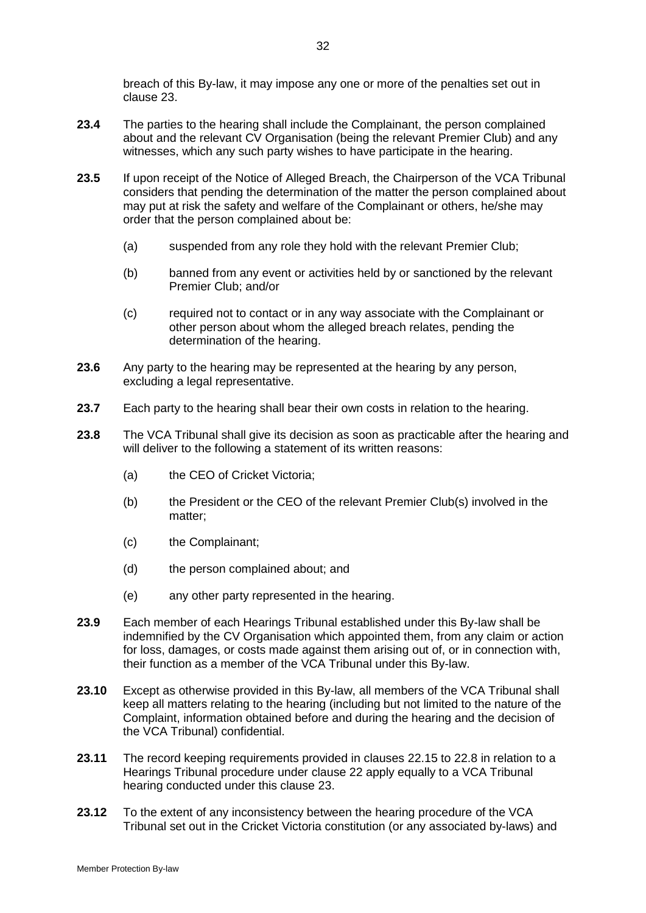breach of this By-law, it may impose any one or more of the penalties set out in clause [23.](#page-33-0)

- **23.4** The parties to the hearing shall include the Complainant, the person complained about and the relevant CV Organisation (being the relevant Premier Club) and any witnesses, which any such party wishes to have participate in the hearing.
- **23.5** If upon receipt of the Notice of Alleged Breach, the Chairperson of the VCA Tribunal considers that pending the determination of the matter the person complained about may put at risk the safety and welfare of the Complainant or others, he/she may order that the person complained about be:
	- (a) suspended from any role they hold with the relevant Premier Club;
	- (b) banned from any event or activities held by or sanctioned by the relevant Premier Club; and/or
	- (c) required not to contact or in any way associate with the Complainant or other person about whom the alleged breach relates, pending the determination of the hearing.
- **23.6** Any party to the hearing may be represented at the hearing by any person, excluding a legal representative.
- **23.7** Each party to the hearing shall bear their own costs in relation to the hearing.
- **23.8** The VCA Tribunal shall give its decision as soon as practicable after the hearing and will deliver to the following a statement of its written reasons:
	- (a) the CEO of Cricket Victoria;
	- (b) the President or the CEO of the relevant Premier Club(s) involved in the matter;
	- (c) the Complainant;
	- (d) the person complained about; and
	- (e) any other party represented in the hearing.
- **23.9** Each member of each Hearings Tribunal established under this By-law shall be indemnified by the CV Organisation which appointed them, from any claim or action for loss, damages, or costs made against them arising out of, or in connection with, their function as a member of the VCA Tribunal under this By-law.
- **23.10** Except as otherwise provided in this By-law, all members of the VCA Tribunal shall keep all matters relating to the hearing (including but not limited to the nature of the Complaint, information obtained before and during the hearing and the decision of the VCA Tribunal) confidential.
- <span id="page-34-0"></span>**23.11** The record keeping requirements provided in clauses [22.15](#page-32-0) to [22.8](#page-31-0) in relation to a Hearings Tribunal procedure under clause [22](#page-30-1) apply equally to a VCA Tribunal hearing conducted under this clause [23.](#page-33-0)
- **23.12** To the extent of any inconsistency between the hearing procedure of the VCA Tribunal set out in the Cricket Victoria constitution (or any associated by-laws) and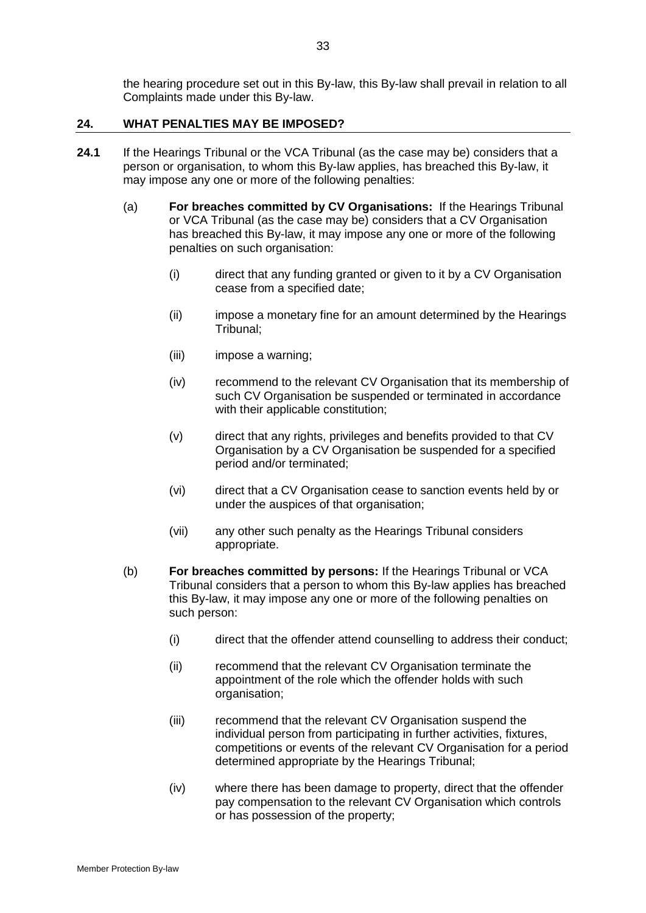the hearing procedure set out in this By-law, this By-law shall prevail in relation to all Complaints made under this By-law.

## <span id="page-35-1"></span>**24. WHAT PENALTIES MAY BE IMPOSED?**

- <span id="page-35-0"></span>**24.1** If the Hearings Tribunal or the VCA Tribunal (as the case may be) considers that a person or organisation, to whom this By-law applies, has breached this By-law, it may impose any one or more of the following penalties:
	- (a) **For breaches committed by CV Organisations:** If the Hearings Tribunal or VCA Tribunal (as the case may be) considers that a CV Organisation has breached this By-law, it may impose any one or more of the following penalties on such organisation:
		- (i) direct that any funding granted or given to it by a CV Organisation cease from a specified date;
		- (ii) impose a monetary fine for an amount determined by the Hearings Tribunal;
		- (iii) impose a warning;
		- (iv) recommend to the relevant CV Organisation that its membership of such CV Organisation be suspended or terminated in accordance with their applicable constitution;
		- (v) direct that any rights, privileges and benefits provided to that CV Organisation by a CV Organisation be suspended for a specified period and/or terminated;
		- (vi) direct that a CV Organisation cease to sanction events held by or under the auspices of that organisation;
		- (vii) any other such penalty as the Hearings Tribunal considers appropriate.
	- (b) **For breaches committed by persons:** If the Hearings Tribunal or VCA Tribunal considers that a person to whom this By-law applies has breached this By-law, it may impose any one or more of the following penalties on such person:
		- (i) direct that the offender attend counselling to address their conduct;
		- (ii) recommend that the relevant CV Organisation terminate the appointment of the role which the offender holds with such organisation;
		- (iii) recommend that the relevant CV Organisation suspend the individual person from participating in further activities, fixtures, competitions or events of the relevant CV Organisation for a period determined appropriate by the Hearings Tribunal;
		- (iv) where there has been damage to property, direct that the offender pay compensation to the relevant CV Organisation which controls or has possession of the property;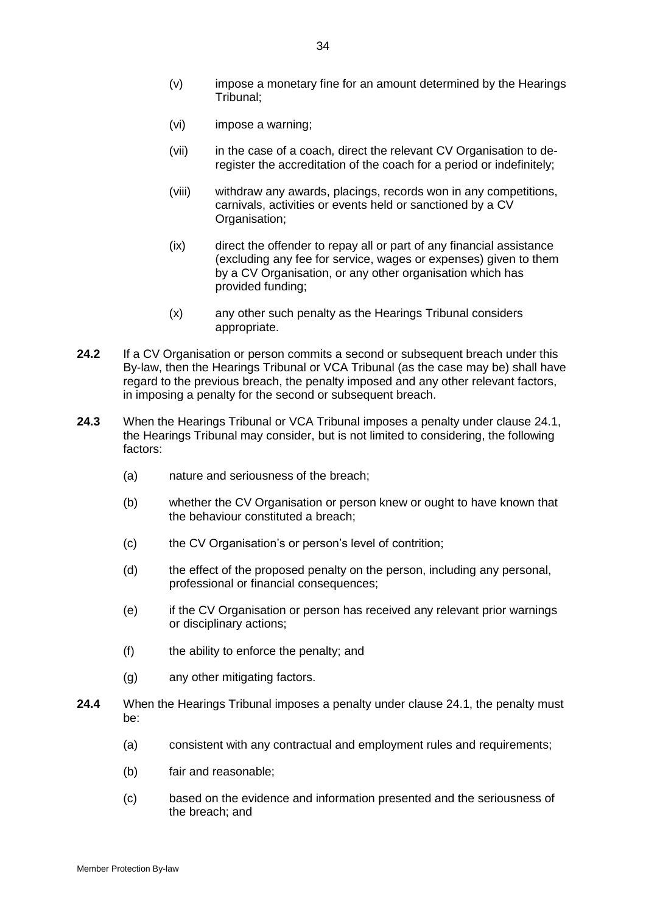- (v) impose a monetary fine for an amount determined by the Hearings Tribunal;
- (vi) impose a warning;
- (vii) in the case of a coach, direct the relevant CV Organisation to deregister the accreditation of the coach for a period or indefinitely;
- (viii) withdraw any awards, placings, records won in any competitions, carnivals, activities or events held or sanctioned by a CV Organisation;
- (ix) direct the offender to repay all or part of any financial assistance (excluding any fee for service, wages or expenses) given to them by a CV Organisation, or any other organisation which has provided funding;
- (x) any other such penalty as the Hearings Tribunal considers appropriate.
- **24.2** If a CV Organisation or person commits a second or subsequent breach under this By-law, then the Hearings Tribunal or VCA Tribunal (as the case may be) shall have regard to the previous breach, the penalty imposed and any other relevant factors, in imposing a penalty for the second or subsequent breach.
- **24.3** When the Hearings Tribunal or VCA Tribunal imposes a penalty under clause [24.1,](#page-35-0) the Hearings Tribunal may consider, but is not limited to considering, the following factors:
	- (a) nature and seriousness of the breach;
	- (b) whether the CV Organisation or person knew or ought to have known that the behaviour constituted a breach;
	- (c) the CV Organisation's or person's level of contrition;
	- (d) the effect of the proposed penalty on the person, including any personal, professional or financial consequences;
	- (e) if the CV Organisation or person has received any relevant prior warnings or disciplinary actions;
	- (f) the ability to enforce the penalty; and
	- (g) any other mitigating factors.
- **24.4** When the Hearings Tribunal imposes a penalty under clause [24.1,](#page-35-0) the penalty must be:
	- (a) consistent with any contractual and employment rules and requirements;
	- (b) fair and reasonable;
	- (c) based on the evidence and information presented and the seriousness of the breach; and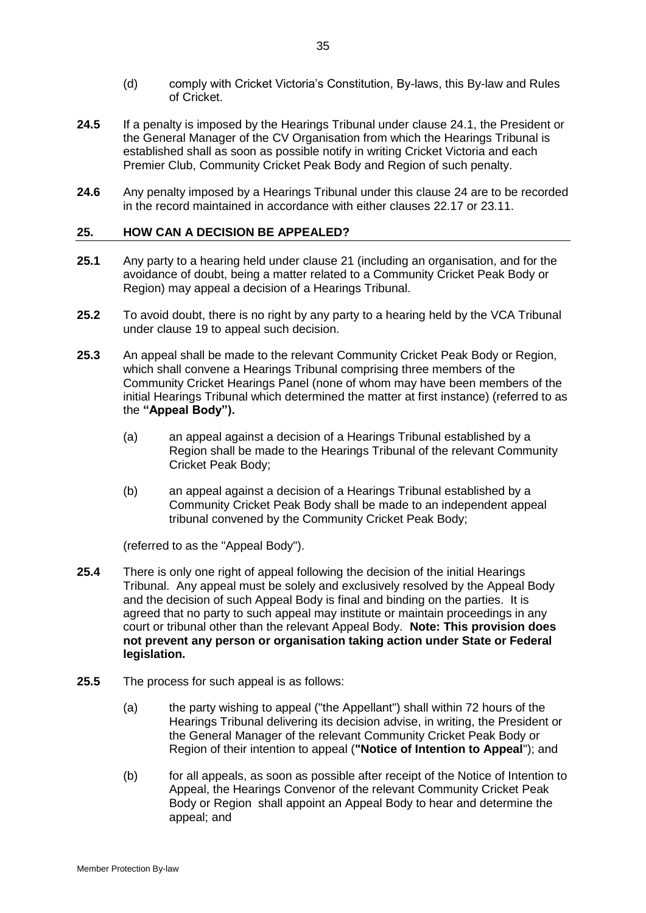- (d) comply with Cricket Victoria's Constitution, By-laws, this By-law and Rules of Cricket.
- **24.5** If a penalty is imposed by the Hearings Tribunal under clause [24.1,](#page-35-0) the President or the General Manager of the CV Organisation from which the Hearings Tribunal is established shall as soon as possible notify in writing Cricket Victoria and each Premier Club, Community Cricket Peak Body and Region of such penalty.
- **24.6** Any penalty imposed by a Hearings Tribunal under this clause [24](#page-35-1) are to be recorded in the record maintained in accordance with either clauses [22.17](#page-32-1) or [23.11.](#page-34-0)

## <span id="page-37-0"></span>**25. HOW CAN A DECISION BE APPEALED?**

- **25.1** Any party to a hearing held under clause [21](#page-29-1) (including an organisation, and for the avoidance of doubt, being a matter related to a Community Cricket Peak Body or Region) may appeal a decision of a Hearings Tribunal.
- **25.2** To avoid doubt, there is no right by any party to a hearing held by the VCA Tribunal under clause 19 to appeal such decision.
- **25.3** An appeal shall be made to the relevant Community Cricket Peak Body or Region, which shall convene a Hearings Tribunal comprising three members of the Community Cricket Hearings Panel (none of whom may have been members of the initial Hearings Tribunal which determined the matter at first instance) (referred to as the **"Appeal Body").**
	- (a) an appeal against a decision of a Hearings Tribunal established by a Region shall be made to the Hearings Tribunal of the relevant Community Cricket Peak Body;
	- (b) an appeal against a decision of a Hearings Tribunal established by a Community Cricket Peak Body shall be made to an independent appeal tribunal convened by the Community Cricket Peak Body;

(referred to as the "Appeal Body").

- <span id="page-37-1"></span>**25.4** There is only one right of appeal following the decision of the initial Hearings Tribunal. Any appeal must be solely and exclusively resolved by the Appeal Body and the decision of such Appeal Body is final and binding on the parties. It is agreed that no party to such appeal may institute or maintain proceedings in any court or tribunal other than the relevant Appeal Body. **Note: This provision does not prevent any person or organisation taking action under State or Federal legislation.**
- **25.5** The process for such appeal is as follows:
	- (a) the party wishing to appeal ("the Appellant") shall within 72 hours of the Hearings Tribunal delivering its decision advise, in writing, the President or the General Manager of the relevant Community Cricket Peak Body or Region of their intention to appeal (**"Notice of Intention to Appeal**"); and
	- (b) for all appeals, as soon as possible after receipt of the Notice of Intention to Appeal, the Hearings Convenor of the relevant Community Cricket Peak Body or Region shall appoint an Appeal Body to hear and determine the appeal; and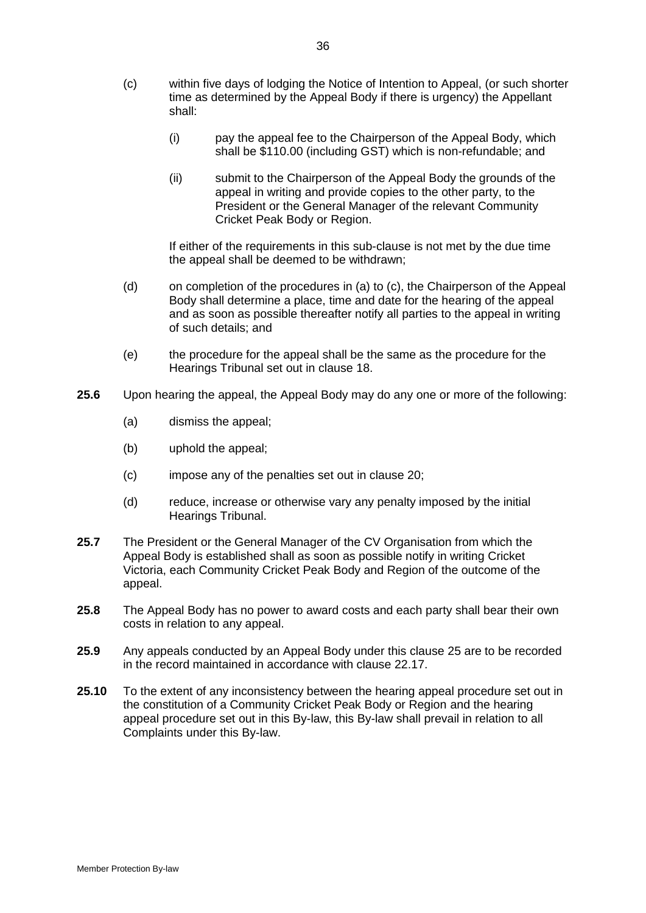- (c) within five days of lodging the Notice of Intention to Appeal, (or such shorter time as determined by the Appeal Body if there is urgency) the Appellant shall:
	- (i) pay the appeal fee to the Chairperson of the Appeal Body, which shall be \$110.00 (including GST) which is non-refundable; and
	- (ii) submit to the Chairperson of the Appeal Body the grounds of the appeal in writing and provide copies to the other party, to the President or the General Manager of the relevant Community Cricket Peak Body or Region.

If either of the requirements in this sub-clause is not met by the due time the appeal shall be deemed to be withdrawn;

- (d) on completion of the procedures in (a) to (c), the Chairperson of the Appeal Body shall determine a place, time and date for the hearing of the appeal and as soon as possible thereafter notify all parties to the appeal in writing of such details; and
- (e) the procedure for the appeal shall be the same as the procedure for the Hearings Tribunal set out in clause 18.
- **25.6** Upon hearing the appeal, the Appeal Body may do any one or more of the following:
	- (a) dismiss the appeal;
	- (b) uphold the appeal;
	- (c) impose any of the penalties set out in clause 20;
	- (d) reduce, increase or otherwise vary any penalty imposed by the initial Hearings Tribunal.
- **25.7** The President or the General Manager of the CV Organisation from which the Appeal Body is established shall as soon as possible notify in writing Cricket Victoria, each Community Cricket Peak Body and Region of the outcome of the appeal.
- **25.8** The Appeal Body has no power to award costs and each party shall bear their own costs in relation to any appeal.
- **25.9** Any appeals conducted by an Appeal Body under this clause [25](#page-37-0) are to be recorded in the record maintained in accordance with clause [22.17.](#page-32-1)
- **25.10** To the extent of any inconsistency between the hearing appeal procedure set out in the constitution of a Community Cricket Peak Body or Region and the hearing appeal procedure set out in this By-law, this By-law shall prevail in relation to all Complaints under this By-law.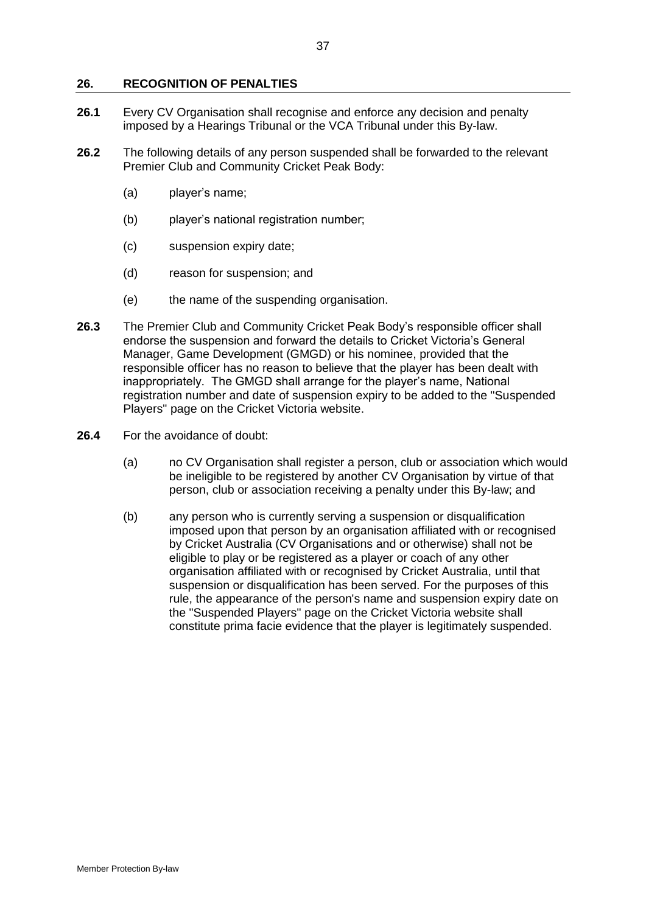### **26. RECOGNITION OF PENALTIES**

- **26.1** Every CV Organisation shall recognise and enforce any decision and penalty imposed by a Hearings Tribunal or the VCA Tribunal under this By-law.
- **26.2** The following details of any person suspended shall be forwarded to the relevant Premier Club and Community Cricket Peak Body:
	- (a) player's name;
	- (b) player's national registration number;
	- (c) suspension expiry date;
	- (d) reason for suspension; and
	- (e) the name of the suspending organisation.
- **26.3** The Premier Club and Community Cricket Peak Body's responsible officer shall endorse the suspension and forward the details to Cricket Victoria's General Manager, Game Development (GMGD) or his nominee, provided that the responsible officer has no reason to believe that the player has been dealt with inappropriately. The GMGD shall arrange for the player's name, National registration number and date of suspension expiry to be added to the "Suspended Players" page on the Cricket Victoria website.
- **26.4** For the avoidance of doubt:
	- (a) no CV Organisation shall register a person, club or association which would be ineligible to be registered by another CV Organisation by virtue of that person, club or association receiving a penalty under this By-law; and
	- (b) any person who is currently serving a suspension or disqualification imposed upon that person by an organisation affiliated with or recognised by Cricket Australia (CV Organisations and or otherwise) shall not be eligible to play or be registered as a player or coach of any other organisation affiliated with or recognised by Cricket Australia, until that suspension or disqualification has been served. For the purposes of this rule, the appearance of the person's name and suspension expiry date on the "Suspended Players" page on the Cricket Victoria website shall constitute prima facie evidence that the player is legitimately suspended.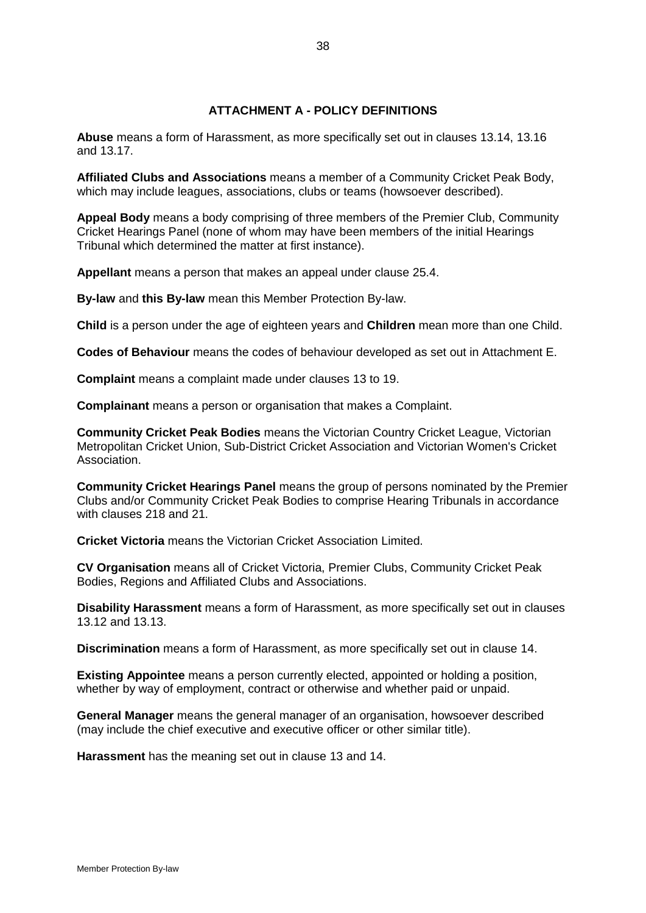# **ATTACHMENT A - POLICY DEFINITIONS**

**Abuse** means a form of Harassment, as more specifically set out in clauses [13.14,](#page-22-3) [13.16](#page-22-4) and [13.17.](#page-23-1)

**Affiliated Clubs and Associations** means a member of a Community Cricket Peak Body, which may include leagues, associations, clubs or teams (howsoever described).

**Appeal Body** means a body comprising of three members of the Premier Club, Community Cricket Hearings Panel (none of whom may have been members of the initial Hearings Tribunal which determined the matter at first instance).

**Appellant** means a person that makes an appeal under clause [25.4.](#page-37-1)

**By-law** and **this By-law** mean this Member Protection By-law.

**Child** is a person under the age of eighteen years and **Children** mean more than one Child.

**Codes of Behaviour** means the codes of behaviour developed as set out in Attachment E.

**Complaint** means a complaint made under clauses 13 t[o 19.](#page-27-0)

**Complainant** means a person or organisation that makes a Complaint.

**Community Cricket Peak Bodies** means the Victorian Country Cricket League, Victorian Metropolitan Cricket Union, Sub-District Cricket Association and Victorian Women's Cricket Association.

**Community Cricket Hearings Panel** means the group of persons nominated by the Premier Clubs and/or Community Cricket Peak Bodies to comprise Hearing Tribunals in accordance with clauses [218](#page-29-1) and 21.

**Cricket Victoria** means the Victorian Cricket Association Limited.

**CV Organisation** means all of Cricket Victoria, Premier Clubs, Community Cricket Peak Bodies, Regions and Affiliated Clubs and Associations.

**Disability Harassment** means a form of Harassment, as more specifically set out in clauses [13.12](#page-22-1) and [13.13.](#page-22-2)

**Discrimination** means a form of Harassment, as more specifically set out in clause [14.](#page-23-0)

**Existing Appointee** means a person currently elected, appointed or holding a position, whether by way of employment, contract or otherwise and whether paid or unpaid.

**General Manager** means the general manager of an organisation, howsoever described (may include the chief executive and executive officer or other similar title).

**Harassment** has the meaning set out in clause [13](#page-20-0) and [14.](#page-23-0)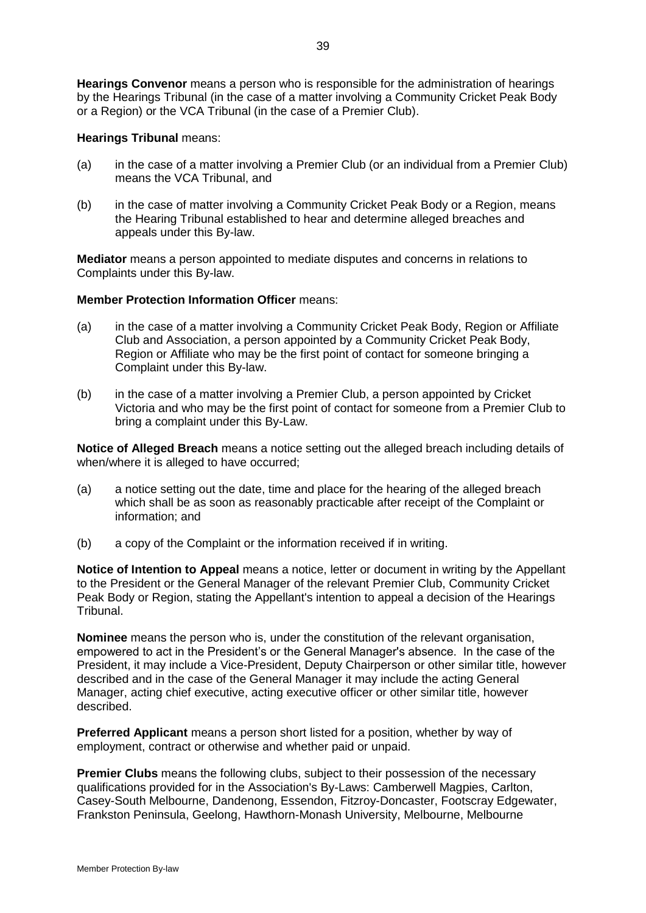**Hearings Convenor** means a person who is responsible for the administration of hearings by the Hearings Tribunal (in the case of a matter involving a Community Cricket Peak Body or a Region) or the VCA Tribunal (in the case of a Premier Club).

### **Hearings Tribunal** means:

- (a) in the case of a matter involving a Premier Club (or an individual from a Premier Club) means the VCA Tribunal, and
- (b) in the case of matter involving a Community Cricket Peak Body or a Region, means the Hearing Tribunal established to hear and determine alleged breaches and appeals under this By-law.

**Mediator** means a person appointed to mediate disputes and concerns in relations to Complaints under this By-law.

## **Member Protection Information Officer** means:

- (a) in the case of a matter involving a Community Cricket Peak Body, Region or Affiliate Club and Association, a person appointed by a Community Cricket Peak Body, Region or Affiliate who may be the first point of contact for someone bringing a Complaint under this By-law.
- (b) in the case of a matter involving a Premier Club, a person appointed by Cricket Victoria and who may be the first point of contact for someone from a Premier Club to bring a complaint under this By-Law.

**Notice of Alleged Breach** means a notice setting out the alleged breach including details of when/where it is alleged to have occurred;

- (a) a notice setting out the date, time and place for the hearing of the alleged breach which shall be as soon as reasonably practicable after receipt of the Complaint or information; and
- (b) a copy of the Complaint or the information received if in writing.

**Notice of Intention to Appeal** means a notice, letter or document in writing by the Appellant to the President or the General Manager of the relevant Premier Club, Community Cricket Peak Body or Region, stating the Appellant's intention to appeal a decision of the Hearings Tribunal.

**Nominee** means the person who is, under the constitution of the relevant organisation, empowered to act in the President's or the General Manager's absence. In the case of the President, it may include a Vice-President, Deputy Chairperson or other similar title, however described and in the case of the General Manager it may include the acting General Manager, acting chief executive, acting executive officer or other similar title, however described.

**Preferred Applicant** means a person short listed for a position, whether by way of employment, contract or otherwise and whether paid or unpaid.

**Premier Clubs** means the following clubs, subject to their possession of the necessary qualifications provided for in the Association's By-Laws: Camberwell Magpies, Carlton, Casey-South Melbourne, Dandenong, Essendon, Fitzroy-Doncaster, Footscray Edgewater, Frankston Peninsula, Geelong, Hawthorn-Monash University, Melbourne, Melbourne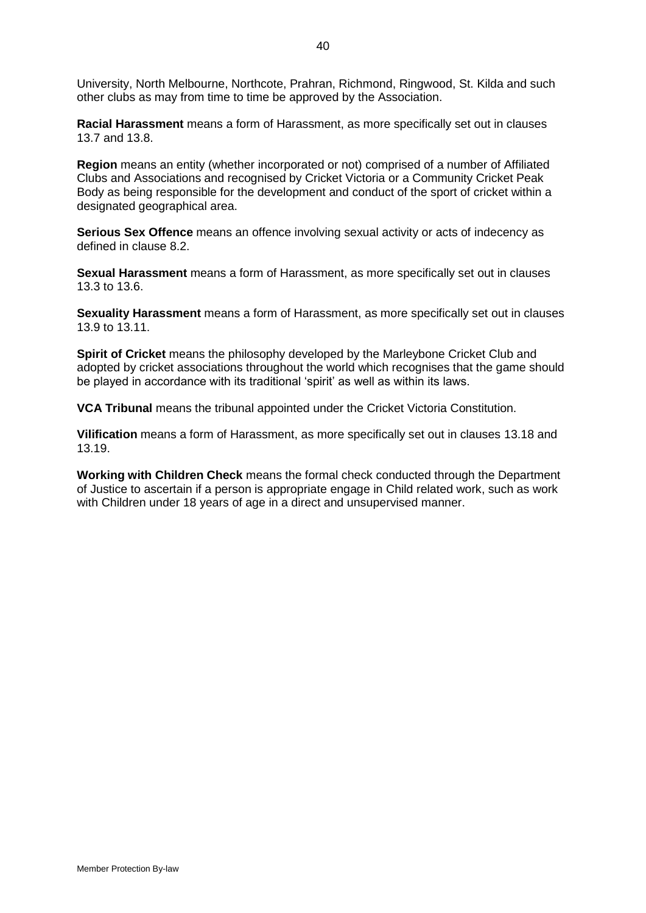University, North Melbourne, Northcote, Prahran, Richmond, Ringwood, St. Kilda and such other clubs as may from time to time be approved by the Association.

**Racial Harassment** means a form of Harassment, as more specifically set out in clauses [13.7](#page-21-1) and [13.8.](#page-21-2)

**Region** means an entity (whether incorporated or not) comprised of a number of Affiliated Clubs and Associations and recognised by Cricket Victoria or a Community Cricket Peak Body as being responsible for the development and conduct of the sport of cricket within a designated geographical area.

**Serious Sex Offence** means an offence involving sexual activity or acts of indecency as defined in clause 8.2.

**Sexual Harassment** means a form of Harassment, as more specifically set out in clauses [13.3](#page-20-1) to [13.6.](#page-21-0)

**Sexuality Harassment** means a form of Harassment, as more specifically set out in clauses [13.9](#page-21-3) to [13.11.](#page-22-0)

**Spirit of Cricket** means the philosophy developed by the Marleybone Cricket Club and adopted by cricket associations throughout the world which recognises that the game should be played in accordance with its traditional 'spirit' as well as within its laws.

**VCA Tribunal** means the tribunal appointed under the Cricket Victoria Constitution.

**Vilification** means a form of Harassment, as more specifically set out in clauses [13.18](#page-23-2) and [13.19.](#page-23-3)

**Working with Children Check** means the formal check conducted through the Department of Justice to ascertain if a person is appropriate engage in Child related work, such as work with Children under 18 years of age in a direct and unsupervised manner.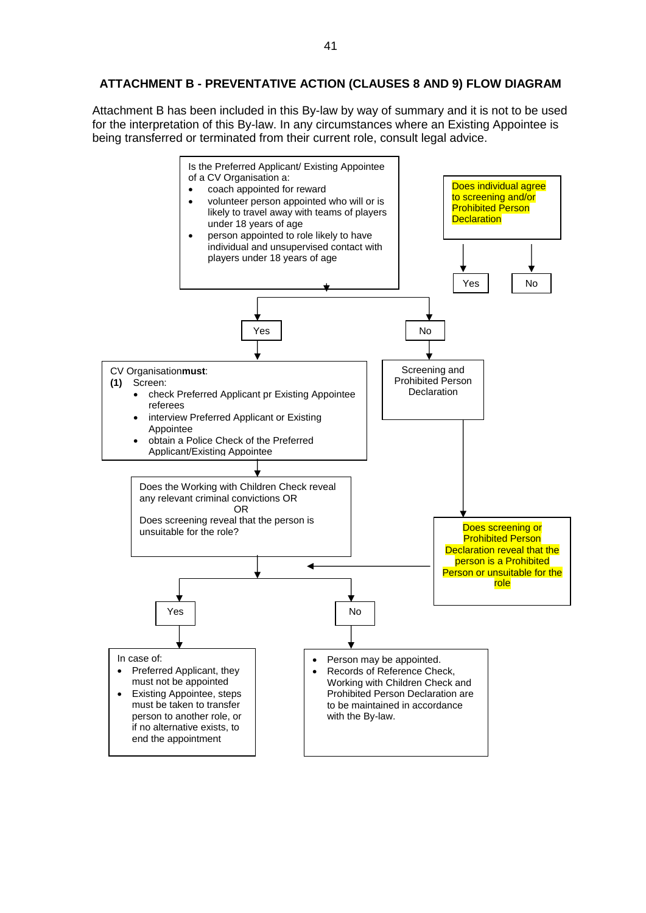# **ATTACHMENT B - PREVENTATIVE ACTION (CLAUSES [8](#page-11-3) AND [9\)](#page-14-0) FLOW DIAGRAM**

Attachment B has been included in this By-law by way of summary and it is not to be used for the interpretation of this By-law. In any circumstances where an Existing Appointee is being transferred or terminated from their current role, consult legal advice.

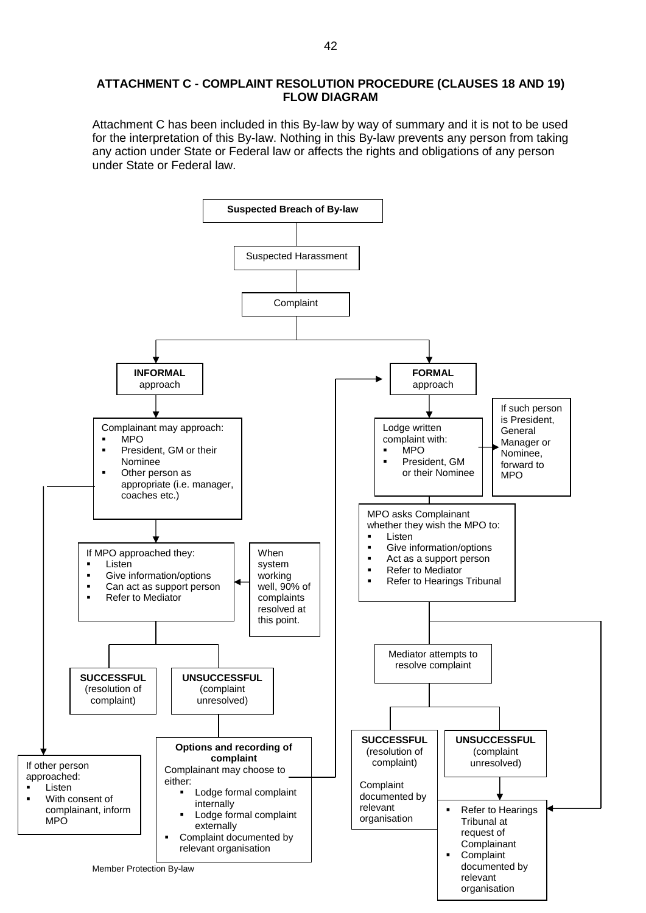### **ATTACHMENT C - COMPLAINT RESOLUTION PROCEDURE (CLAUSES [18](#page-26-0) AND [19\)](#page-27-0) FLOW DIAGRAM**

Attachment C has been included in this By-law by way of summary and it is not to be used for the interpretation of this By-law. Nothing in this By-law prevents any person from taking any action under State or Federal law or affects the rights and obligations of any person under State or Federal law.

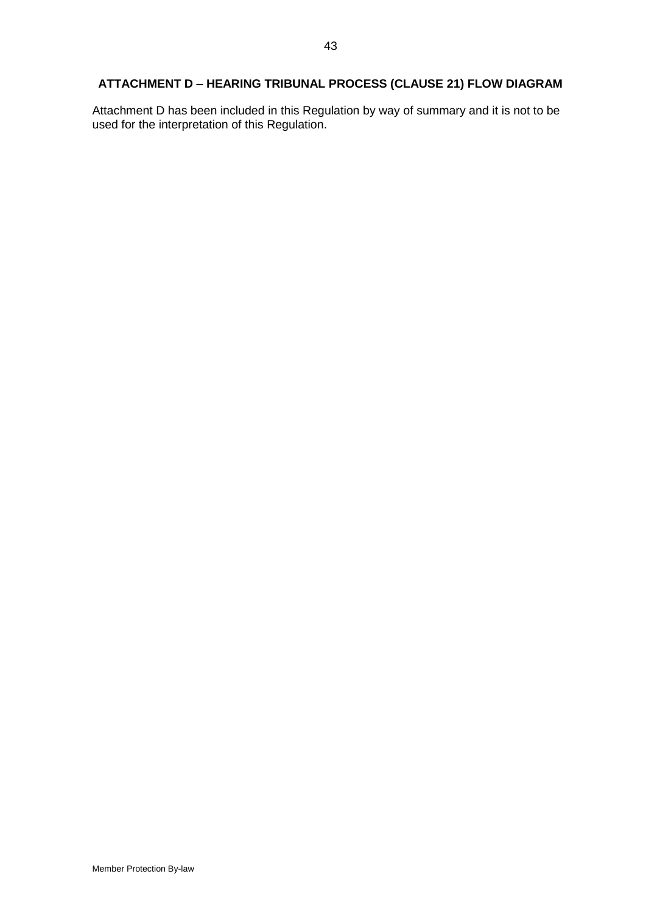# **ATTACHMENT D – HEARING TRIBUNAL PROCESS (CLAUSE [21\)](#page-29-1) FLOW DIAGRAM**

Attachment D has been included in this Regulation by way of summary and it is not to be used for the interpretation of this Regulation.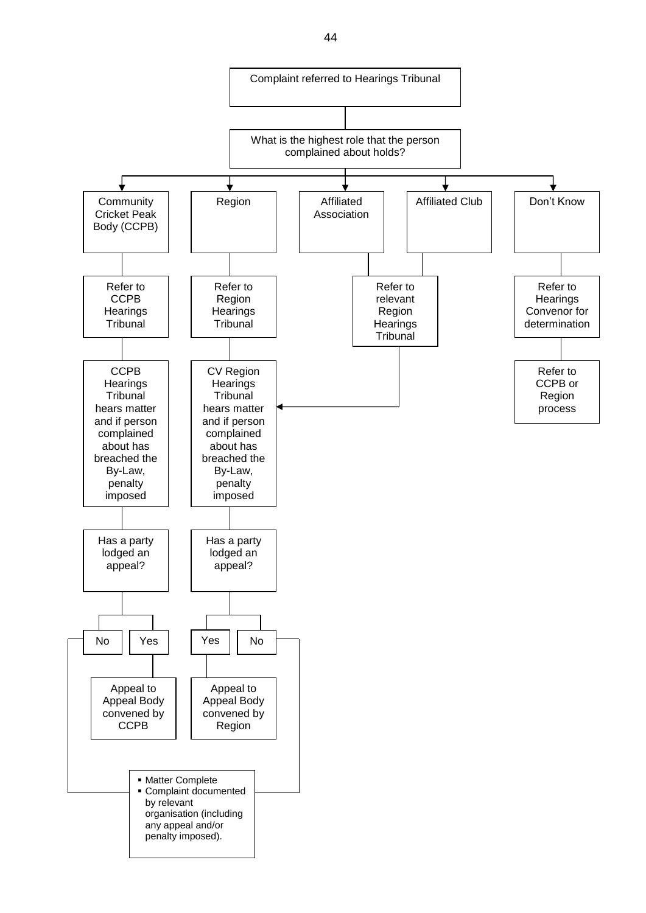

44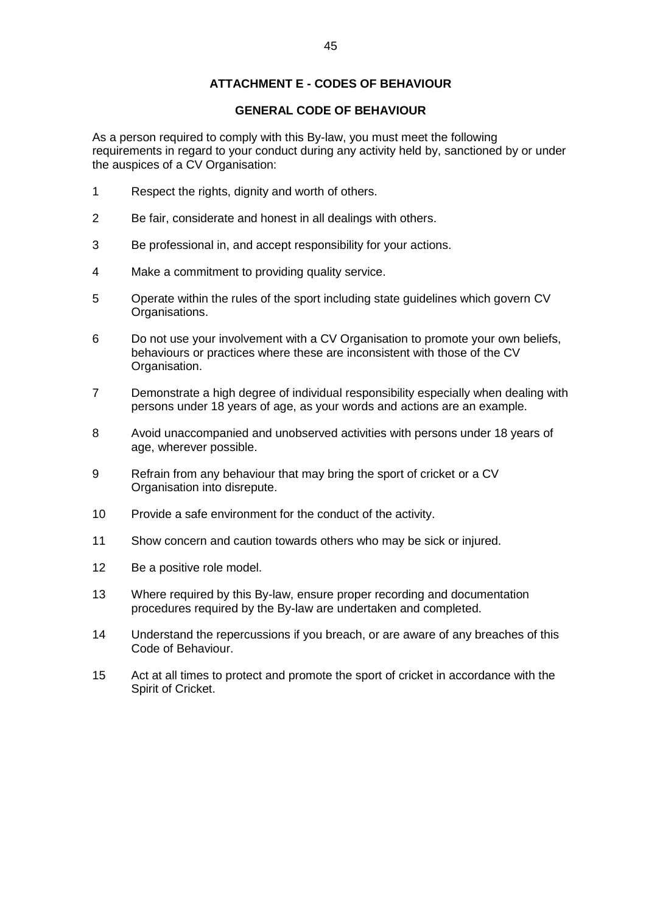# **ATTACHMENT E - CODES OF BEHAVIOUR**

## **GENERAL CODE OF BEHAVIOUR**

As a person required to comply with this By-law, you must meet the following requirements in regard to your conduct during any activity held by, sanctioned by or under the auspices of a CV Organisation:

- 1 Respect the rights, dignity and worth of others.
- 2 Be fair, considerate and honest in all dealings with others.
- 3 Be professional in, and accept responsibility for your actions.
- 4 Make a commitment to providing quality service.
- 5 Operate within the rules of the sport including state guidelines which govern CV Organisations.
- 6 Do not use your involvement with a CV Organisation to promote your own beliefs, behaviours or practices where these are inconsistent with those of the CV Organisation.
- 7 Demonstrate a high degree of individual responsibility especially when dealing with persons under 18 years of age, as your words and actions are an example.
- 8 Avoid unaccompanied and unobserved activities with persons under 18 years of age, wherever possible.
- 9 Refrain from any behaviour that may bring the sport of cricket or a CV Organisation into disrepute.
- 10 Provide a safe environment for the conduct of the activity.
- 11 Show concern and caution towards others who may be sick or injured.
- 12 Be a positive role model.
- 13 Where required by this By-law, ensure proper recording and documentation procedures required by the By-law are undertaken and completed.
- 14 Understand the repercussions if you breach, or are aware of any breaches of this Code of Behaviour.
- 15 Act at all times to protect and promote the sport of cricket in accordance with the Spirit of Cricket.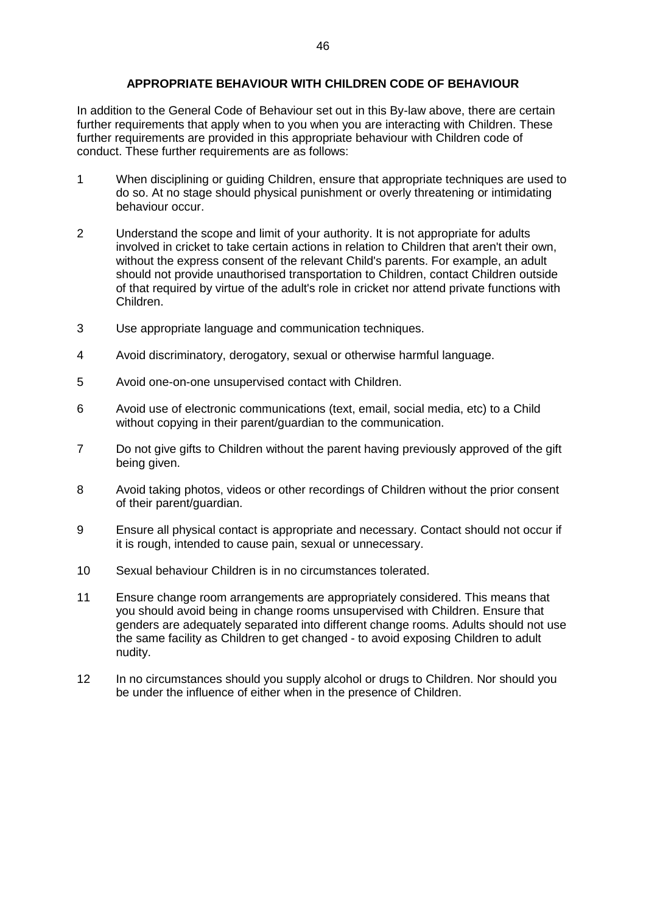# **APPROPRIATE BEHAVIOUR WITH CHILDREN CODE OF BEHAVIOUR**

In addition to the General Code of Behaviour set out in this By-law above, there are certain further requirements that apply when to you when you are interacting with Children. These further requirements are provided in this appropriate behaviour with Children code of conduct. These further requirements are as follows:

- 1 When disciplining or guiding Children, ensure that appropriate techniques are used to do so. At no stage should physical punishment or overly threatening or intimidating behaviour occur.
- 2 Understand the scope and limit of your authority. It is not appropriate for adults involved in cricket to take certain actions in relation to Children that aren't their own, without the express consent of the relevant Child's parents. For example, an adult should not provide unauthorised transportation to Children, contact Children outside of that required by virtue of the adult's role in cricket nor attend private functions with Children.
- 3 Use appropriate language and communication techniques.
- 4 Avoid discriminatory, derogatory, sexual or otherwise harmful language.
- 5 Avoid one-on-one unsupervised contact with Children.
- 6 Avoid use of electronic communications (text, email, social media, etc) to a Child without copying in their parent/guardian to the communication.
- 7 Do not give gifts to Children without the parent having previously approved of the gift being given.
- 8 Avoid taking photos, videos or other recordings of Children without the prior consent of their parent/guardian.
- 9 Ensure all physical contact is appropriate and necessary. Contact should not occur if it is rough, intended to cause pain, sexual or unnecessary.
- 10 Sexual behaviour Children is in no circumstances tolerated.
- 11 Ensure change room arrangements are appropriately considered. This means that you should avoid being in change rooms unsupervised with Children. Ensure that genders are adequately separated into different change rooms. Adults should not use the same facility as Children to get changed - to avoid exposing Children to adult nudity.
- 12 In no circumstances should you supply alcohol or drugs to Children. Nor should you be under the influence of either when in the presence of Children.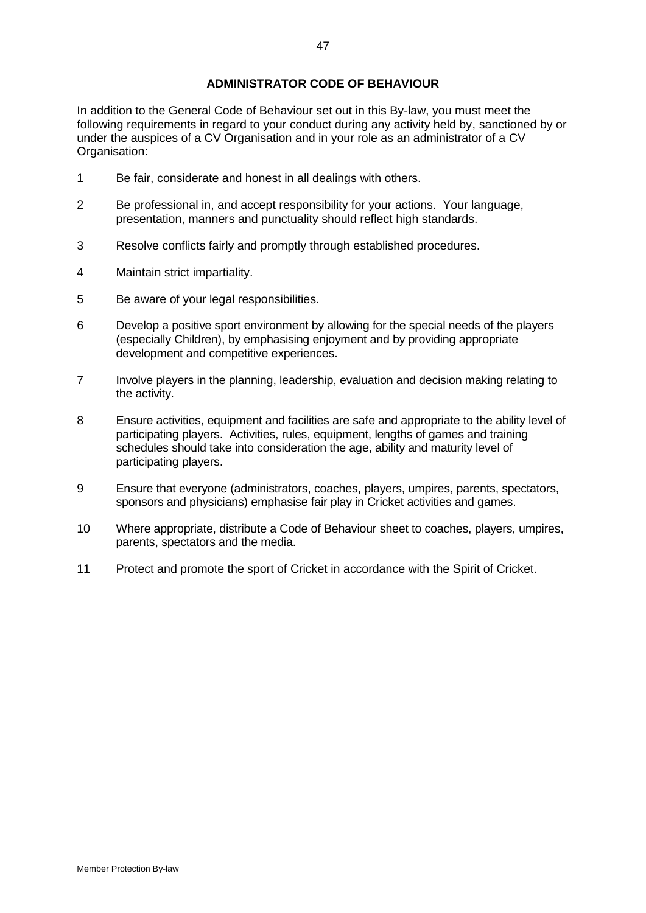# **ADMINISTRATOR CODE OF BEHAVIOUR**

In addition to the General Code of Behaviour set out in this By-law, you must meet the following requirements in regard to your conduct during any activity held by, sanctioned by or under the auspices of a CV Organisation and in your role as an administrator of a CV Organisation:

- 1 Be fair, considerate and honest in all dealings with others.
- 2 Be professional in, and accept responsibility for your actions. Your language, presentation, manners and punctuality should reflect high standards.
- 3 Resolve conflicts fairly and promptly through established procedures.
- 4 Maintain strict impartiality.
- 5 Be aware of your legal responsibilities.
- 6 Develop a positive sport environment by allowing for the special needs of the players (especially Children), by emphasising enjoyment and by providing appropriate development and competitive experiences.
- 7 Involve players in the planning, leadership, evaluation and decision making relating to the activity.
- 8 Ensure activities, equipment and facilities are safe and appropriate to the ability level of participating players. Activities, rules, equipment, lengths of games and training schedules should take into consideration the age, ability and maturity level of participating players.
- 9 Ensure that everyone (administrators, coaches, players, umpires, parents, spectators, sponsors and physicians) emphasise fair play in Cricket activities and games.
- 10 Where appropriate, distribute a Code of Behaviour sheet to coaches, players, umpires, parents, spectators and the media.
- 11 Protect and promote the sport of Cricket in accordance with the Spirit of Cricket.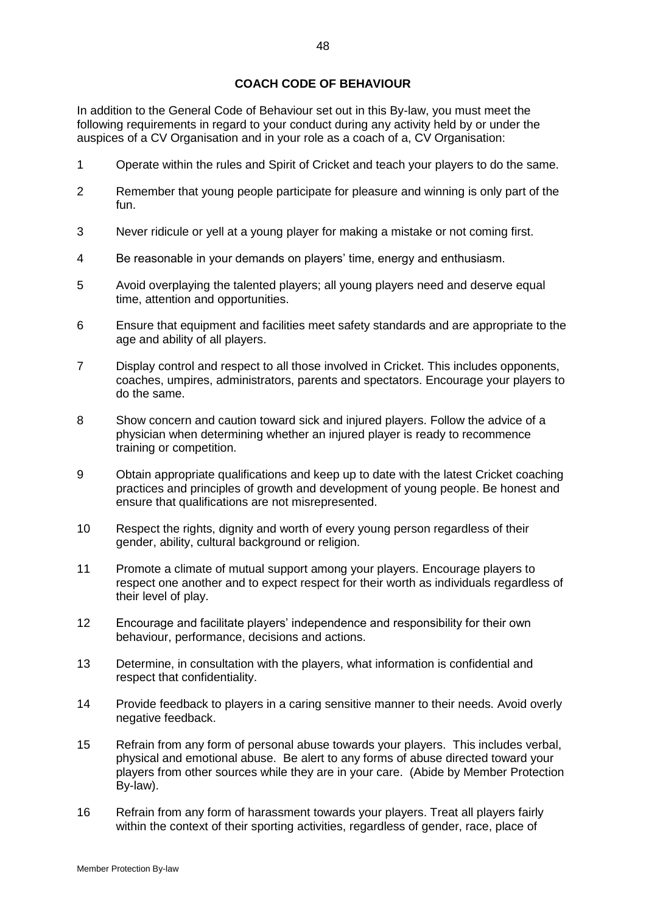# **COACH CODE OF BEHAVIOUR**

In addition to the General Code of Behaviour set out in this By-law, you must meet the following requirements in regard to your conduct during any activity held by or under the auspices of a CV Organisation and in your role as a coach of a, CV Organisation:

- 1 Operate within the rules and Spirit of Cricket and teach your players to do the same.
- 2 Remember that young people participate for pleasure and winning is only part of the fun.
- 3 Never ridicule or yell at a young player for making a mistake or not coming first.
- 4 Be reasonable in your demands on players' time, energy and enthusiasm.
- 5 Avoid overplaying the talented players; all young players need and deserve equal time, attention and opportunities.
- 6 Ensure that equipment and facilities meet safety standards and are appropriate to the age and ability of all players.
- 7 Display control and respect to all those involved in Cricket. This includes opponents, coaches, umpires, administrators, parents and spectators. Encourage your players to do the same.
- 8 Show concern and caution toward sick and injured players. Follow the advice of a physician when determining whether an injured player is ready to recommence training or competition.
- 9 Obtain appropriate qualifications and keep up to date with the latest Cricket coaching practices and principles of growth and development of young people. Be honest and ensure that qualifications are not misrepresented.
- 10 Respect the rights, dignity and worth of every young person regardless of their gender, ability, cultural background or religion.
- 11 Promote a climate of mutual support among your players. Encourage players to respect one another and to expect respect for their worth as individuals regardless of their level of play.
- 12 Encourage and facilitate players' independence and responsibility for their own behaviour, performance, decisions and actions.
- 13 Determine, in consultation with the players, what information is confidential and respect that confidentiality.
- 14 Provide feedback to players in a caring sensitive manner to their needs. Avoid overly negative feedback.
- 15 Refrain from any form of personal abuse towards your players. This includes verbal, physical and emotional abuse. Be alert to any forms of abuse directed toward your players from other sources while they are in your care. (Abide by Member Protection By-law).
- 16 Refrain from any form of harassment towards your players. Treat all players fairly within the context of their sporting activities, regardless of gender, race, place of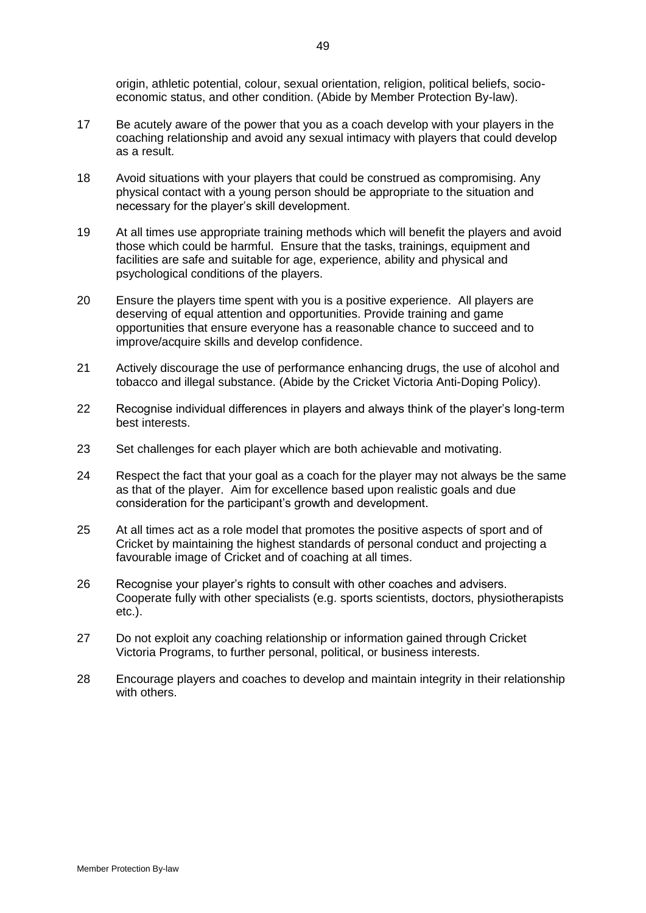origin, athletic potential, colour, sexual orientation, religion, political beliefs, socioeconomic status, and other condition. (Abide by Member Protection By-law).

- 17 Be acutely aware of the power that you as a coach develop with your players in the coaching relationship and avoid any sexual intimacy with players that could develop as a result.
- 18 Avoid situations with your players that could be construed as compromising. Any physical contact with a young person should be appropriate to the situation and necessary for the player's skill development.
- 19 At all times use appropriate training methods which will benefit the players and avoid those which could be harmful. Ensure that the tasks, trainings, equipment and facilities are safe and suitable for age, experience, ability and physical and psychological conditions of the players.
- 20 Ensure the players time spent with you is a positive experience. All players are deserving of equal attention and opportunities. Provide training and game opportunities that ensure everyone has a reasonable chance to succeed and to improve/acquire skills and develop confidence.
- 21 Actively discourage the use of performance enhancing drugs, the use of alcohol and tobacco and illegal substance. (Abide by the Cricket Victoria Anti-Doping Policy).
- 22 Recognise individual differences in players and always think of the player's long-term best interests.
- 23 Set challenges for each player which are both achievable and motivating.
- 24 Respect the fact that your goal as a coach for the player may not always be the same as that of the player. Aim for excellence based upon realistic goals and due consideration for the participant's growth and development.
- 25 At all times act as a role model that promotes the positive aspects of sport and of Cricket by maintaining the highest standards of personal conduct and projecting a favourable image of Cricket and of coaching at all times.
- 26 Recognise your player's rights to consult with other coaches and advisers. Cooperate fully with other specialists (e.g. sports scientists, doctors, physiotherapists etc.).
- 27 Do not exploit any coaching relationship or information gained through Cricket Victoria Programs, to further personal, political, or business interests.
- 28 Encourage players and coaches to develop and maintain integrity in their relationship with others.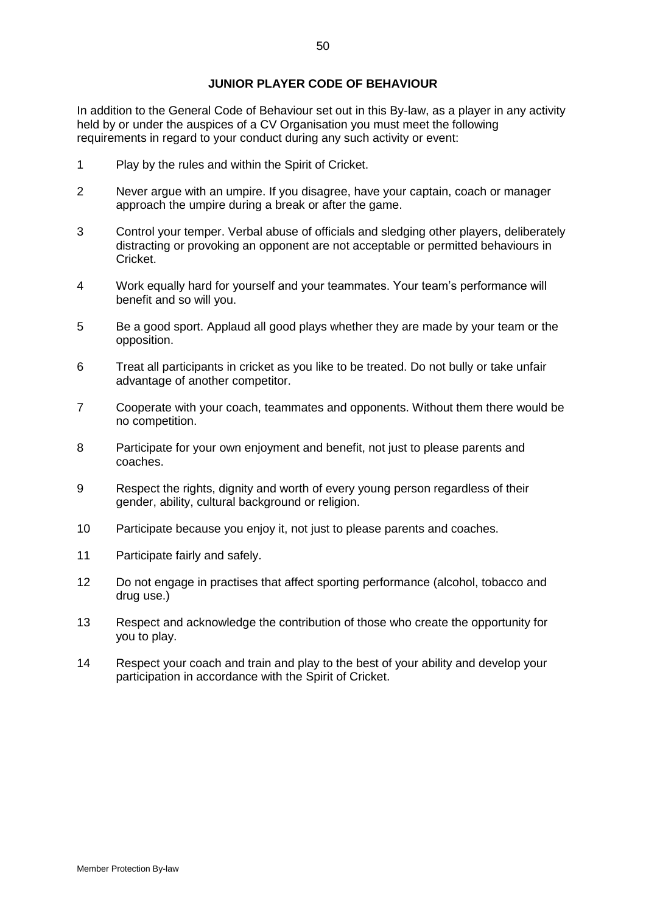### **JUNIOR PLAYER CODE OF BEHAVIOUR**

In addition to the General Code of Behaviour set out in this By-law, as a player in any activity held by or under the auspices of a CV Organisation you must meet the following requirements in regard to your conduct during any such activity or event:

- 1 Play by the rules and within the Spirit of Cricket.
- 2 Never argue with an umpire. If you disagree, have your captain, coach or manager approach the umpire during a break or after the game.
- 3 Control your temper. Verbal abuse of officials and sledging other players, deliberately distracting or provoking an opponent are not acceptable or permitted behaviours in Cricket.
- 4 Work equally hard for yourself and your teammates. Your team's performance will benefit and so will you.
- 5 Be a good sport. Applaud all good plays whether they are made by your team or the opposition.
- 6 Treat all participants in cricket as you like to be treated. Do not bully or take unfair advantage of another competitor.
- 7 Cooperate with your coach, teammates and opponents. Without them there would be no competition.
- 8 Participate for your own enjoyment and benefit, not just to please parents and coaches.
- 9 Respect the rights, dignity and worth of every young person regardless of their gender, ability, cultural background or religion.
- 10 Participate because you enjoy it, not just to please parents and coaches.
- 11 Participate fairly and safely.
- 12 Do not engage in practises that affect sporting performance (alcohol, tobacco and drug use.)
- 13 Respect and acknowledge the contribution of those who create the opportunity for you to play.
- 14 Respect your coach and train and play to the best of your ability and develop your participation in accordance with the Spirit of Cricket.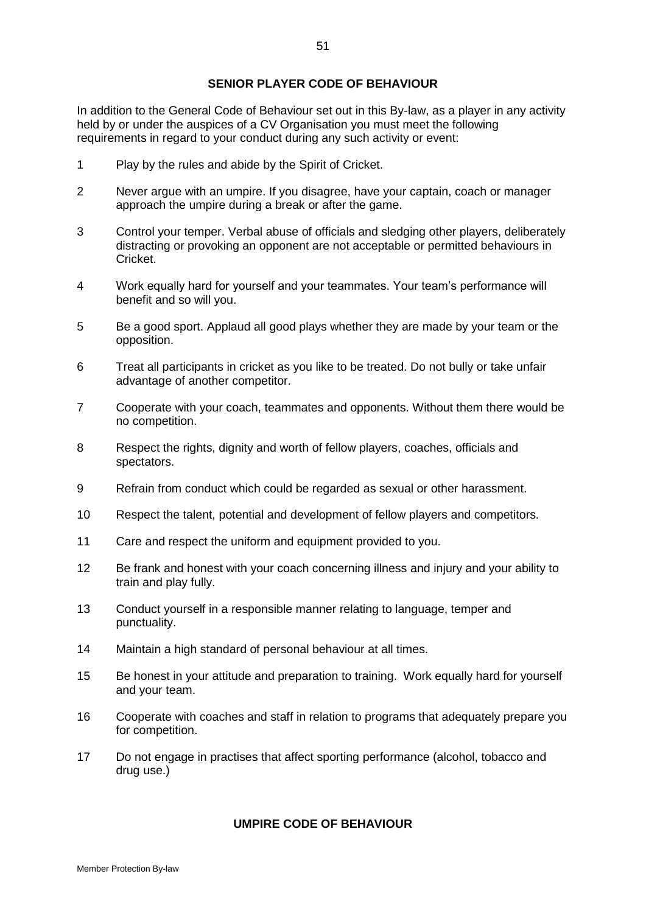### **SENIOR PLAYER CODE OF BEHAVIOUR**

In addition to the General Code of Behaviour set out in this By-law, as a player in any activity held by or under the auspices of a CV Organisation you must meet the following requirements in regard to your conduct during any such activity or event:

- 1 Play by the rules and abide by the Spirit of Cricket.
- 2 Never argue with an umpire. If you disagree, have your captain, coach or manager approach the umpire during a break or after the game.
- 3 Control your temper. Verbal abuse of officials and sledging other players, deliberately distracting or provoking an opponent are not acceptable or permitted behaviours in Cricket.
- 4 Work equally hard for yourself and your teammates. Your team's performance will benefit and so will you.
- 5 Be a good sport. Applaud all good plays whether they are made by your team or the opposition.
- 6 Treat all participants in cricket as you like to be treated. Do not bully or take unfair advantage of another competitor.
- 7 Cooperate with your coach, teammates and opponents. Without them there would be no competition.
- 8 Respect the rights, dignity and worth of fellow players, coaches, officials and spectators.
- 9 Refrain from conduct which could be regarded as sexual or other harassment.
- 10 Respect the talent, potential and development of fellow players and competitors.
- 11 Care and respect the uniform and equipment provided to you.
- 12 Be frank and honest with your coach concerning illness and injury and your ability to train and play fully.
- 13 Conduct yourself in a responsible manner relating to language, temper and punctuality.
- 14 Maintain a high standard of personal behaviour at all times.
- 15 Be honest in your attitude and preparation to training. Work equally hard for yourself and your team.
- 16 Cooperate with coaches and staff in relation to programs that adequately prepare you for competition.
- 17 Do not engage in practises that affect sporting performance (alcohol, tobacco and drug use.)

# **UMPIRE CODE OF BEHAVIOUR**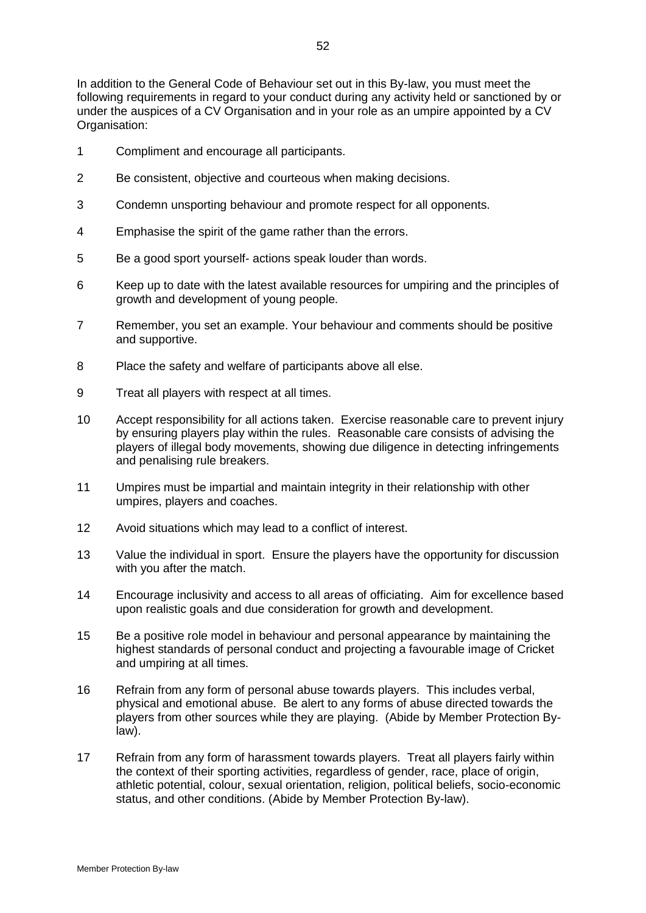In addition to the General Code of Behaviour set out in this By-law, you must meet the following requirements in regard to your conduct during any activity held or sanctioned by or under the auspices of a CV Organisation and in your role as an umpire appointed by a CV Organisation:

- 1 Compliment and encourage all participants.
- 2 Be consistent, objective and courteous when making decisions.
- 3 Condemn unsporting behaviour and promote respect for all opponents.
- 4 Emphasise the spirit of the game rather than the errors.
- 5 Be a good sport yourself- actions speak louder than words.
- 6 Keep up to date with the latest available resources for umpiring and the principles of growth and development of young people.
- 7 Remember, you set an example. Your behaviour and comments should be positive and supportive.
- 8 Place the safety and welfare of participants above all else.
- 9 Treat all players with respect at all times.
- 10 Accept responsibility for all actions taken. Exercise reasonable care to prevent injury by ensuring players play within the rules. Reasonable care consists of advising the players of illegal body movements, showing due diligence in detecting infringements and penalising rule breakers.
- 11 Umpires must be impartial and maintain integrity in their relationship with other umpires, players and coaches.
- 12 Avoid situations which may lead to a conflict of interest.
- 13 Value the individual in sport. Ensure the players have the opportunity for discussion with you after the match.
- 14 Encourage inclusivity and access to all areas of officiating. Aim for excellence based upon realistic goals and due consideration for growth and development.
- 15 Be a positive role model in behaviour and personal appearance by maintaining the highest standards of personal conduct and projecting a favourable image of Cricket and umpiring at all times.
- 16 Refrain from any form of personal abuse towards players. This includes verbal, physical and emotional abuse. Be alert to any forms of abuse directed towards the players from other sources while they are playing. (Abide by Member Protection Bylaw).
- 17 Refrain from any form of harassment towards players. Treat all players fairly within the context of their sporting activities, regardless of gender, race, place of origin, athletic potential, colour, sexual orientation, religion, political beliefs, socio-economic status, and other conditions. (Abide by Member Protection By-law).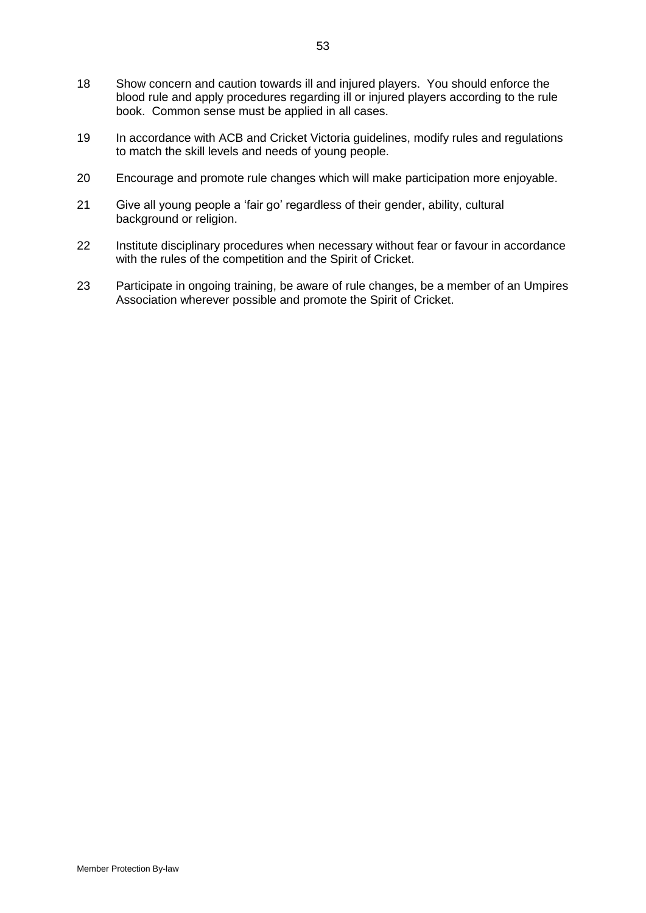- 18 Show concern and caution towards ill and injured players. You should enforce the blood rule and apply procedures regarding ill or injured players according to the rule book. Common sense must be applied in all cases.
- 19 In accordance with ACB and Cricket Victoria guidelines, modify rules and regulations to match the skill levels and needs of young people.
- 20 Encourage and promote rule changes which will make participation more enjoyable.
- 21 Give all young people a 'fair go' regardless of their gender, ability, cultural background or religion.
- 22 Institute disciplinary procedures when necessary without fear or favour in accordance with the rules of the competition and the Spirit of Cricket.
- 23 Participate in ongoing training, be aware of rule changes, be a member of an Umpires Association wherever possible and promote the Spirit of Cricket.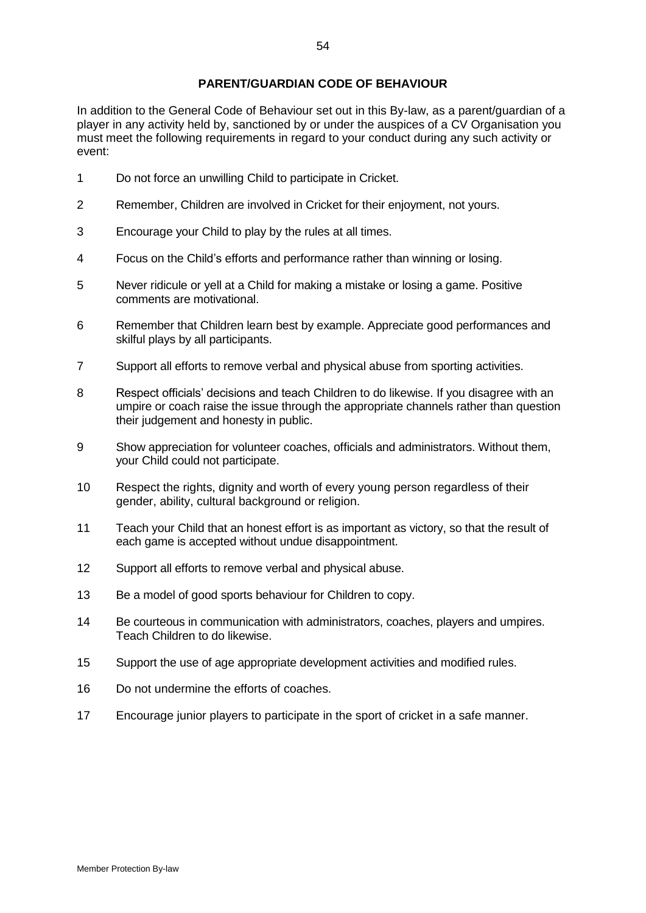### **PARENT/GUARDIAN CODE OF BEHAVIOUR**

In addition to the General Code of Behaviour set out in this By-law, as a parent/guardian of a player in any activity held by, sanctioned by or under the auspices of a CV Organisation you must meet the following requirements in regard to your conduct during any such activity or event:

- 1 Do not force an unwilling Child to participate in Cricket.
- 2 Remember, Children are involved in Cricket for their enjoyment, not yours.
- 3 Encourage your Child to play by the rules at all times.
- 4 Focus on the Child's efforts and performance rather than winning or losing.
- 5 Never ridicule or yell at a Child for making a mistake or losing a game. Positive comments are motivational.
- 6 Remember that Children learn best by example. Appreciate good performances and skilful plays by all participants.
- 7 Support all efforts to remove verbal and physical abuse from sporting activities.
- 8 Respect officials' decisions and teach Children to do likewise. If you disagree with an umpire or coach raise the issue through the appropriate channels rather than question their judgement and honesty in public.
- 9 Show appreciation for volunteer coaches, officials and administrators. Without them, your Child could not participate.
- 10 Respect the rights, dignity and worth of every young person regardless of their gender, ability, cultural background or religion.
- 11 Teach your Child that an honest effort is as important as victory, so that the result of each game is accepted without undue disappointment.
- 12 Support all efforts to remove verbal and physical abuse.
- 13 Be a model of good sports behaviour for Children to copy.
- 14 Be courteous in communication with administrators, coaches, players and umpires. Teach Children to do likewise.
- 15 Support the use of age appropriate development activities and modified rules.
- 16 Do not undermine the efforts of coaches.
- 17 Encourage junior players to participate in the sport of cricket in a safe manner.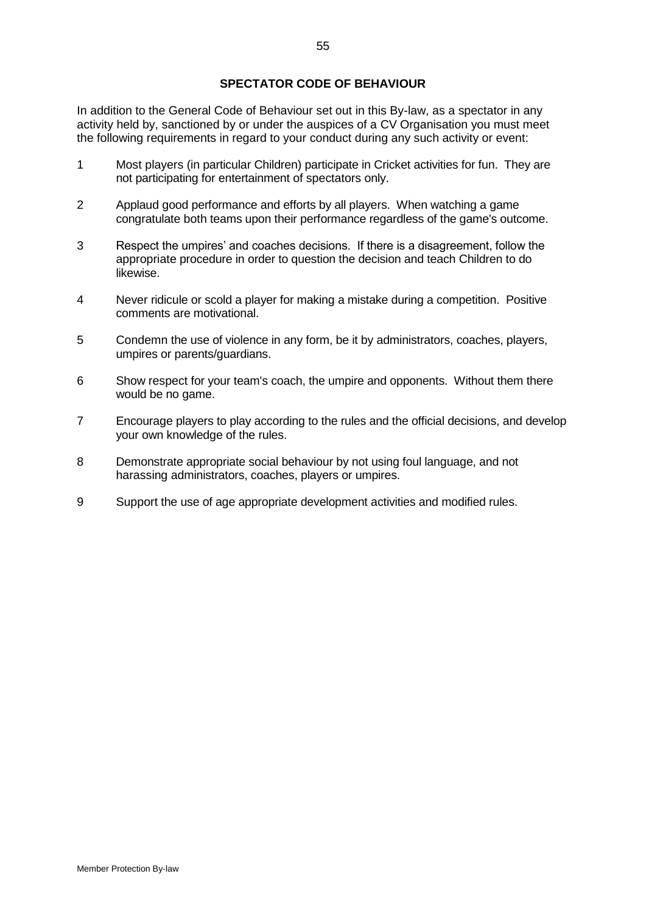# **SPECTATOR CODE OF BEHAVIOUR**

In addition to the General Code of Behaviour set out in this By-law, as a spectator in any activity held by, sanctioned by or under the auspices of a CV Organisation you must meet the following requirements in regard to your conduct during any such activity or event:

- 1 Most players (in particular Children) participate in Cricket activities for fun. They are not participating for entertainment of spectators only.
- 2 Applaud good performance and efforts by all players. When watching a game congratulate both teams upon their performance regardless of the game's outcome.
- 3 Respect the umpires' and coaches decisions. If there is a disagreement, follow the appropriate procedure in order to question the decision and teach Children to do likewise.
- 4 Never ridicule or scold a player for making a mistake during a competition. Positive comments are motivational.
- 5 Condemn the use of violence in any form, be it by administrators, coaches, players, umpires or parents/guardians.
- 6 Show respect for your team's coach, the umpire and opponents. Without them there would be no game.
- 7 Encourage players to play according to the rules and the official decisions, and develop your own knowledge of the rules.
- 8 Demonstrate appropriate social behaviour by not using foul language, and not harassing administrators, coaches, players or umpires.
- 9 Support the use of age appropriate development activities and modified rules.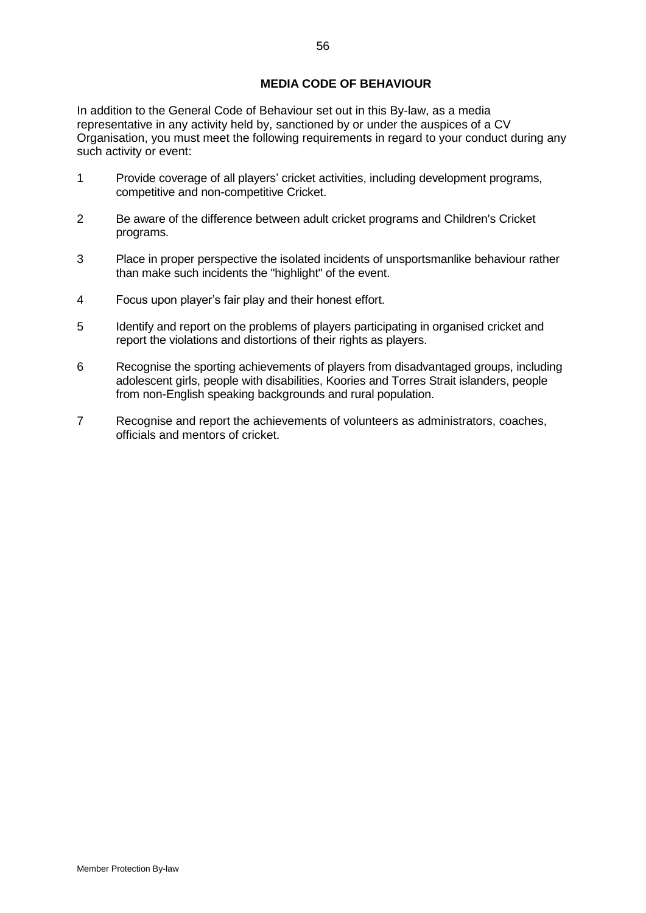# **MEDIA CODE OF BEHAVIOUR**

In addition to the General Code of Behaviour set out in this By-law, as a media representative in any activity held by, sanctioned by or under the auspices of a CV Organisation, you must meet the following requirements in regard to your conduct during any such activity or event:

- 1 Provide coverage of all players' cricket activities, including development programs, competitive and non-competitive Cricket.
- 2 Be aware of the difference between adult cricket programs and Children's Cricket programs.
- 3 Place in proper perspective the isolated incidents of unsportsmanlike behaviour rather than make such incidents the "highlight" of the event.
- 4 Focus upon player's fair play and their honest effort.
- 5 Identify and report on the problems of players participating in organised cricket and report the violations and distortions of their rights as players.
- 6 Recognise the sporting achievements of players from disadvantaged groups, including adolescent girls, people with disabilities, Koories and Torres Strait islanders, people from non-English speaking backgrounds and rural population.
- 7 Recognise and report the achievements of volunteers as administrators, coaches, officials and mentors of cricket.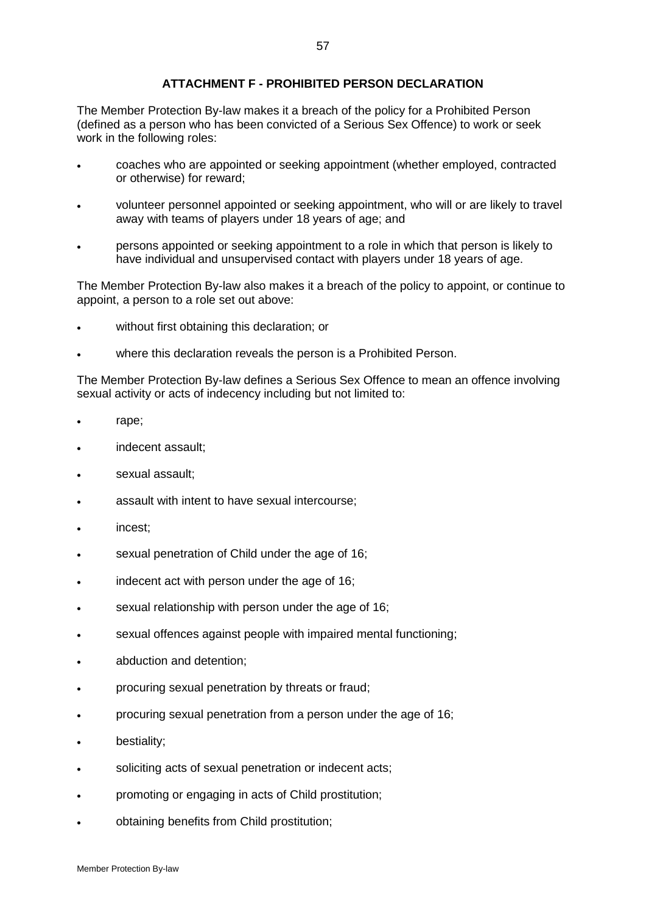### **ATTACHMENT F - PROHIBITED PERSON DECLARATION**

The Member Protection By-law makes it a breach of the policy for a Prohibited Person (defined as a person who has been convicted of a Serious Sex Offence) to work or seek work in the following roles:

- coaches who are appointed or seeking appointment (whether employed, contracted or otherwise) for reward;
- volunteer personnel appointed or seeking appointment, who will or are likely to travel away with teams of players under 18 years of age; and
- persons appointed or seeking appointment to a role in which that person is likely to have individual and unsupervised contact with players under 18 years of age.

The Member Protection By-law also makes it a breach of the policy to appoint, or continue to appoint, a person to a role set out above:

- without first obtaining this declaration; or
- where this declaration reveals the person is a Prohibited Person.

The Member Protection By-law defines a Serious Sex Offence to mean an offence involving sexual activity or acts of indecency including but not limited to:

- rape;
- indecent assault;
- sexual assault;
- assault with intent to have sexual intercourse;
- incest;
- sexual penetration of Child under the age of 16;
- indecent act with person under the age of 16;
- sexual relationship with person under the age of 16;
- sexual offences against people with impaired mental functioning;
- abduction and detention;
- procuring sexual penetration by threats or fraud;
- procuring sexual penetration from a person under the age of 16;
- bestiality;
- soliciting acts of sexual penetration or indecent acts;
- promoting or engaging in acts of Child prostitution;
- obtaining benefits from Child prostitution;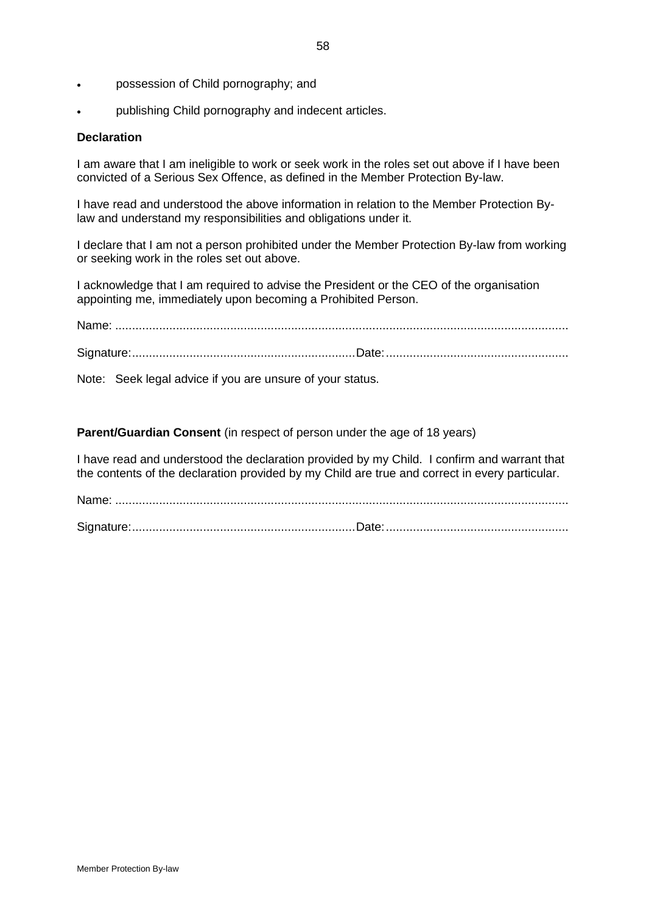- possession of Child pornography; and
- publishing Child pornography and indecent articles.

### **Declaration**

I am aware that I am ineligible to work or seek work in the roles set out above if I have been convicted of a Serious Sex Offence, as defined in the Member Protection By-law.

I have read and understood the above information in relation to the Member Protection Bylaw and understand my responsibilities and obligations under it.

I declare that I am not a person prohibited under the Member Protection By-law from working or seeking work in the roles set out above.

I acknowledge that I am required to advise the President or the CEO of the organisation appointing me, immediately upon becoming a Prohibited Person.

Name: ...................................................................................................................................... Signature:..................................................................Date:......................................................

Note: Seek legal advice if you are unsure of your status.

**Parent/Guardian Consent** (in respect of person under the age of 18 years)

I have read and understood the declaration provided by my Child. I confirm and warrant that the contents of the declaration provided by my Child are true and correct in every particular.

Name: ...................................................................................................................................... Signature:..................................................................Date:......................................................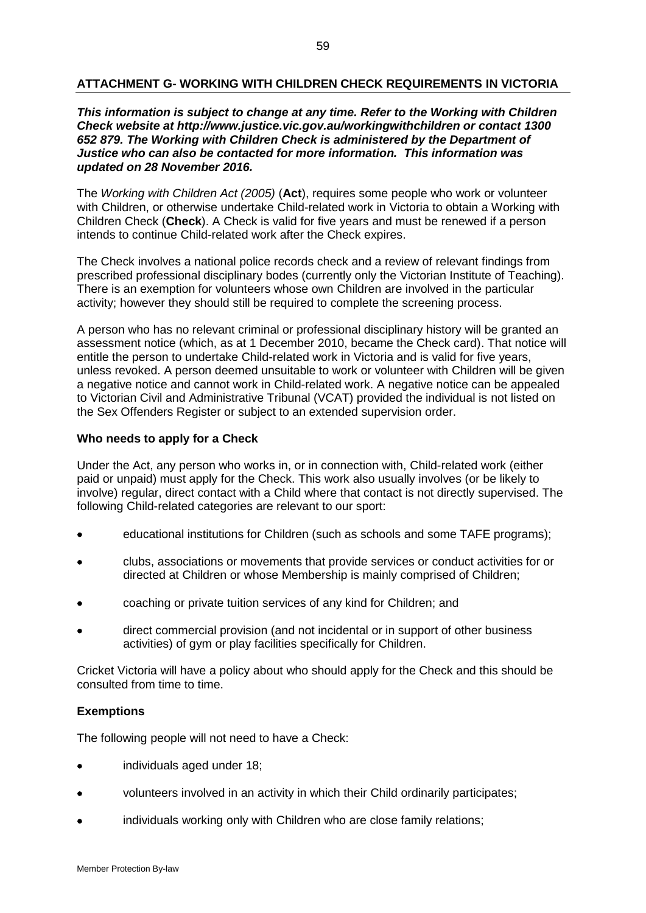# **ATTACHMENT G- WORKING WITH CHILDREN CHECK REQUIREMENTS IN VICTORIA**

### *This information is subject to change at any time. Refer to the Working with Children Check website at http://www.justice.vic.gov.au/workingwithchildren or contact 1300 652 879. The Working with Children Check is administered by the Department of Justice who can also be contacted for more information. This information was updated on 28 November 2016.*

The *Working with Children Act (2005)* (**Act**), requires some people who work or volunteer with Children, or otherwise undertake Child-related work in Victoria to obtain a Working with Children Check (**Check**). A Check is valid for five years and must be renewed if a person intends to continue Child-related work after the Check expires.

The Check involves a national police records check and a review of relevant findings from prescribed professional disciplinary bodes (currently only the Victorian Institute of Teaching). There is an exemption for volunteers whose own Children are involved in the particular activity; however they should still be required to complete the screening process.

A person who has no relevant criminal or professional disciplinary history will be granted an assessment notice (which, as at 1 December 2010, became the Check card). That notice will entitle the person to undertake Child-related work in Victoria and is valid for five years, unless revoked. A person deemed unsuitable to work or volunteer with Children will be given a negative notice and cannot work in [Child-related work.](http://www.justice.vic.gov.au/CA2569020010922A/page/Business+Units-Working+With+Children+Check?OpenDocument&1=0-Business+Units~&2=0-Working+With+Children+Check~&3=~#what#what) A negative notice can be appealed to Victorian Civil and Administrative Tribunal (VCAT) provided the individual is not listed on the Sex Offenders Register or subject to an extended supervision order.

#### **Who needs to apply for a Check**

Under the Act, any person who works in, or in connection with, Child-related work (either paid or unpaid) must apply for the Check. This work also usually involves (or be likely to involve) regular, direct contact with a Child where that contact is not directly supervised. The following Child-related categories are relevant to our sport:

- educational institutions for Children (such as schools and some TAFE programs);
- clubs, associations or movements that provide services or conduct activities for or directed at Children or whose Membership is mainly comprised of Children;
- coaching or private tuition services of any kind for Children; and
- direct commercial provision (and not incidental or in support of other business activities) of gym or play facilities specifically for Children.

Cricket Victoria will have a policy about who should apply for the Check and this should be consulted from time to time.

#### **Exemptions**

The following people will not need to have a Check:

- individuals aged under 18;
- volunteers involved in an activity in which their Child ordinarily participates;
- individuals working only with Children who are close family relations;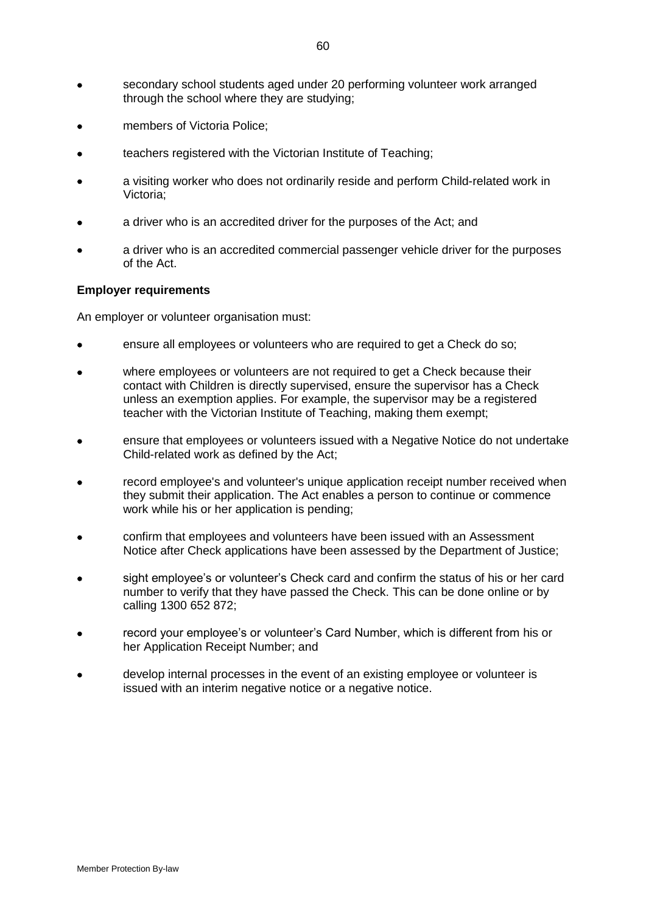- secondary school students aged under 20 performing volunteer work arranged through the school where they are studying;
- members of Victoria Police;
- teachers registered with the Victorian Institute of Teaching;
- a visiting worker who does not ordinarily reside and perform Child-related work in Victoria;
- a driver who is an accredited driver for the purposes of the Act; and
- a driver who is an accredited commercial passenger vehicle driver for the purposes of the Act.

#### **Employer requirements**

An employer or volunteer organisation must:

- ensure all employees or volunteers who are required to get a Check do so;
- where employees or volunteers are not required to get a Check because their contact with Children is directly supervised, ensure the supervisor has a Check unless an exemption applies. For example, the supervisor may be a registered teacher with the Victorian Institute of Teaching, making them exempt;
- ensure that employees or volunteers issued with a [Negative Notice](http://ndoj102/CA25711C001EBB33/page/Application+Outcomes-Negative+Notice?OpenDocument&1=60-Application+Outcomes~&2=30-Negative+Notice~&3=~) do not undertake Child-related work as defined by the Act;
- record employee's and volunteer's unique application receipt number received when they submit their application. The Act enables a person to continue or commence work while his or her application is pending;
- confirm that employees and volunteers have been issued with an Assessment Notice after Check applications have been assessed by the Department of Justice;
- sight employee's or volunteer's Check card and [confirm the status](http://www.justice.vic.gov.au/CA25711C001EBB33/page/Confirm+the+status?OpenDocument&1=70-Confirm+the+status~&2=~&3=~) of his or her card number to verify that they have passed the Check. This can be done online or by calling 1300 652 872;
- record your employee's or volunteer's Card Number, which is different from his or her Application Receipt Number; and
- develop internal processes in the event of an existing employee or volunteer is issued with an interim negative notice or a negative notice.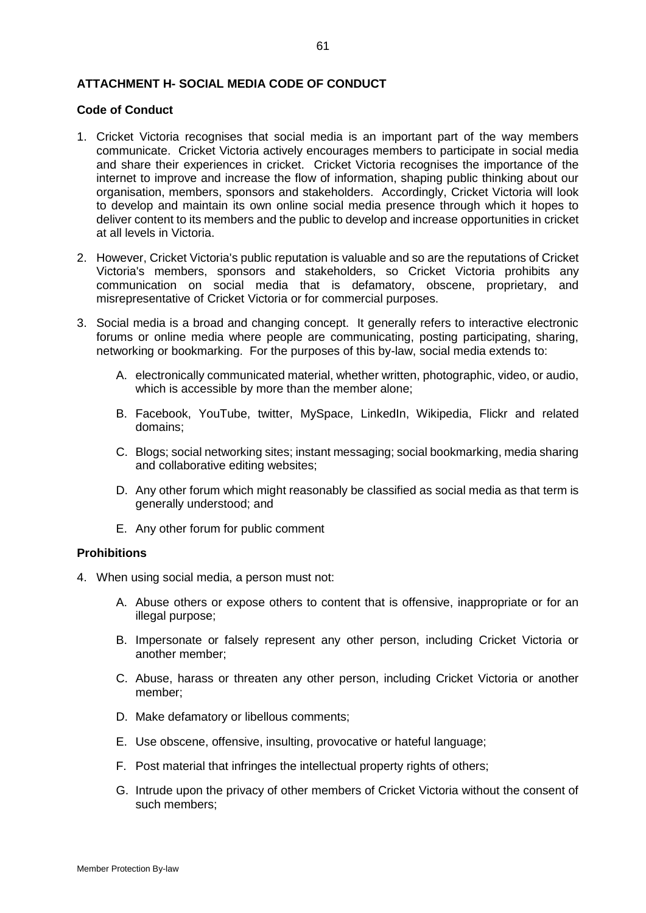# **ATTACHMENT H- SOCIAL MEDIA CODE OF CONDUCT**

#### **Code of Conduct**

- 1. Cricket Victoria recognises that social media is an important part of the way members communicate. Cricket Victoria actively encourages members to participate in social media and share their experiences in cricket. Cricket Victoria recognises the importance of the internet to improve and increase the flow of information, shaping public thinking about our organisation, members, sponsors and stakeholders. Accordingly, Cricket Victoria will look to develop and maintain its own online social media presence through which it hopes to deliver content to its members and the public to develop and increase opportunities in cricket at all levels in Victoria.
- 2. However, Cricket Victoria's public reputation is valuable and so are the reputations of Cricket Victoria's members, sponsors and stakeholders, so Cricket Victoria prohibits any communication on social media that is defamatory, obscene, proprietary, and misrepresentative of Cricket Victoria or for commercial purposes.
- 3. Social media is a broad and changing concept. It generally refers to interactive electronic forums or online media where people are communicating, posting participating, sharing, networking or bookmarking. For the purposes of this by-law, social media extends to:
	- A. electronically communicated material, whether written, photographic, video, or audio, which is accessible by more than the member alone;
	- B. Facebook, YouTube, twitter, MySpace, LinkedIn, Wikipedia, Flickr and related domains;
	- C. Blogs; social networking sites; instant messaging; social bookmarking, media sharing and collaborative editing websites;
	- D. Any other forum which might reasonably be classified as social media as that term is generally understood; and
	- E. Any other forum for public comment

#### **Prohibitions**

- 4. When using social media, a person must not:
	- A. Abuse others or expose others to content that is offensive, inappropriate or for an illegal purpose;
	- B. Impersonate or falsely represent any other person, including Cricket Victoria or another member;
	- C. Abuse, harass or threaten any other person, including Cricket Victoria or another member;
	- D. Make defamatory or libellous comments;
	- E. Use obscene, offensive, insulting, provocative or hateful language;
	- F. Post material that infringes the intellectual property rights of others;
	- G. Intrude upon the privacy of other members of Cricket Victoria without the consent of such members;